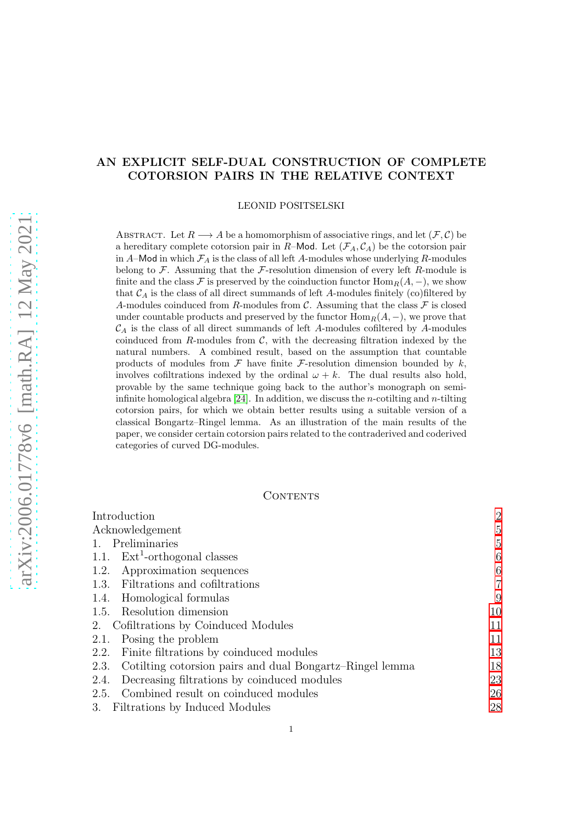# AN EXPLICIT SELF-DUAL CONSTRUCTION OF COMPLETE COTORSION PAIRS IN THE RELATIVE CONTEXT

LEONID POSITSELSKI

ABSTRACT. Let  $R \longrightarrow A$  be a homomorphism of associative rings, and let  $(\mathcal{F}, \mathcal{C})$  be a hereditary complete cotorsion pair in R–Mod. Let  $(\mathcal{F}_A, \mathcal{C}_A)$  be the cotorsion pair in A–Mod in which  $\mathcal{F}_A$  is the class of all left A-modules whose underlying R-modules belong to  $\mathcal F$ . Assuming that the  $\mathcal F$ -resolution dimension of every left R-module is finite and the class F is preserved by the coinduction functor  $\text{Hom}_R(A, -)$ , we show that  $\mathcal{C}_A$  is the class of all direct summands of left A-modules finitely (co)filtered by A-modules coinduced from R-modules from  $\mathcal{C}$ . Assuming that the class  $\mathcal{F}$  is closed under countable products and preserved by the functor  $\text{Hom}_R(A, -)$ , we prove that  $\mathcal{C}_A$  is the class of all direct summands of left A-modules cofiltered by A-modules coinduced from  $R$ -modules from  $C$ , with the decreasing filtration indexed by the natural numbers. A combined result, based on the assumption that countable products of modules from  $\mathcal F$  have finite  $\mathcal F$ -resolution dimension bounded by k, involves cofiltrations indexed by the ordinal  $\omega + k$ . The dual results also hold, provable by the same technique going back to the author's monograph on semiinfinite homological algebra  $[24]$ . In addition, we discuss the *n*-cotilting and *n*-tilting cotorsion pairs, for which we obtain better results using a suitable version of a classical Bongartz–Ringel lemma. As an illustration of the main results of the paper, we consider certain cotorsion pairs related to the contraderived and coderived categories of curved DG-modules.

### CONTENTS

| Introduction                                                     | $\overline{2}$ |
|------------------------------------------------------------------|----------------|
| Acknowledgement                                                  | $\overline{5}$ |
| 1. Preliminaries                                                 | 5              |
| 1.1. $Ext1-orthogonal classes$                                   | 6              |
| Approximation sequences<br>1.2.                                  | 6              |
| 1.3. Filtrations and cofiltrations                               | 7              |
| Homological formulas<br>1.4.                                     | 9              |
| Resolution dimension<br>1.5.                                     | 10             |
| Cofiltrations by Coinduced Modules<br>2.                         | 11             |
| Posing the problem<br>2.1.                                       | 11             |
| Finite filtrations by coinduced modules<br>2.2.                  | 13             |
| Cotilting cotorsion pairs and dual Bongartz–Ringel lemma<br>2.3. | 18             |
| Decreasing filtrations by coinduced modules<br>2.4.              | 23             |
| Combined result on coinduced modules<br>2.5.                     | 26             |
| 3. Filtrations by Induced Modules                                | 28             |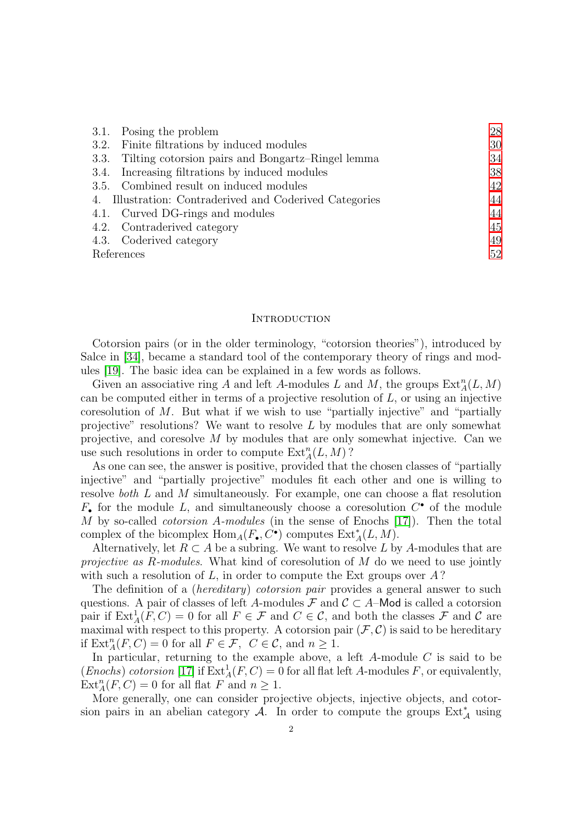|            | 3.1. Posing the problem                                 | 28 |
|------------|---------------------------------------------------------|----|
|            | 3.2. Finite filtrations by induced modules              | 30 |
|            | 3.3. Tilting cotorsion pairs and Bongartz–Ringel lemma  | 34 |
|            | 3.4. Increasing filtrations by induced modules          | 38 |
|            | 3.5. Combined result on induced modules                 | 42 |
|            | 4. Illustration: Contraderived and Coderived Categories | 44 |
|            | 4.1. Curved DG-rings and modules                        | 44 |
|            | 4.2. Contraderived category                             | 45 |
|            | 4.3. Coderived category                                 | 49 |
| References |                                                         | 52 |

#### <span id="page-1-0"></span>**INTRODUCTION**

Cotorsion pairs (or in the older terminology, "cotorsion theories"), introduced by Salce in [\[34\]](#page-53-0), became a standard tool of the contemporary theory of rings and modules [\[19\]](#page-52-1). The basic idea can be explained in a few words as follows.

Given an associative ring A and left A-modules L and M, the groups  $\text{Ext}_{A}^{n}(L, M)$ can be computed either in terms of a projective resolution of  $L$ , or using an injective coresolution of  $M$ . But what if we wish to use "partially injective" and "partially projective" resolutions? We want to resolve  $L$  by modules that are only somewhat projective, and coresolve M by modules that are only somewhat injective. Can we use such resolutions in order to compute  $\text{Ext}_{A}^{n}(L, M)$ ?

As one can see, the answer is positive, provided that the chosen classes of "partially injective" and "partially projective" modules fit each other and one is willing to resolve *both* L and M simultaneously. For example, one can choose a flat resolution  $F_{\bullet}$  for the module L, and simultaneously choose a coresolution  $C^{\bullet}$  of the module M by so-called *cotorsion* A*-modules* (in the sense of Enochs [\[17\]](#page-52-2)). Then the total complex of the bicomplex  $\text{Hom}_A(F_\bullet, C^\bullet)$  computes  $\text{Ext}^*_A(L, M)$ .

Alternatively, let  $R \subset A$  be a subring. We want to resolve L by A-modules that are *projective as* R*-modules*. What kind of coresolution of M do we need to use jointly with such a resolution of  $L$ , in order to compute the Ext groups over  $A$ ?

The definition of a (*hereditary*) *cotorsion pair* provides a general answer to such questions. A pair of classes of left A-modules  $\mathcal F$  and  $\mathcal C \subset A$ -Mod is called a cotorsion pair if  $\text{Ext}^1_A(F, C) = 0$  for all  $F \in \mathcal{F}$  and  $C \in \mathcal{C}$ , and both the classes  $\mathcal{F}$  and  $\mathcal{C}$  are maximal with respect to this property. A cotorsion pair  $(\mathcal{F}, \mathcal{C})$  is said to be hereditary if  $\text{Ext}_{A}^{n}(F, C) = 0$  for all  $F \in \mathcal{F}$ ,  $C \in \mathcal{C}$ , and  $n \geq 1$ .

In particular, returning to the example above, a left  $A$ -module  $C$  is said to be (*Enochs*) *cotorsion* [\[17\]](#page-52-2) if  $\text{Ext}_{A}^{1}(F, C) = 0$  for all flat left A-modules F, or equivalently,  $\text{Ext}_{A}^{n}(F, C) = 0$  for all flat F and  $n \geq 1$ .

More generally, one can consider projective objects, injective objects, and cotorsion pairs in an abelian category A. In order to compute the groups  $\text{Ext}^*_{\mathcal{A}}$  using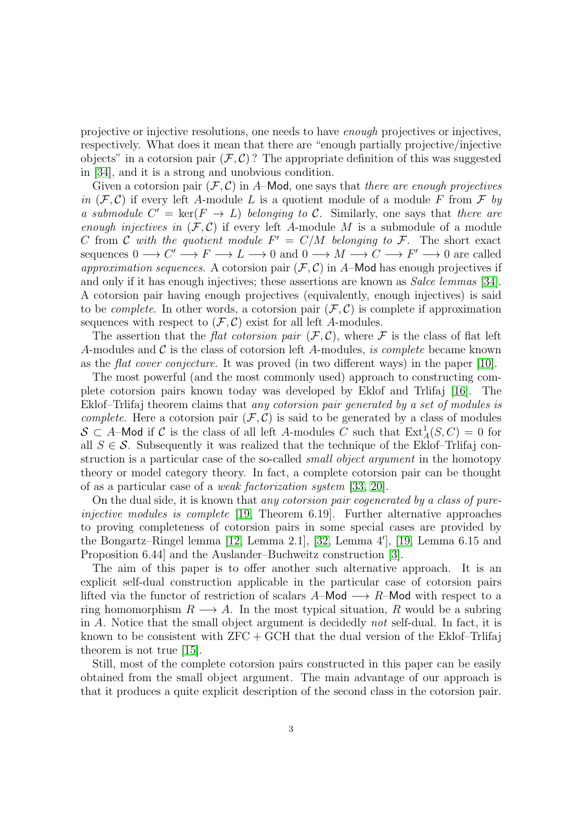projective or injective resolutions, one needs to have *enough* projectives or injectives, respectively. What does it mean that there are "enough partially projective/injective objects" in a cotorsion pair  $(F, C)$ ? The appropriate definition of this was suggested in [\[34\]](#page-53-0), and it is a strong and unobvious condition.

Given a cotorsion pair  $(F, C)$  in A–Mod, one says that *there are enough projectives in*  $(F, C)$  if every left A-module L is a quotient module of a module F from F by *a submodule*  $C' = \text{ker}(F \to L)$  *belonging to* C. Similarly, one says that *there are enough injectives in*  $(F, C)$  if every left A-module M is a submodule of a module C from C with the quotient module  $F' = C/M$  belonging to F. The short exact sequences  $0 \longrightarrow C' \longrightarrow F \longrightarrow L \longrightarrow 0$  and  $0 \longrightarrow M \longrightarrow C \longrightarrow F' \longrightarrow 0$  are called *approximation sequences.* A cotorsion pair  $(F, C)$  in A–Mod has enough projectives if and only if it has enough injectives; these assertions are known as *Salce lemmas* [\[34\]](#page-53-0). A cotorsion pair having enough projectives (equivalently, enough injectives) is said to be *complete*. In other words, a cotorsion pair  $(\mathcal{F}, \mathcal{C})$  is complete if approximation sequences with respect to  $(\mathcal{F}, \mathcal{C})$  exist for all left A-modules.

The assertion that the *flat cotorsion pair*  $(F, C)$ , where F is the class of flat left A-modules and C is the class of cotorsion left A-modules, *is complete* became known as the *flat cover conjecture*. It was proved (in two different ways) in the paper [\[10\]](#page-52-3).

The most powerful (and the most commonly used) approach to constructing complete cotorsion pairs known today was developed by Eklof and Trlifaj [\[16\]](#page-52-4). The Eklof–Trlifaj theorem claims that *any cotorsion pair generated by a set of modules is complete.* Here a cotorsion pair  $(F, C)$  is said to be generated by a class of modules  $S \subset A$ –Mod if C is the class of all left A-modules C such that  $\text{Ext}^1_A(S, C) = 0$  for all  $S \in \mathcal{S}$ . Subsequently it was realized that the technique of the Eklof–Trlifaj construction is a particular case of the so-called *small object argument* in the homotopy theory or model category theory. In fact, a complete cotorsion pair can be thought of as a particular case of a *weak factorization system* [\[33,](#page-53-1) [20\]](#page-52-5).

On the dual side, it is known that *any cotorsion pair cogenerated by a class of pureinjective modules is complete* [\[19,](#page-52-1) Theorem 6.19]. Further alternative approaches to proving completeness of cotorsion pairs in some special cases are provided by the Bongartz–Ringel lemma [\[12,](#page-52-6) Lemma 2.1], [\[32,](#page-53-2) Lemma 4′ ], [\[19,](#page-52-1) Lemma 6.15 and Proposition 6.44] and the Auslander–Buchweitz construction [\[3\]](#page-52-7).

The aim of this paper is to offer another such alternative approach. It is an explicit self-dual construction applicable in the particular case of cotorsion pairs lifted via the functor of restriction of scalars  $A$ –Mod  $\longrightarrow R$ –Mod with respect to a ring homomorphism  $R \longrightarrow A$ . In the most typical situation, R would be a subring in A. Notice that the small object argument is decidedly *not* self-dual. In fact, it is known to be consistent with  $ZFC + GCH$  that the dual version of the Eklof–Trlifaj theorem is not true [\[15\]](#page-52-8).

Still, most of the complete cotorsion pairs constructed in this paper can be easily obtained from the small object argument. The main advantage of our approach is that it produces a quite explicit description of the second class in the cotorsion pair.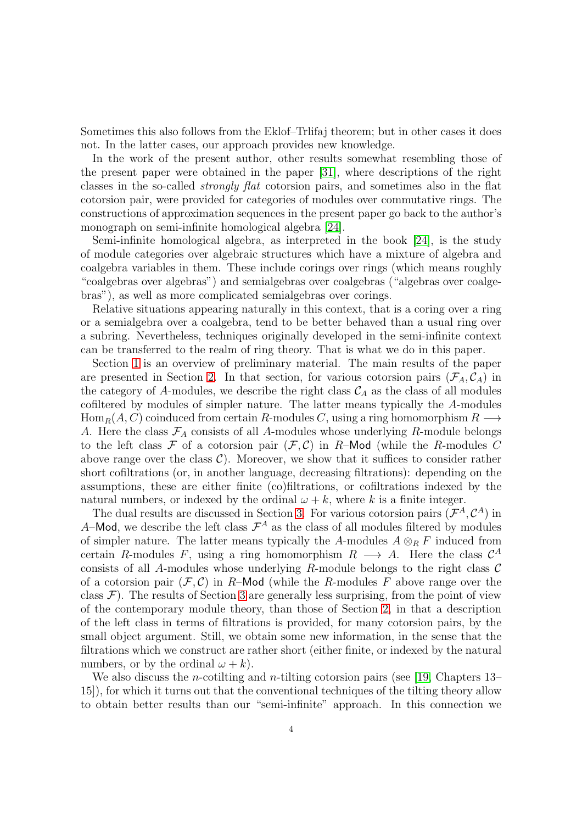Sometimes this also follows from the Eklof–Trlifaj theorem; but in other cases it does not. In the latter cases, our approach provides new knowledge.

In the work of the present author, other results somewhat resembling those of the present paper were obtained in the paper [\[31\]](#page-53-3), where descriptions of the right classes in the so-called *strongly flat* cotorsion pairs, and sometimes also in the flat cotorsion pair, were provided for categories of modules over commutative rings. The constructions of approximation sequences in the present paper go back to the author's monograph on semi-infinite homological algebra [\[24\]](#page-52-0).

Semi-infinite homological algebra, as interpreted in the book [\[24\]](#page-52-0), is the study of module categories over algebraic structures which have a mixture of algebra and coalgebra variables in them. These include corings over rings (which means roughly "coalgebras over algebras") and semialgebras over coalgebras ("algebras over coalgebras"), as well as more complicated semialgebras over corings.

Relative situations appearing naturally in this context, that is a coring over a ring or a semialgebra over a coalgebra, tend to be better behaved than a usual ring over a subring. Nevertheless, techniques originally developed in the semi-infinite context can be transferred to the realm of ring theory. That is what we do in this paper.

Section [1](#page-4-1) is an overview of preliminary material. The main results of the paper are presented in Section [2.](#page-10-0) In that section, for various cotorsion pairs  $(\mathcal{F}_A, \mathcal{C}_A)$  in the category of A-modules, we describe the right class  $\mathcal{C}_A$  as the class of all modules cofiltered by modules of simpler nature. The latter means typically the A-modules  $Hom_R(A, C)$  coinduced from certain R-modules C, using a ring homomorphism  $R \longrightarrow$ A. Here the class  $\mathcal{F}_A$  consists of all A-modules whose underlying R-module belongs to the left class  $\mathcal F$  of a cotorsion pair  $(\mathcal F, \mathcal C)$  in R-Mod (while the R-modules C above range over the class  $\mathcal{C}$ ). Moreover, we show that it suffices to consider rather short cofiltrations (or, in another language, decreasing filtrations): depending on the assumptions, these are either finite (co)filtrations, or cofiltrations indexed by the natural numbers, or indexed by the ordinal  $\omega + k$ , where k is a finite integer.

The dual results are discussed in Section [3.](#page-27-0) For various cotorsion pairs  $(\mathcal{F}^A, \mathcal{C}^A)$  in A–Mod, we describe the left class  $\mathcal{F}^A$  as the class of all modules filtered by modules of simpler nature. The latter means typically the A-modules  $A \otimes_R F$  induced from certain R-modules F, using a ring homomorphism  $R \longrightarrow A$ . Here the class  $\mathcal{C}^A$ consists of all A-modules whose underlying R-module belongs to the right class  $\mathcal C$ of a cotorsion pair  $(\mathcal{F}, \mathcal{C})$  in R-Mod (while the R-modules F above range over the class  $\mathcal{F}$ ). The results of Section [3](#page-27-0) are generally less surprising, from the point of view of the contemporary module theory, than those of Section [2,](#page-10-0) in that a description of the left class in terms of filtrations is provided, for many cotorsion pairs, by the small object argument. Still, we obtain some new information, in the sense that the filtrations which we construct are rather short (either finite, or indexed by the natural numbers, or by the ordinal  $\omega + k$ ).

We also discuss the *n*-cotilting and *n*-tilting cotorsion pairs (see [\[19,](#page-52-1) Chapters 13– 15]), for which it turns out that the conventional techniques of the tilting theory allow to obtain better results than our "semi-infinite" approach. In this connection we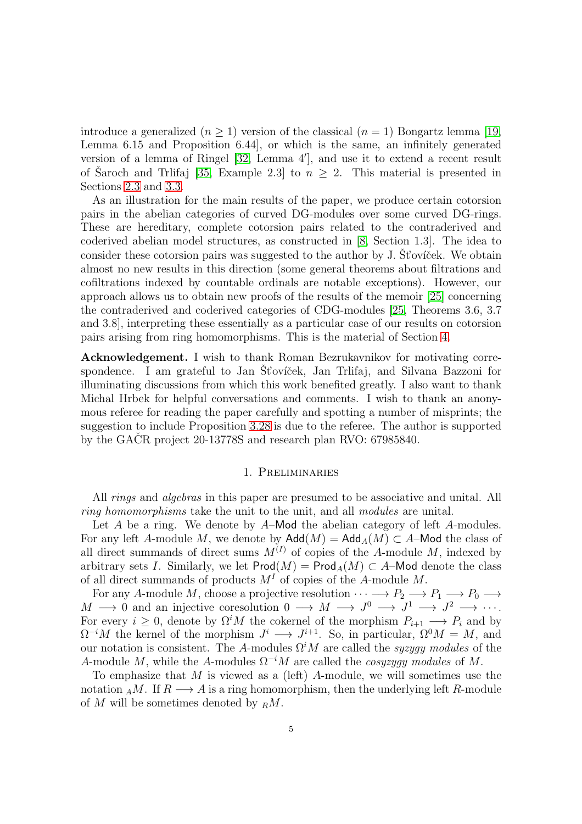introduce a generalized  $(n \geq 1)$  version of the classical  $(n = 1)$  Bongartz lemma [\[19,](#page-52-1) Lemma 6.15 and Proposition 6.44], or which is the same, an infinitely generated version of a lemma of Ringel [\[32,](#page-53-2) Lemma 4′ ], and use it to extend a recent result of Saroch and Triffaj [\[35,](#page-53-4) Example 2.3] to  $n \geq 2$ . This material is presented in Sections [2.3](#page-17-0) and [3.3.](#page-33-0)

As an illustration for the main results of the paper, we produce certain cotorsion pairs in the abelian categories of curved DG-modules over some curved DG-rings. These are hereditary, complete cotorsion pairs related to the contraderived and coderived abelian model structures, as constructed in [\[8,](#page-52-9) Section 1.3]. The idea to consider these cotorsion pairs was suggested to the author by J. St'ovicek. We obtain almost no new results in this direction (some general theorems about filtrations and cofiltrations indexed by countable ordinals are notable exceptions). However, our approach allows us to obtain new proofs of the results of the memoir [\[25\]](#page-53-5) concerning the contraderived and coderived categories of CDG-modules [\[25,](#page-53-5) Theorems 3.6, 3.7 and 3.8], interpreting these essentially as a particular case of our results on cotorsion pairs arising from ring homomorphisms. This is the material of Section [4.](#page-43-0)

<span id="page-4-0"></span>Acknowledgement. I wish to thank Roman Bezrukavnikov for motivating correspondence. I am grateful to Jan St'ovíček, Jan Trlifaj, and Silvana Bazzoni for illuminating discussions from which this work benefited greatly. I also want to thank Michal Hrbek for helpful conversations and comments. I wish to thank an anonymous referee for reading the paper carefully and spotting a number of misprints; the suggestion to include Proposition [3.28](#page-40-0) is due to the referee. The author is supported by the GACR project  $20-13778S$  and research plan RVO: 67985840.

### 1. Preliminaries

<span id="page-4-1"></span>All *rings* and *algebras* in this paper are presumed to be associative and unital. All *ring homomorphisms* take the unit to the unit, and all *modules* are unital.

Let A be a ring. We denote by A–Mod the abelian category of left A-modules. For any left A-module M, we denote by  $\mathsf{Add}(M) = \mathsf{Add}_A(M) \subset A$ -Mod the class of all direct summands of direct sums  $M^{(I)}$  of copies of the A-module M, indexed by arbitrary sets I. Similarly, we let  $\text{Prod}(M) = \text{Prod}_A(M) \subset A$ –Mod denote the class of all direct summands of products  $M<sup>I</sup>$  of copies of the A-module M.

For any A-module M, choose a projective resolution  $\cdots \longrightarrow P_2 \longrightarrow P_1 \longrightarrow P_0 \longrightarrow$  $M \longrightarrow 0$  and an injective coresolution  $0 \longrightarrow M \longrightarrow J^0 \longrightarrow J^1 \longrightarrow J^2 \longrightarrow \cdots$ . For every  $i \geq 0$ , denote by  $\Omega^i M$  the cokernel of the morphism  $P_{i+1} \longrightarrow P_i$  and by  $\Omega^{-i}M$  the kernel of the morphism  $J^i \longrightarrow J^{i+1}$ . So, in particular,  $\Omega^0M = M$ , and our notation is consistent. The A-modules  $\Omega^i M$  are called the *syzygy modules* of the A-module M, while the A-modules  $\Omega^{-i}M$  are called the *cosyzygy modules* of M.

To emphasize that M is viewed as a (left) A-module, we will sometimes use the notation  $_A M$ . If  $R \longrightarrow A$  is a ring homomorphism, then the underlying left R-module of M will be sometimes denoted by  $_R M$ .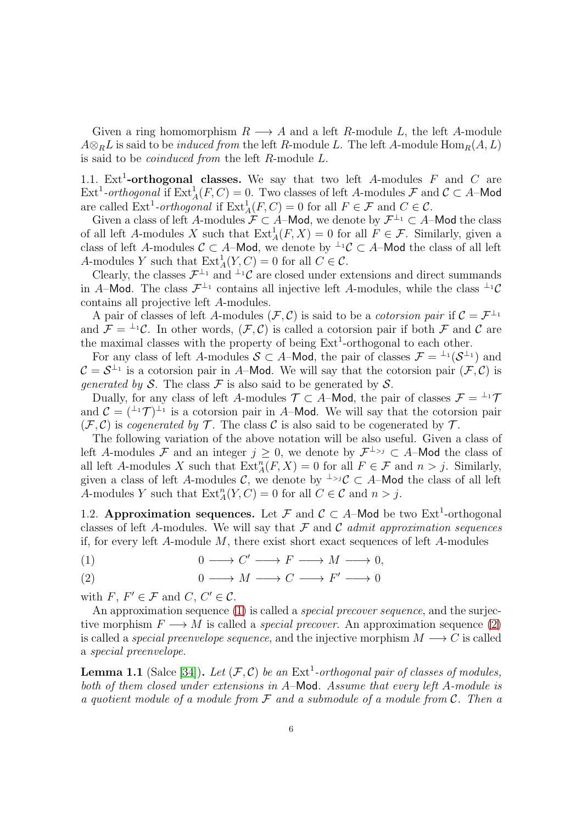Given a ring homomorphism  $R \longrightarrow A$  and a left R-module L, the left A-module  $A \otimes_R L$  is said to be *induced from* the left R-module L. The left A-module  $\text{Hom}_R(A, L)$ is said to be *coinduced from* the left R-module L.

<span id="page-5-0"></span>1.1. Ext<sup>1</sup>-orthogonal classes. We say that two left A-modules F and C are Ext<sup>1</sup>-orthogonal if  $\text{Ext}_{A}^{1}(F, C) = 0$ . Two classes of left A-modules F and  $C \subset A$ -Mod are called  $\text{Ext}^1\text{-orthogonal}$  if  $\text{Ext}^1_A(F, C) = 0$  for all  $F \in \mathcal{F}$  and  $C \in \mathcal{C}$ .

Given a class of left A-modules  $\mathcal{F} \subset A$ -Mod, we denote by  $\mathcal{F}^{\perp_1} \subset A$ -Mod the class of all left A-modules X such that  $\text{Ext}^1_A(F, X) = 0$  for all  $F \in \mathcal{F}$ . Similarly, given a class of left A-modules  $C \subset A$ –Mod, we denote by  $\perp^1 C \subset A$ –Mod the class of all left A-modules Y such that  $\text{Ext}_{A}^{1}(Y, C) = 0$  for all  $C \in \mathcal{C}$ .

Clearly, the classes  $\mathcal{F}^{\perp_1}$  and  $^{\perp_1}\mathcal{C}$  are closed under extensions and direct summands in A–Mod. The class  $\mathcal{F}^{\perp_1}$  contains all injective left A-modules, while the class  $^{\perp_1}\mathcal{C}$ contains all projective left A-modules.

A pair of classes of left A-modules  $(F, C)$  is said to be a *cotorsion pair* if  $C = \mathcal{F}^{\perp_1}$ and  $\mathcal{F} = {}^{\perp_1} \mathcal{C}$ . In other words,  $(\mathcal{F}, \mathcal{C})$  is called a cotorsion pair if both  $\mathcal{F}$  and  $\mathcal{C}$  are the maximal classes with the property of being  $Ext<sup>1</sup>$ -orthogonal to each other.

For any class of left A-modules  $S \subset A$ -Mod, the pair of classes  $\mathcal{F} = {}^{\perp_1}(\mathcal{S}^{\perp_1})$  and  $\mathcal{C} = \mathcal{S}^{\perp_1}$  is a cotorsion pair in A–Mod. We will say that the cotorsion pair  $(\mathcal{F}, \mathcal{C})$  is *generated by* S. The class  $\mathcal F$  is also said to be generated by S.

Dually, for any class of left A-modules  $\mathcal{T} \subset A$ -Mod, the pair of classes  $\mathcal{F} = {}^{\perp_1}\mathcal{T}$ and  $\mathcal{C} = (1+\mathcal{T})^{\perp_1}$  is a cotorsion pair in A–Mod. We will say that the cotorsion pair  $(\mathcal{F}, \mathcal{C})$  is *cogenerated by*  $\mathcal{T}$ . The class  $\mathcal{C}$  is also said to be cogenerated by  $\mathcal{T}$ .

The following variation of the above notation will be also useful. Given a class of left A-modules F and an integer  $j \geq 0$ , we denote by  $\mathcal{F}^{\perp_{>j}} \subset A$ -Mod the class of all left A-modules X such that  $\text{Ext}_{A}^{n}(F, X) = 0$  for all  $F \in \mathcal{F}$  and  $n > j$ . Similarly, given a class of left A-modules C, we denote by <sup>⊥</sup>>jC ⊂ A-Mod the class of all left A-modules Y such that  $\text{Ext}_{A}^{n}(Y, C) = 0$  for all  $C \in \mathcal{C}$  and  $n > j$ .

<span id="page-5-1"></span>1.2. Approximation sequences. Let F and  $\mathcal{C} \subset A$ -Mod be two Ext<sup>1</sup>-orthogonal classes of left A-modules. We will say that F and C *admit approximation sequences* if, for every left A-module M, there exist short exact sequences of left A-modules

<span id="page-5-2"></span>
$$
(1) \t 0 \longrightarrow C' \longrightarrow F \longrightarrow M \longrightarrow 0,
$$

<span id="page-5-3"></span>
$$
(2) \t 0 \longrightarrow M \longrightarrow C \longrightarrow F' \longrightarrow 0
$$

with  $F, F' \in \mathcal{F}$  and  $C, C' \in \mathcal{C}$ .

An approximation sequence [\(1\)](#page-5-2) is called a *special precover sequence*, and the surjective morphism  $F \longrightarrow M$  is called a *special precover*. An approximation sequence [\(2\)](#page-5-3) is called a *special preenvelope sequence*, and the injective morphism  $M \longrightarrow C$  is called a *special preenvelope*.

<span id="page-5-4"></span>**Lemma 1.1** (Salce [\[34\]](#page-53-0)). Let  $(F, C)$  be an  $Ext<sup>1</sup>$ -orthogonal pair of classes of modules, *both of them closed under extensions in* A–Mod*. Assume that every left* A*-module is a quotient module of a module from* F *and a submodule of a module from* C*. Then a*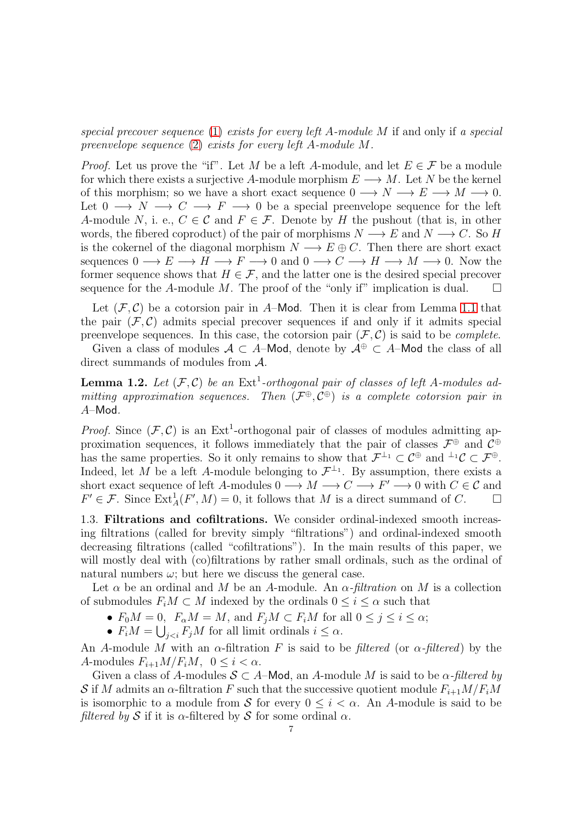*special precover sequence* [\(1\)](#page-5-2) *exists for every left* A*-module* M if and only if *a special preenvelope sequence* [\(2\)](#page-5-3) *exists for every left* A*-module* M*.*

*Proof.* Let us prove the "if". Let M be a left A-module, and let  $E \in \mathcal{F}$  be a module for which there exists a surjective A-module morphism  $E \longrightarrow M$ . Let N be the kernel of this morphism; so we have a short exact sequence  $0 \longrightarrow N \longrightarrow E \longrightarrow M \longrightarrow 0$ . Let  $0 \longrightarrow N \longrightarrow C \longrightarrow F \longrightarrow 0$  be a special preenvelope sequence for the left A-module N, i. e.,  $C \in \mathcal{C}$  and  $F \in \mathcal{F}$ . Denote by H the pushout (that is, in other words, the fibered coproduct) of the pair of morphisms  $N \longrightarrow E$  and  $N \longrightarrow C$ . So H is the cokernel of the diagonal morphism  $N \longrightarrow E \oplus C$ . Then there are short exact sequences  $0 \to E \to H \to F \to 0$  and  $0 \to C \to H \to M \to 0$ . Now the former sequence shows that  $H \in \mathcal{F}$ , and the latter one is the desired special precover sequence for the A-module M. The proof of the "only if" implication is dual.  $\square$ 

Let  $(\mathcal{F}, \mathcal{C})$  be a cotorsion pair in A–Mod. Then it is clear from Lemma [1.1](#page-5-4) that the pair  $(\mathcal{F}, \mathcal{C})$  admits special precover sequences if and only if it admits special preenvelope sequences. In this case, the cotorsion pair  $(\mathcal{F}, \mathcal{C})$  is said to be *complete*.

Given a class of modules  $A \subset A$ –Mod, denote by  $A^{\oplus} \subset A$ –Mod the class of all direct summands of modules from A.

<span id="page-6-1"></span>**Lemma 1.2.** Let  $(\mathcal{F}, \mathcal{C})$  be an  $\text{Ext}^1$ -orthogonal pair of classes of left A-modules ad*mitting approximation sequences. Then* (F <sup>⊕</sup>, C <sup>⊕</sup>) *is a complete cotorsion pair in* A–Mod*.*

*Proof.* Since  $(\mathcal{F}, \mathcal{C})$  is an Ext<sup>1</sup>-orthogonal pair of classes of modules admitting approximation sequences, it follows immediately that the pair of classes  $\mathcal{F}^{\oplus}$  and  $\mathcal{C}^{\oplus}$ has the same properties. So it only remains to show that  $\mathcal{F}^{\perp_1} \subset \mathcal{C}^{\oplus}$  and  $^{\perp_1}\mathcal{C} \subset \mathcal{F}^{\oplus}$ . Indeed, let M be a left A-module belonging to  $\mathcal{F}^{\perp_1}$ . By assumption, there exists a short exact sequence of left A-modules  $0 \longrightarrow M \longrightarrow C \longrightarrow F' \longrightarrow 0$  with  $C \in \mathcal{C}$  and  $F' \in \mathcal{F}$ . Since  $\text{Ext}_{A}^{1}(F', M) = 0$ , it follows that M is a direct summand of C.  $\Box$ 

<span id="page-6-0"></span>1.3. Filtrations and cofiltrations. We consider ordinal-indexed smooth increasing filtrations (called for brevity simply "filtrations") and ordinal-indexed smooth decreasing filtrations (called "cofiltrations"). In the main results of this paper, we will mostly deal with (co)filtrations by rather small ordinals, such as the ordinal of natural numbers  $\omega$ ; but here we discuss the general case.

Let  $\alpha$  be an ordinal and M be an A-module. An  $\alpha$ -filtration on M is a collection of submodules  $F_iM \subset M$  indexed by the ordinals  $0 \leq i \leq \alpha$  such that

- $F_0M = 0$ ,  $F_\alpha M = M$ , and  $F_jM \subset F_iM$  for all  $0 \le j \le i \le \alpha$ ;
- $F_i M = \bigcup_{j < i} F_j M$  for all limit ordinals  $i \leq \alpha$ .

An A-module M with an  $\alpha$ -filtration F is said to be *filtered* (or  $\alpha$ -*filtered*) by the A-modules  $F_{i+1}M/F_iM$ ,  $0 \leq i < \alpha$ .

Given a class of A-modules  $S \subset A$ -Mod, an A-module M is said to be  $\alpha$ -*filtered by* S if M admits an  $\alpha$ -filtration F such that the successive quotient module  $F_{i+1}M/F_iM$ is isomorphic to a module from S for every  $0 \le i \le \alpha$ . An A-module is said to be *filtered by* S if it is  $\alpha$ -filtered by S for some ordinal  $\alpha$ .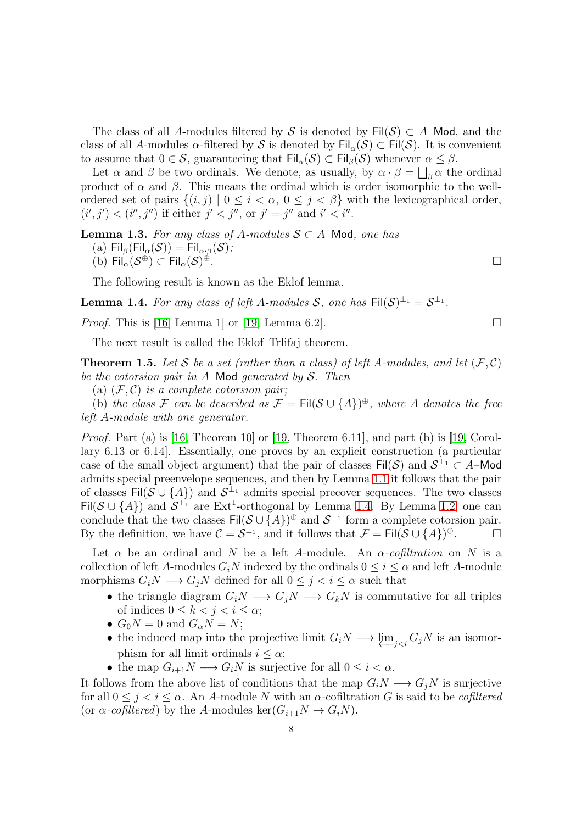The class of all A-modules filtered by S is denoted by  $\text{Fil}(\mathcal{S}) \subset A$ -Mod, and the class of all A-modules  $\alpha$ -filtered by S is denoted by Fil $_{\alpha}(\mathcal{S}) \subset$  Fil $(\mathcal{S})$ . It is convenient to assume that  $0 \in \mathcal{S}$ , guaranteeing that  $\text{Fil}_{\alpha}(\mathcal{S}) \subset \text{Fil}_{\beta}(\mathcal{S})$  whenever  $\alpha \leq \beta$ .

Let  $\alpha$  and  $\beta$  be two ordinals. We denote, as usually, by  $\alpha \cdot \beta = \bigsqcup_{\beta} \alpha$  the ordinal product of  $\alpha$  and  $\beta$ . This means the ordinal which is order isomorphic to the wellordered set of pairs  $\{(i, j) | 0 \le i < \alpha, 0 \le j < \beta\}$  with the lexicographical order,  $(i', j') < (i'', j'')$  if either  $j' < j''$ , or  $j' = j''$  and  $i' < i''$ .

**Lemma 1.3.** For any class of A-modules  $S \subset A$ -Mod, one has

- (a) Fil<sub>β</sub>(Fil<sub>α</sub>(S)) = Fil<sub>α·β</sub>(S);
- (b)  $\operatorname{\sf Fil}_\alpha(\mathcal{S}^\oplus) \subset \operatorname{\sf Fil}_\alpha(\mathcal{S})$ <sup>⊕</sup>*.*

The following result is known as the Eklof lemma.

<span id="page-7-0"></span>**Lemma 1.4.** For any class of left A-modules S, one has  $\text{Fil}(\mathcal{S})^{\perp_1} = \mathcal{S}^{\perp_1}$ .

*Proof.* This is [\[16,](#page-52-4) Lemma 1] or [\[19,](#page-52-1) Lemma 6.2].

The next result is called the Eklof–Trlifaj theorem.

<span id="page-7-1"></span>**Theorem 1.5.** Let S be a set (rather than a class) of left A-modules, and let  $(F, C)$ *be the cotorsion pair in* A–Mod *generated by* S*. Then*

(a)  $(F, C)$  *is a complete cotorsion pair*;

(b) the class F can be described as  $\mathcal{F} = \text{Fil}(\mathcal{S} \cup \{A\})^{\oplus}$ , where A denotes the free *left* A*-module with one generator.*

*Proof.* Part (a) is [\[16,](#page-52-4) Theorem 10] or [\[19,](#page-52-1) Theorem 6.11], and part (b) is [19, Corollary 6.13 or 6.14]. Essentially, one proves by an explicit construction (a particular case of the small object argument) that the pair of classes  $\text{Fil}(\mathcal{S})$  and  $\mathcal{S}^{\perp_1} \subset A$ -Mod admits special preenvelope sequences, and then by Lemma [1.1](#page-5-4) it follows that the pair of classes Fil $(S \cup \{A\})$  and  $S^{\perp_1}$  admits special precover sequences. The two classes Fil( $S \cup \{A\}$ ) and  $S^{\perp_1}$  are Ext<sup>1</sup>-orthogonal by Lemma [1.4.](#page-7-0) By Lemma [1.2,](#page-6-1) one can conclude that the two classes  $\text{Fil}(\mathcal{S} \cup \{A\})^{\oplus}$  and  $\mathcal{S}^{\perp_1}$  form a complete cotorsion pair. By the definition, we have  $\mathcal{C} = \mathcal{S}^{\perp_1}$ , and it follows that  $\mathcal{F} = \text{Fil}(\mathcal{S} \cup \{A\})^{\oplus}$ .

Let  $\alpha$  be an ordinal and N be a left A-module. An  $\alpha$ -cofiltration on N is a collection of left A-modules  $G_iN$  indexed by the ordinals  $0 \leq i \leq \alpha$  and left A-module morphisms  $G_iN \longrightarrow G_jN$  defined for all  $0 \leq j < i \leq \alpha$  such that

- the triangle diagram  $G_iN \longrightarrow G_jN \longrightarrow G_kN$  is commutative for all triples of indices  $0 \leq k < j < i \leq \alpha$ ;
- $G_0N = 0$  and  $G_\alpha N = N$ ;
- the induced map into the projective limit  $G_iN \longrightarrow \underleftarrow{\lim}_{j \leq i} G_jN$  is an isomorphism for all limit ordinals  $i \leq \alpha$ ;
- the map  $G_{i+1}N \longrightarrow G_iN$  is surjective for all  $0 \leq i < \alpha$ .

It follows from the above list of conditions that the map  $G_iN \longrightarrow G_jN$  is surjective for all  $0 \leq j \leq i \leq \alpha$ . An A-module N with an  $\alpha$ -cofiltration G is said to be *cofiltered* (or  $\alpha$ -cofiltered) by the A-modules ker( $G_{i+1}N \to G_iN$ ).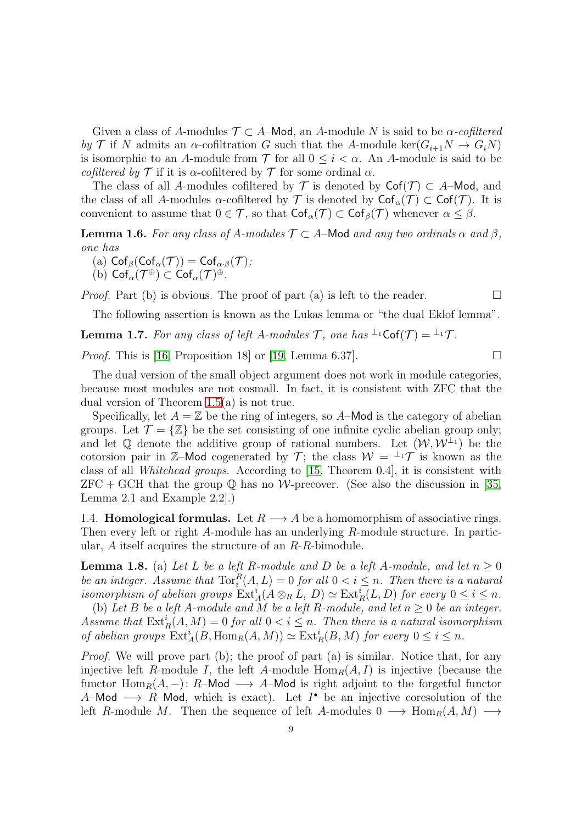Given a class of A-modules  $\mathcal{T} \subset A$ -Mod, an A-module N is said to be  $\alpha$ -cofiltered *by* T if N admits an  $\alpha$ -cofiltration G such that the A-module ker( $G_{i+1}N \to G_iN$ ) is isomorphic to an A-module from  $\mathcal T$  for all  $0 \leq i < \alpha$ . An A-module is said to be *cofiltered by*  $\mathcal T$  if it is  $\alpha$ -cofiltered by  $\mathcal T$  for some ordinal  $\alpha$ .

The class of all A-modules cofiltered by  $\mathcal T$  is denoted by  $\mathsf{Cof}(\mathcal T)\subset A-\mathsf{Mod}$ , and the class of all A-modules  $\alpha$ -cofiltered by  $\mathcal T$  is denoted by  $\mathsf{Cof}_{\alpha}(\mathcal T) \subset \mathsf{Cof}(\mathcal T)$ . It is convenient to assume that  $0 \in \mathcal{T}$ , so that  $\mathsf{Cof}_{\alpha}(\mathcal{T}) \subset \mathsf{Cof}_{\beta}(\mathcal{T})$  whenever  $\alpha \leq \beta$ .

<span id="page-8-3"></span>**Lemma 1.6.** *For any class of A-modules*  $\mathcal{T} \subset A$ -Mod *and any two ordinals*  $\alpha$  *and*  $\beta$ *, one has*

- (a)  $\operatorname{Cof}_{\beta}(\operatorname{Cof}_{\alpha}(\mathcal{T})) = \operatorname{Cof}_{\alpha \cdot \beta}(\mathcal{T})$ ;
- (b)  $\mathsf{Cof}_\alpha(\mathcal{T}^{\oplus}) \subset \mathsf{Cof}_\alpha(\mathcal{T})^{\oplus}$ .

*Proof.* Part (b) is obvious. The proof of part (a) is left to the reader.  $\Box$ 

The following assertion is known as the Lukas lemma or "the dual Eklof lemma".

<span id="page-8-2"></span>**Lemma 1.7.** *For any class of left* A-modules  $\mathcal{T}$ , one has  $\perp^{\perp_1}$ Cof( $\mathcal{T}$ ) =  $\perp^{\perp_1}$  $\mathcal{T}$ .

*Proof.* This is [\[16,](#page-52-4) Proposition 18] or [\[19,](#page-52-1) Lemma 6.37].

The dual version of the small object argument does not work in module categories, because most modules are not cosmall. In fact, it is consistent with ZFC that the dual version of Theorem [1.5\(](#page-7-1)a) is not true.

Specifically, let  $A = \mathbb{Z}$  be the ring of integers, so A–Mod is the category of abelian groups. Let  $\mathcal{T} = \{ \mathbb{Z} \}$  be the set consisting of one infinite cyclic abelian group only; and let Q denote the additive group of rational numbers. Let  $(W, W^{\perp_1})$  be the cotorsion pair in Z–Mod cogenerated by  $\mathcal{T}$ ; the class  $\mathcal{W} = {}^{\perp_1}\mathcal{T}$  is known as the class of all *Whitehead groups*. According to [\[15,](#page-52-8) Theorem 0.4], it is consistent with  $ZFC + GCH$  that the group  $\mathbb Q$  has no W-precover. (See also the discussion in [\[35,](#page-53-4) Lemma 2.1 and Example 2.2].)

<span id="page-8-0"></span>1.4. **Homological formulas.** Let  $R \longrightarrow A$  be a homomorphism of associative rings. Then every left or right A-module has an underlying R-module structure. In particular, A itself acquires the structure of an R-R-bimodule.

<span id="page-8-1"></span>**Lemma 1.8.** (a) Let L be a left R-module and D be a left A-module, and let  $n \geq 0$ be an integer. Assume that  $\text{Tor}_i^R(A, L) = 0$  for all  $0 < i \leq n$ . Then there is a natural *isomorphism of abelian groups*  $\text{Ext}_{A}^{i}(A \otimes_{R} L, D) \simeq \text{Ext}_{R}^{i}(L, D)$  *for every*  $0 \leq i \leq n$ *.* 

(b) Let B be a left A-module and M be a left R-module, and let  $n \geq 0$  be an integer. Assume that  $\text{Ext}^i_R(A, M) = 0$  for all  $0 < i \leq n$ . Then there is a natural isomorphism *of abelian groups*  $\text{Ext}_{A}^{i}(B, \text{Hom}_{R}(A, M)) \simeq \text{Ext}_{R}^{i}(B, M)$  *for every*  $0 \leq i \leq n$ *.* 

*Proof.* We will prove part (b); the proof of part (a) is similar. Notice that, for any injective left R-module I, the left A-module  $\text{Hom}_R(A, I)$  is injective (because the functor  $\text{Hom}_R(A, -)$ : R–Mod  $\longrightarrow$  A–Mod is right adjoint to the forgetful functor A–Mod  $\longrightarrow$  R–Mod, which is exact). Let  $I^{\bullet}$  be an injective coresolution of the left R-module M. Then the sequence of left A-modules  $0 \longrightarrow \text{Hom}_R(A, M) \longrightarrow$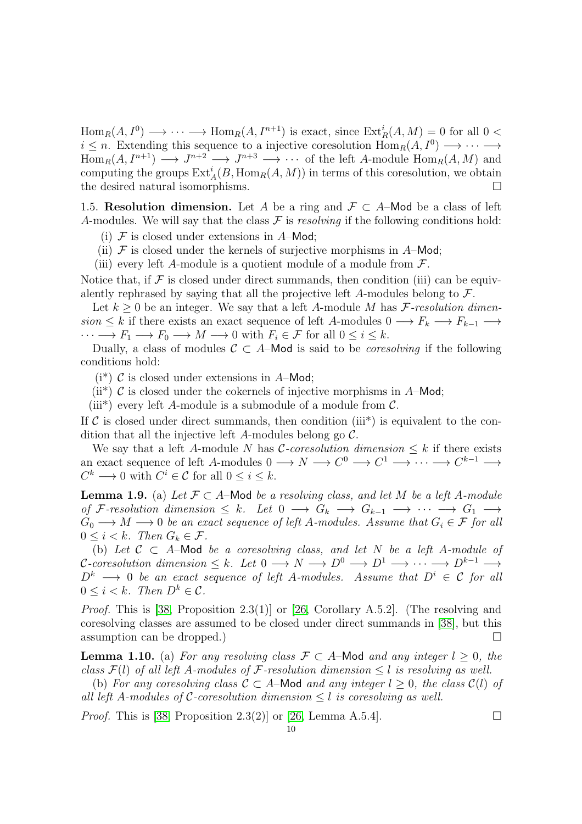$Hom_R(A, I^0) \longrightarrow \cdots \longrightarrow Hom_R(A, I^{n+1})$  is exact, since  $Ext_R^i(A, M) = 0$  for all  $0 <$  $i \leq n$ . Extending this sequence to a injective coresolution  $\text{Hom}_R(A, I^0) \longrightarrow \cdots \longrightarrow$  $\text{Hom}_R(A, I^{n+1}) \longrightarrow J^{n+2} \longrightarrow J^{n+3} \longrightarrow \cdots$  of the left A-module  $\text{Hom}_R(A, M)$  and computing the groups  $\text{Ext}_{A}^{i}(B, \text{Hom}_{R}(A, M))$  in terms of this coresolution, we obtain the desired natural isomorphisms.

<span id="page-9-0"></span>1.5. Resolution dimension. Let A be a ring and  $\mathcal{F} \subset A$ –Mod be a class of left A-modules. We will say that the class  $\mathcal F$  is *resolving* if the following conditions hold:

- (i)  $\mathcal F$  is closed under extensions in A–Mod;
- (ii)  $\mathcal F$  is closed under the kernels of surjective morphisms in A–Mod;
- (iii) every left A-module is a quotient module of a module from  $\mathcal{F}$ .

Notice that, if  $\mathcal F$  is closed under direct summands, then condition (iii) can be equivalently rephrased by saying that all the projective left A-modules belong to  $\mathcal{F}$ .

Let  $k \geq 0$  be an integer. We say that a left A-module M has  $\mathcal{F}\text{-}resolution\ dimen$  $sion \leq k$  if there exists an exact sequence of left A-modules  $0 \longrightarrow F_k \longrightarrow F_{k-1} \longrightarrow$  $\cdots \longrightarrow F_1 \longrightarrow F_0 \longrightarrow M \longrightarrow 0$  with  $F_i \in \mathcal{F}$  for all  $0 \leq i \leq k$ .

Dually, a class of modules  $C \subset A$ –Mod is said to be *coresolving* if the following conditions hold:

 $(i^*)$  C is closed under extensions in A–Mod;

(ii<sup>\*</sup>) C is closed under the cokernels of injective morphisms in  $A$ –Mod;

(iii<sup>\*</sup>) every left A-module is a submodule of a module from  $\mathcal{C}$ .

If  $\mathcal C$  is closed under direct summands, then condition (iii<sup>\*</sup>) is equivalent to the condition that all the injective left A-modules belong go  $\mathcal{C}$ .

We say that a left A-module N has  $\mathcal{C}\text{-}coresolution$  dimension  $\leq k$  if there exists an exact sequence of left A-modules  $0 \longrightarrow N \longrightarrow C^0 \longrightarrow C^1 \longrightarrow \cdots \longrightarrow C^{k-1} \longrightarrow$  $C^k \longrightarrow 0$  with  $C^i \in \mathcal{C}$  for all  $0 \leq i \leq k$ .

<span id="page-9-1"></span>**Lemma 1.9.** (a) Let  $\mathcal{F} \subset A$ -Mod *be a resolving class, and let* M *be a left* A-module *of* F-resolution dimension  $\leq k$ . Let  $0 \longrightarrow G_k \longrightarrow G_{k-1} \longrightarrow \cdots \longrightarrow G_1 \longrightarrow$  $G_0 \longrightarrow M \longrightarrow 0$  *be an exact sequence of left* A-modules. Assume that  $G_i \in \mathcal{F}$  for all  $0 \leq i < k$ . Then  $G_k \in \mathcal{F}$ .

(b) Let  $C \subset A$ –Mod *be a coresolving class, and let* N *be a left* A-module of  $\mathcal{C}\text{-}coresolution\ dimension \leq k.$  Let  $0 \longrightarrow N \longrightarrow D^0 \longrightarrow D^1 \longrightarrow \cdots \longrightarrow D^{k-1} \longrightarrow$  $D^k \longrightarrow 0$  *be an exact sequence of left* A-modules. Assume that  $D^i \in \mathcal{C}$  for all  $0 \leq i < k$ *. Then*  $D^k \in \mathcal{C}$ *.* 

*Proof.* This is [\[38,](#page-53-6) Proposition 2.3(1)] or [\[26,](#page-53-7) Corollary A.5.2]. (The resolving and coresolving classes are assumed to be closed under direct summands in [\[38\]](#page-53-6), but this assumption can be dropped.)  $\Box$ 

<span id="page-9-2"></span>**Lemma 1.10.** (a) *For any resolving class*  $\mathcal{F} \subset A$ –Mod *and any integer*  $l \geq 0$ *, the class*  $\mathcal{F}(l)$  *of all left* A-modules of F-resolution dimension  $\leq l$  is resolving as well.

(b) For any coresolving class  $C \subset A$ –Mod and any integer  $l \geq 0$ , the class  $C(l)$  of *all left* A*-modules of* C*-coresolution dimension* ≤ l *is coresolving as well.*

*Proof.* This is [\[38,](#page-53-6) Proposition 2.3(2)] or [\[26,](#page-53-7) Lemma A.5.4].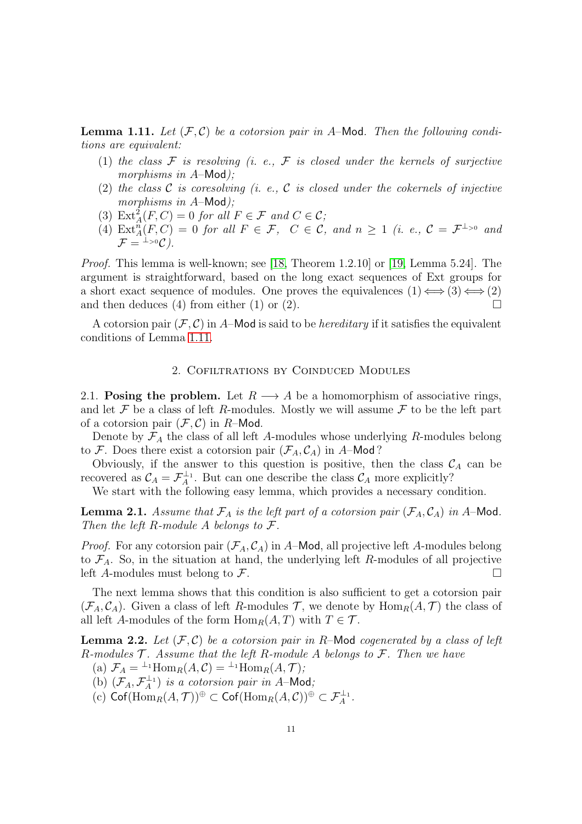<span id="page-10-2"></span>**Lemma 1.11.** Let  $(F, C)$  be a cotorsion pair in A-Mod. Then the following condi*tions are equivalent:*

- (1) the class  $\mathcal F$  is resolving (i. e.,  $\mathcal F$  is closed under the kernels of surjective *morphisms in* A–Mod*);*
- (2) *the class* C *is coresolving (i. e.,* C *is closed under the cokernels of injective morphisms in* A–Mod*);*
- (3)  $\text{Ext}_{A}^{2}(F, C) = 0$  *for all*  $F \in \mathcal{F}$  *and*  $C \in \mathcal{C}$ *;*
- (4)  $\text{Ext}_{A}^{n}(F, C) = 0$  *for all*  $F \in \mathcal{F}$ ,  $C \in \mathcal{C}$ , and  $n \geq 1$  (*i. e.*,  $\mathcal{C} = \mathcal{F}^{\perp_{>0}}$  and  $\mathcal{F} = {}^{\perp_{>0}}\mathcal{C}$ .

*Proof.* This lemma is well-known; see [\[18,](#page-52-10) Theorem 1.2.10] or [\[19,](#page-52-1) Lemma 5.24]. The argument is straightforward, based on the long exact sequences of Ext groups for a short exact sequence of modules. One proves the equivalences  $(1) \Longleftrightarrow (3) \Longleftrightarrow (2)$ and then deduces (4) from either (1) or (2).  $\Box$ 

<span id="page-10-0"></span>A cotorsion pair  $(F, C)$  in A–Mod is said to be *hereditary* if it satisfies the equivalent conditions of Lemma [1.11.](#page-10-2)

## 2. Cofiltrations by Coinduced Modules

<span id="page-10-1"></span>2.1. Posing the problem. Let  $R \longrightarrow A$  be a homomorphism of associative rings, and let F be a class of left R-modules. Mostly we will assume  $\mathcal F$  to be the left part of a cotorsion pair  $(\mathcal{F}, \mathcal{C})$  in R-Mod.

Denote by  $\mathcal{F}_A$  the class of all left A-modules whose underlying R-modules belong to F. Does there exist a cotorsion pair  $(\mathcal{F}_A, \mathcal{C}_A)$  in A–Mod?

Obviously, if the answer to this question is positive, then the class  $\mathcal{C}_A$  can be recovered as  $C_A = \mathcal{F}_A^{\perp_1}$ . But can one describe the class  $C_A$  more explicitly?

We start with the following easy lemma, which provides a necessary condition.

<span id="page-10-4"></span>**Lemma 2.1.** *Assume that*  $\mathcal{F}_A$  *is the left part of a cotorsion pair*  $(\mathcal{F}_A, \mathcal{C}_A)$  *in* A–Mod. *Then the left* R*-module* A *belongs to* F*.*

*Proof.* For any cotorsion pair  $(\mathcal{F}_A, \mathcal{C}_A)$  in A–Mod, all projective left A-modules belong to  $\mathcal{F}_A$ . So, in the situation at hand, the underlying left R-modules of all projective left A-modules must belong to  $\mathcal F$ .

The next lemma shows that this condition is also sufficient to get a cotorsion pair  $(\mathcal{F}_A, \mathcal{C}_A)$ . Given a class of left R-modules T, we denote by  $\text{Hom}_R(A, \mathcal{T})$  the class of all left A-modules of the form  $\text{Hom}_R(A, T)$  with  $T \in \mathcal{T}$ .

<span id="page-10-3"></span>**Lemma 2.2.** Let  $(F, C)$  be a cotorsion pair in R-Mod cogenerated by a class of left R*-modules* T *. Assume that the left* R*-module* A *belongs to* F*. Then we have*

- (a)  $\mathcal{F}_A = {}^{\perp_1} \text{Hom}_R(A, \mathcal{C}) = {}^{\perp_1} \text{Hom}_R(A, \mathcal{T})$ ;
- (b)  $(\mathcal{F}_A, \mathcal{F}_A^{\perp_1})$  *is a cotorsion pair in A*–Mod;
- $\mathcal{L}(\mathbf{c}) \ \mathsf{Cof}(\mathrm{Hom}_R(A,\mathcal{T}))^{\oplus} \subset \mathsf{Cof}(\mathrm{Hom}_R(A,\mathcal{C}))^{\oplus} \subset \mathcal{F}_A^{\perp_1}.$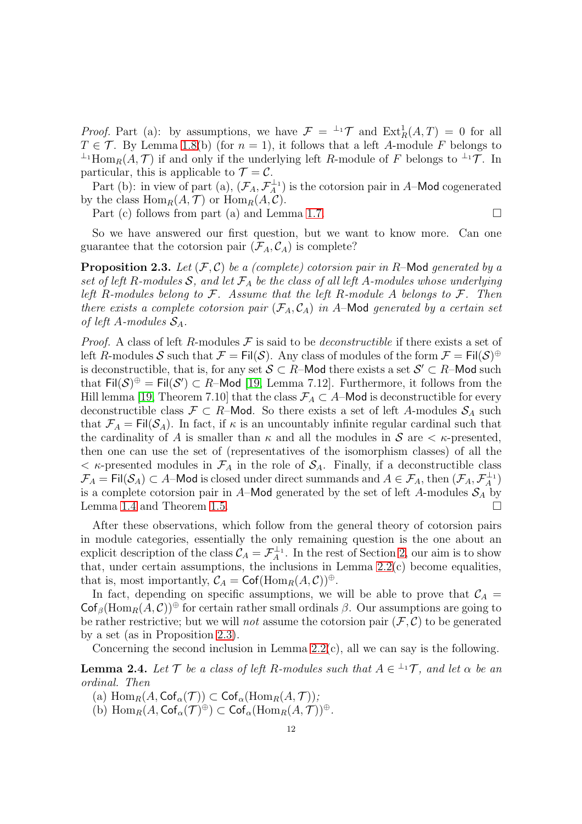*Proof.* Part (a): by assumptions, we have  $\mathcal{F} = {}^{\perp_1} \mathcal{T}$  and  $\text{Ext}^1_R(A, T) = 0$  for all  $T \in \mathcal{T}$ . By Lemma [1.8\(](#page-8-1)b) (for  $n = 1$ ), it follows that a left A-module F belongs to  $\perp$ <sup>1</sup>Hom<sub>R</sub>(A,  $\mathcal{T}$ ) if and only if the underlying left R-module of F belongs to  $\perp$ <sup>1</sup> $\mathcal{T}$ . In particular, this is applicable to  $\mathcal{T} = \mathcal{C}$ .

Part (b): in view of part (a),  $(\mathcal{F}_A, \mathcal{F}_A^{\perp_1})$  is the cotorsion pair in A-Mod cogenerated by the class  $\text{Hom}_R(A, \mathcal{T})$  or  $\text{Hom}_R(A, \mathcal{C})$ .

Part (c) follows from part (a) and Lemma [1.7.](#page-8-2)

$$
\overline{}
$$

So we have answered our first question, but we want to know more. Can one guarantee that the cotorsion pair  $(\mathcal{F}_A, \mathcal{C}_A)$  is complete?

<span id="page-11-0"></span>Proposition 2.3. *Let* (F, C) *be a (complete) cotorsion pair in* R–Mod *generated by a* set of left R-modules  $S$ , and let  $\mathcal{F}_A$  be the class of all left A-modules whose underlying *left* R*-modules belong to* F*. Assume that the left* R*-module* A *belongs to* F*. Then there exists a complete cotorsion pair*  $(\mathcal{F}_A, \mathcal{C}_A)$  *in* A–Mod *generated by a certain set of left* A-modules  $S_A$ .

*Proof.* A class of left R-modules F is said to be *deconstructible* if there exists a set of left R-modules  $\mathcal S$  such that  $\mathcal F=\sf{Fil}(\mathcal S)$ . Any class of modules of the form  $\mathcal F=\sf{Fil}(\mathcal S)^\oplus$ is deconstructible, that is, for any set  $\mathcal{S} \subset R$ -Mod there exists a set  $\mathcal{S}' \subset R$ -Mod such that  $\text{Fil}(\mathcal{S})^{\oplus} = \text{Fil}(\mathcal{S}') \subset R$ -Mod [\[19,](#page-52-1) Lemma 7.12]. Furthermore, it follows from the Hill lemma [\[19,](#page-52-1) Theorem 7.10] that the class  $\mathcal{F}_A \subset A$ –Mod is deconstructible for every deconstructible class  $\mathcal{F} \subset R$ –Mod. So there exists a set of left A-modules  $\mathcal{S}_A$  such that  $\mathcal{F}_A = \text{Fil}(\mathcal{S}_A)$ . In fact, if  $\kappa$  is an uncountably infinite regular cardinal such that the cardinality of A is smaller than  $\kappa$  and all the modules in  $\mathcal S$  are  $\lt \kappa$ -presented, then one can use the set of (representatives of the isomorphism classes) of all the  $\langle \kappa$ -presented modules in  $\mathcal{F}_A$  in the role of  $\mathcal{S}_A$ . Finally, if a deconstructible class  $\mathcal{F}_A=\mathsf{Fil}(\mathcal{S}_A)\subset A\text{-}\mathsf{Mod}$  is closed under direct summands and  $A\in\mathcal{F}_A,$  then  $(\mathcal{F}_A,\mathcal{F}_A^{\perp_1})$ is a complete cotorsion pair in A–Mod generated by the set of left A-modules  $S_A$  by Lemma [1.4](#page-7-0) and Theorem [1.5.](#page-7-1)

After these observations, which follow from the general theory of cotorsion pairs in module categories, essentially the only remaining question is the one about an explicit description of the class  $C_A = \mathcal{F}_A^{\perp_1}$ . In the rest of Section [2,](#page-10-0) our aim is to show that, under certain assumptions, the inclusions in Lemma [2.2\(](#page-10-3)c) become equalities, that is, most importantly,  $C_A = \text{Cof}(\text{Hom}_R(A, C))^{\oplus}$ .

In fact, depending on specific assumptions, we will be able to prove that  $\mathcal{C}_A$  $\mathsf{Cof}_{\beta}(\mathrm{Hom}_R(A, \mathcal{C}))^{\oplus}$  for certain rather small ordinals  $\beta$ . Our assumptions are going to be rather restrictive; but we will *not* assume the cotorsion pair  $(F, C)$  to be generated by a set (as in Proposition [2.3\)](#page-11-0).

Concerning the second inclusion in Lemma  $2.2(c)$ , all we can say is the following.

**Lemma 2.4.** Let  $\mathcal{T}$  be a class of left R-modules such that  $A \in \perp^1 \mathcal{T}$ , and let  $\alpha$  be an *ordinal. Then*

- (a)  $\text{Hom}_R(A, \text{Cof}_{\alpha}(\mathcal{T})) \subset \text{Cof}_{\alpha}(\text{Hom}_R(A, \mathcal{T}));$
- (b)  $\text{Hom}_R(A, \text{Cof}_\alpha(\mathcal{T})^{\oplus}) \subset \text{Cof}_\alpha(\text{Hom}_R(A, \mathcal{T}))^{\oplus}$ .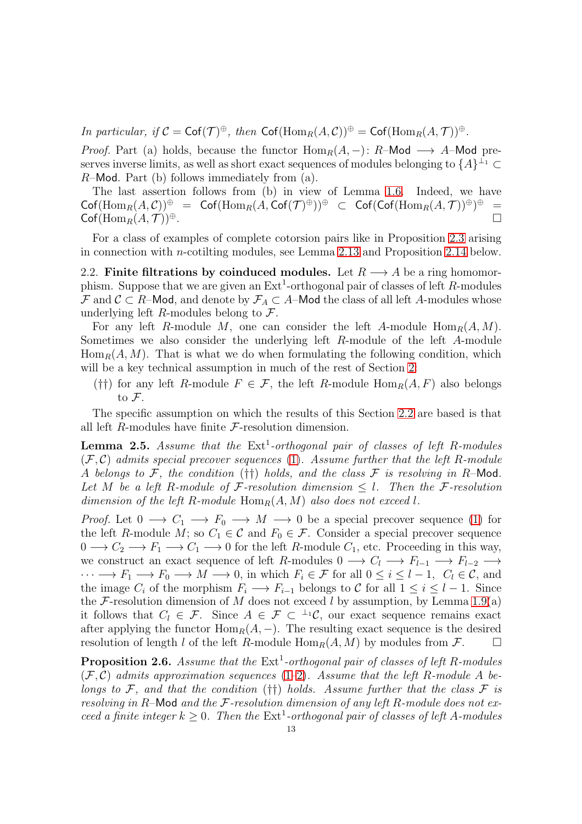*In particular, if*  $C = \text{Cof}(\mathcal{T})^{\oplus}$ *, then*  $\text{Cof}(\text{Hom}_R(A, C))^{\oplus} = \text{Cof}(\text{Hom}_R(A, \mathcal{T}))^{\oplus}$ *.* 

*Proof.* Part (a) holds, because the functor  $\text{Hom}_R(A, -)$ : R–Mod  $\longrightarrow$  A–Mod preserves inverse limits, as well as short exact sequences of modules belonging to  $\{A\}^{\perp_1} \subset$  $R$ –Mod. Part (b) follows immediately from  $(a)$ .

The last assertion follows from (b) in view of Lemma [1.6.](#page-8-3) Indeed, we have  $\mathsf{Cof}(\mathrm{Hom}_R(A,\mathcal{C}))^\oplus\ \ =\ \ \mathsf{Cof}(\mathrm{Hom}_R(A,\mathsf{Cof}(\mathcal{T})^\oplus))^\oplus\ \ \subset\ \ \mathsf{Cof}(\mathsf{Cof}(\mathrm{Hom}_R(A,\mathcal{T}))^\oplus)^\oplus\ \ =$  $\mathsf{Cof}(\mathrm{Hom}_R(A,\mathcal{T}))^{\oplus}.$ 

For a class of examples of complete cotorsion pairs like in Proposition [2.3](#page-11-0) arising in connection with n-cotilting modules, see Lemma [2.13](#page-17-1) and Proposition [2.14](#page-18-0) below.

<span id="page-12-0"></span>2.2. Finite filtrations by coinduced modules. Let  $R \longrightarrow A$  be a ring homomorphism. Suppose that we are given an  $\text{Ext}^1$ -orthogonal pair of classes of left R-modules F and  $\mathcal{C} \subset R$ –Mod, and denote by  $\mathcal{F}_A \subset A$ –Mod the class of all left A-modules whose underlying left R-modules belong to  $\mathcal{F}$ .

For any left R-module M, one can consider the left A-module  $\text{Hom}_R(A, M)$ . Sometimes we also consider the underlying left R-module of the left A-module  $\text{Hom}_R(A, M)$ . That is what we do when formulating the following condition, which will be a key technical assumption in much of the rest of Section [2:](#page-10-0)

(††) for any left R-module  $F \in \mathcal{F}$ , the left R-module  $\text{Hom}_R(A, F)$  also belongs to  $\mathcal{F}.$ 

The specific assumption on which the results of this Section [2.2](#page-12-0) are based is that all left  $R$ -modules have finite  $\mathcal F$ -resolution dimension.

<span id="page-12-1"></span>**Lemma 2.5.** Assume that the Ext<sup>1</sup>-orthogonal pair of classes of left R-modules (F, C) *admits special precover sequences* [\(1\)](#page-5-2)*. Assume further that the left* R*-module* A *belongs to* F*, the condition* (††) *holds, and the class* F *is resolving in* R–Mod*. Let* M *be a left* R*-module of* F*-resolution dimension* ≤ l*. Then the* F*-resolution dimension of the left*  $R$ -module  $\text{Hom}_R(A, M)$  *also does not exceed l.* 

*Proof.* Let  $0 \longrightarrow C_1 \longrightarrow F_0 \longrightarrow M \longrightarrow 0$  be a special precover sequence [\(1\)](#page-5-2) for the left R-module M; so  $C_1 \in \mathcal{C}$  and  $F_0 \in \mathcal{F}$ . Consider a special precover sequence  $0 \longrightarrow C_2 \longrightarrow F_1 \longrightarrow C_1 \longrightarrow 0$  for the left R-module  $C_1$ , etc. Proceeding in this way, we construct an exact sequence of left R-modules  $0 \longrightarrow C_l \longrightarrow F_{l-1} \longrightarrow F_{l-2} \longrightarrow$  $\cdots \longrightarrow F_1 \longrightarrow F_0 \longrightarrow M \longrightarrow 0$ , in which  $F_i \in \mathcal{F}$  for all  $0 \leq i \leq l-1$ ,  $C_l \in \mathcal{C}$ , and the image  $C_i$  of the morphism  $F_i \longrightarrow F_{i-1}$  belongs to C for all  $1 \leq i \leq l-1$ . Since the F-resolution dimension of M does not exceed l by assumption, by Lemma [1.9\(](#page-9-1)a) it follows that  $C_l \in \mathcal{F}$ . Since  $A \in \mathcal{F} \subset {}^{\perp_1}\mathcal{C}$ , our exact sequence remains exact after applying the functor  $\text{Hom}_R(A, -)$ . The resulting exact sequence is the desired resolution of length l of the left R-module  $\text{Hom}_R(A, M)$  by modules from  $\mathcal{F}$ .

<span id="page-12-2"></span>**Proposition 2.6.** Assume that the  $Ext<sup>1</sup>$ -orthogonal pair of classes of left R-modules  $(\mathcal{F}, \mathcal{C})$  *admits approximation sequences* [\(1](#page-5-2)[–2\)](#page-5-3). Assume that the left R-module A be*longs to*  $\mathcal{F}$ , and that the condition (††) holds. Assume further that the class  $\mathcal{F}$  *is resolving in* R–Mod *and the* F*-resolution dimension of any left* R*-module does not exceed a finite integer*  $k \geq 0$ . Then the  $Ext<sup>1</sup>$ -orthogonal pair of classes of left A-modules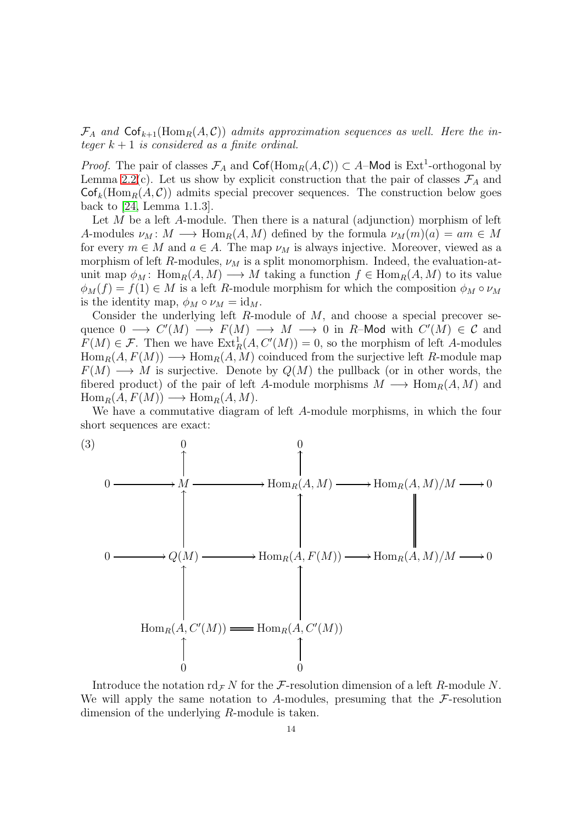$\mathcal{F}_A$  and  $\textsf{Cof}_{k+1}(\text{Hom}_R(A, C))$  admits approximation sequences as well. Here the in*teger*  $k + 1$  *is considered as a finite ordinal.* 

*Proof.* The pair of classes  $\mathcal{F}_A$  and  $\text{Cof}(\text{Hom}_R(A, C)) \subset A$ –Mod is Ext<sup>1</sup>-orthogonal by Lemma [2.2\(](#page-10-3)c). Let us show by explicit construction that the pair of classes  $\mathcal{F}_A$  and  $\mathsf{Cof}_k(\mathrm{Hom}_R(A, C))$  admits special precover sequences. The construction below goes back to [\[24,](#page-52-0) Lemma 1.1.3].

Let  $M$  be a left  $A$ -module. Then there is a natural (adjunction) morphism of left A-modules  $\nu_M: M \longrightarrow \text{Hom}_R(A, M)$  defined by the formula  $\nu_M(m)(a) = am \in M$ for every  $m \in M$  and  $a \in A$ . The map  $\nu_M$  is always injective. Moreover, viewed as a morphism of left R-modules,  $\nu_M$  is a split monomorphism. Indeed, the evaluation-atunit map  $\phi_M$ : Hom<sub>R</sub> $(A, M) \longrightarrow M$  taking a function  $f \in \text{Hom}_R(A, M)$  to its value  $\phi_M(f) = f(1) \in M$  is a left R-module morphism for which the composition  $\phi_M \circ \nu_M$ is the identity map,  $\phi_M \circ \nu_M = id_M$ .

Consider the underlying left  $R$ -module of  $M$ , and choose a special precover sequence  $0 \longrightarrow C'(M) \longrightarrow F(M) \longrightarrow M \longrightarrow 0$  in R-Mod with  $C'(M) \in \mathcal{C}$  and  $F(M) \in \mathcal{F}$ . Then we have  $\text{Ext}^1_R(A, C'(M)) = 0$ , so the morphism of left A-modules  $Hom_R(A, F(M)) \longrightarrow Hom_R(A, M)$  coinduced from the surjective left R-module map  $F(M) \longrightarrow M$  is surjective. Denote by  $Q(M)$  the pullback (or in other words, the fibered product) of the pair of left A-module morphisms  $M \longrightarrow \text{Hom}_{R}(A, M)$  and  $\text{Hom}_R(A, F(M)) \longrightarrow \text{Hom}_R(A, M).$ 

We have a commutative diagram of left A-module morphisms, in which the four short sequences are exact:

<span id="page-13-0"></span>

Introduce the notation  $\mathrm{rd}_{\mathcal{F}} N$  for the F-resolution dimension of a left R-module N. We will apply the same notation to A-modules, presuming that the  $\mathcal{F}\text{-resolution}$ dimension of the underlying R-module is taken.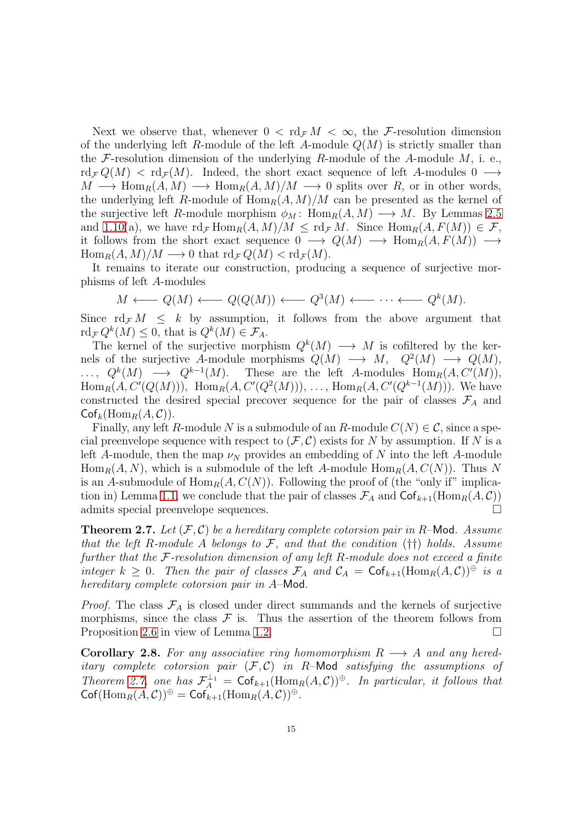Next we observe that, whenever  $0 < \text{rd}_{\mathcal{F}} M < \infty$ , the F-resolution dimension of the underlying left R-module of the left A-module  $Q(M)$  is strictly smaller than the F-resolution dimension of the underlying R-module of the A-module  $M$ , i. e.,  $\text{rd}_{\mathcal{F}} Q(M) < \text{rd}_{\mathcal{F}}(M)$ . Indeed, the short exact sequence of left A-modules 0  $\longrightarrow$  $M \longrightarrow \text{Hom}_{R}(A, M) \longrightarrow \text{Hom}_{R}(A, M)/M \longrightarrow 0$  splits over R, or in other words, the underlying left R-module of  $\text{Hom}_R(A, M)/M$  can be presented as the kernel of the surjective left R-module morphism  $\phi_M$ : Hom<sub>R</sub> $(A, M) \longrightarrow M$ . By Lemmas [2.5](#page-12-1) and [1.10\(](#page-9-2)a), we have  $\text{rd}_{\mathcal{F}}\text{Hom}_R(A, M)/M \leq \text{rd}_{\mathcal{F}}M$ . Since  $\text{Hom}_R(A, F(M)) \in \mathcal{F}$ , it follows from the short exact sequence  $0 \longrightarrow Q(M) \longrightarrow \text{Hom}_{R}(A, F(M)) \longrightarrow$  $\text{Hom}_R(A, M)/M \longrightarrow 0$  that  $\text{rd}_\mathcal{F} Q(M) < \text{rd}_\mathcal{F}(M)$ .

It remains to iterate our construction, producing a sequence of surjective morphisms of left A-modules

$$
M \longleftarrow Q(M) \longleftarrow Q(Q(M)) \longleftarrow Q^3(M) \longleftarrow \cdots \longleftarrow Q^k(M).
$$

Since  $\mathrm{rd}_{\mathcal{F}} M \leq k$  by assumption, it follows from the above argument that  $\mathrm{rd}_{\mathcal{F}} Q^k(M) \leq 0$ , that is  $Q^k(M) \in \mathcal{F}_A$ .

The kernel of the surjective morphism  $Q^k(M) \longrightarrow M$  is cofiltered by the kernels of the surjective A-module morphisms  $Q(M) \longrightarrow M$ ,  $Q^2(M) \longrightarrow Q(M)$ ,  $\ldots, Q^k(M) \longrightarrow Q^{k-1}(M)$ . These are the left A-modules  $\text{Hom}_R(A, C'(M)),$ Hom<sub>R</sub> $(A, C'(Q(M)))$ , Hom<sub>R</sub> $(A, C'(Q^2(M)))$ , ..., Hom<sub>R</sub> $(A, C'(Q^{k-1}(M)))$ . We have constructed the desired special precover sequence for the pair of classes  $\mathcal{F}_A$  and  $\mathsf{Cof}_k(\mathrm{Hom}_R(A, C)).$ 

Finally, any left R-module N is a submodule of an R-module  $C(N) \in \mathcal{C}$ , since a special preenvelope sequence with respect to  $(\mathcal{F}, \mathcal{C})$  exists for N by assumption. If N is a left A-module, then the map  $\nu_N$  provides an embedding of N into the left A-module  $\text{Hom}_R(A, N)$ , which is a submodule of the left A-module  $\text{Hom}_R(A, C(N))$ . Thus N is an A-submodule of  $\text{Hom}_R(A, C(N))$ . Following the proof of (the "only if" implica-tion in) Lemma [1.1,](#page-5-4) we conclude that the pair of classes  $\mathcal{F}_A$  and  $\mathsf{Cof}_{k+1}(\mathrm{Hom}_R(A,\mathcal{C}))$ admits special preenvelope sequences.

<span id="page-14-0"></span>Theorem 2.7. *Let* (F, C) *be a hereditary complete cotorsion pair in* R–Mod*. Assume that the left* R*-module* A *belongs to* F*, and that the condition* (††) *holds. Assume further that the* F*-resolution dimension of any left* R*-module does not exceed a finite integer*  $k \geq 0$ *. Then the pair of classes*  $\mathcal{F}_A$  *and*  $\mathcal{C}_A = \mathsf{Cof}_{k+1}(\text{Hom}_R(A, \mathcal{C})) \oplus$  *is a hereditary complete cotorsion pair in* A–Mod*.*

*Proof.* The class  $\mathcal{F}_A$  is closed under direct summands and the kernels of surjective morphisms, since the class  $\mathcal F$  is. Thus the assertion of the theorem follows from Proposition [2.6](#page-12-2) in view of Lemma [1.2.](#page-6-1)

<span id="page-14-1"></span>**Corollary 2.8.** For any associative ring homomorphism  $R \rightarrow A$  and any hered*itary complete cotorsion pair* (F, C) *in* R–Mod *satisfying the assumptions of Theorem [2.7,](#page-14-0) one has*  $\mathcal{F}_A^{\perp_1} = \mathsf{Cof}_{k+1}(\text{Hom}_R(A, C))^{\oplus}$ *. In particular, it follows that*  $\operatorname{Cof}(\operatorname{Hom}_R(A,\mathcal{C}))^{\oplus} = \operatorname{Cof}_{k+1}(\operatorname{Hom}_R(A,\mathcal{C}))^{\oplus}.$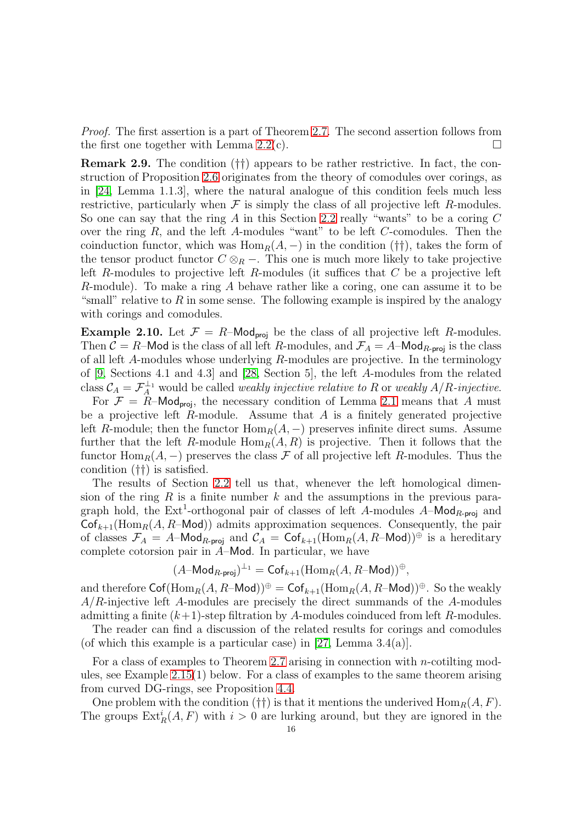*Proof.* The first assertion is a part of Theorem [2.7.](#page-14-0) The second assertion follows from the first one together with Lemma [2.2\(](#page-10-3)c).  $\square$ 

<span id="page-15-0"></span>Remark 2.9. The condition (††) appears to be rather restrictive. In fact, the construction of Proposition [2.6](#page-12-2) originates from the theory of comodules over corings, as in [\[24,](#page-52-0) Lemma 1.1.3], where the natural analogue of this condition feels much less restrictive, particularly when  $\mathcal F$  is simply the class of all projective left R-modules. So one can say that the ring A in this Section [2.2](#page-12-0) really "wants" to be a coring  $C$ over the ring  $R$ , and the left  $A$ -modules "want" to be left  $C$ -comodules. Then the coinduction functor, which was  $\text{Hom}_R(A, -)$  in the condition (††), takes the form of the tensor product functor  $C \otimes_R -$ . This one is much more likely to take projective left R-modules to projective left R-modules (it suffices that  $C$  be a projective left R-module). To make a ring A behave rather like a coring, one can assume it to be "small" relative to R in some sense. The following example is inspired by the analogy with corings and comodules.

<span id="page-15-1"></span>**Example 2.10.** Let  $\mathcal{F} = R$ –Mod<sub>proj</sub> be the class of all projective left R-modules. Then  $C = R$ –Mod is the class of all left R-modules, and  $\mathcal{F}_A = A$ –Mod<sub>R-proj</sub> is the class of all left A-modules whose underlying R-modules are projective. In the terminology of [\[9,](#page-52-11) Sections 4.1 and 4.3] and [\[28,](#page-53-8) Section 5], the left A-modules from the related class  $C_A = \mathcal{F}_A^{\perp_1}$  would be called *weakly injective relative to* R or *weakly*  $A/R$ -*injective*.

For  $\mathcal{F} = R$ –Mod<sub>proj</sub>, the necessary condition of Lemma [2.1](#page-10-4) means that A must be a projective left  $R$ -module. Assume that  $A$  is a finitely generated projective left R-module; then the functor  $\text{Hom}_R(A, -)$  preserves infinite direct sums. Assume further that the left R-module  $\text{Hom}_R(A, R)$  is projective. Then it follows that the functor  $\text{Hom}_R(A, -)$  preserves the class F of all projective left R-modules. Thus the condition (††) is satisfied.

The results of Section [2.2](#page-12-0) tell us that, whenever the left homological dimension of the ring R is a finite number  $k$  and the assumptions in the previous paragraph hold, the Ext<sup>1</sup>-orthogonal pair of classes of left A-modules  $A-\text{Mod}_{R\text{-proj}}$  and  $\mathsf{Cof}_{k+1}(\mathrm{Hom}_R(A, R-\mathsf{Mod}))$  admits approximation sequences. Consequently, the pair of classes  $\mathcal{F}_A = A$ –Mod<sub>R-proj</sub> and  $\mathcal{C}_A = \text{Cof}_{k+1}(\text{Hom}_R(A, R-\text{Mod}))^{\oplus}$  is a hereditary complete cotorsion pair in  $A$ –Mod. In particular, we have

$$
(A-\mathsf{Mod}_{R\text{-}\mathsf{proj}})^{\perp_1}=\mathsf{Cof}_{k+1}(\mathrm{Hom}_R(A,R\text{-}\mathsf{Mod}))^\oplus,
$$

and therefore  $\text{Cof}(\text{Hom}_R(A, R-\text{Mod}))^{\oplus} = \text{Cof}_{k+1}(\text{Hom}_R(A, R-\text{Mod}))^{\oplus}$ . So the weakly  $A/R$ -injective left A-modules are precisely the direct summands of the A-modules admitting a finite  $(k+1)$ -step filtration by A-modules coinduced from left R-modules.

The reader can find a discussion of the related results for corings and comodules (of which this example is a particular case) in  $[27, \text{Lemma } 3.4(a)].$ 

For a class of examples to Theorem [2.7](#page-14-0) arising in connection with n-cotiling modules, see Example [2.15\(](#page-18-1)1) below. For a class of examples to the same theorem arising from curved DG-rings, see Proposition [4.4.](#page-46-0)

One problem with the condition (††) is that it mentions the underived  $\text{Hom}_R(A, F)$ . The groups  $\text{Ext}^i_R(A, F)$  with  $i > 0$  are lurking around, but they are ignored in the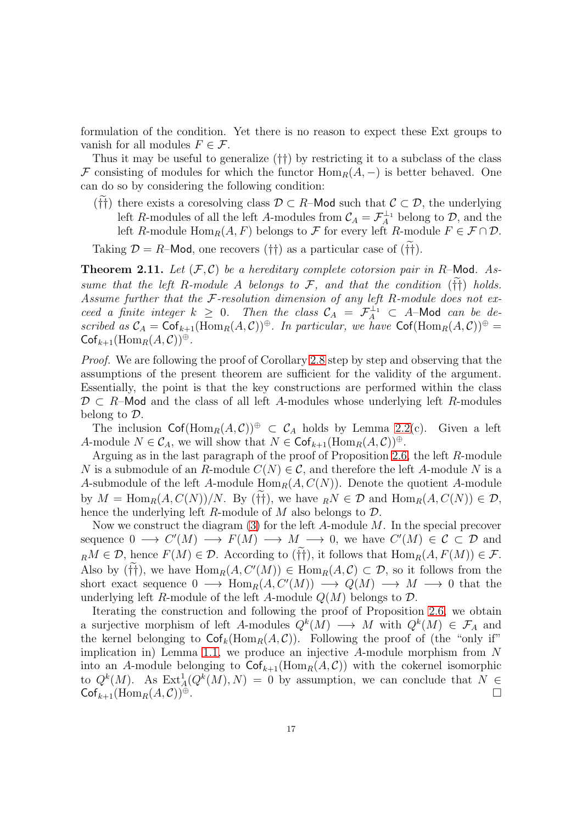formulation of the condition. Yet there is no reason to expect these Ext groups to vanish for all modules  $F \in \mathcal{F}$ .

Thus it may be useful to generalize (††) by restricting it to a subclass of the class F consisting of modules for which the functor  $\text{Hom}_R(A, -)$  is better behaved. One can do so by considering the following condition:

(††) there exists a coresolving class  $\mathcal{D} \subset R$ –Mod such that  $\mathcal{C} \subset \mathcal{D}$ , the underlying left R-modules of all the left A-modules from  $\mathcal{C}_A = \mathcal{F}_A^{\perp_1}$  belong to  $\mathcal{D}$ , and the left R-module  $\text{Hom}_R(A, F)$  belongs to F for every left R-module  $F \in \mathcal{F} \cap \mathcal{D}$ .

Taking  $\mathcal{D} = R$ –Mod, one recovers (††) as a particular case of (††).

<span id="page-16-0"></span>**Theorem 2.11.** Let  $(F, C)$  be a hereditary complete cotorsion pair in R-Mod. As*sume that the left* R-module A *belongs to*  $\mathcal{F}$ *, and that the condition* ( $\dagger\dagger$ ) *holds. Assume further that the* F*-resolution dimension of any left* R*-module does not exceed a finite integer*  $k \geq 0$ . Then the class  $C_A = \mathcal{F}_A^{\perp_1} \subset A$ -Mod can be de*scribed as*  $C_A = \text{Cof}_{k+1}(\text{Hom}_R(A, C))^{\oplus}$ . In particular, we have  $\text{Cof}(\text{Hom}_R(A, C))^{\oplus}$  $\mathsf{Cof}_{k+1}(\mathrm{Hom}_R(A, C))^{\oplus}.$ 

*Proof.* We are following the proof of Corollary [2.8](#page-14-1) step by step and observing that the assumptions of the present theorem are sufficient for the validity of the argument. Essentially, the point is that the key constructions are performed within the class  $\mathcal{D} \subset R$ –Mod and the class of all left A-modules whose underlying left R-modules belong to D.

The inclusion  $\operatorname{Cof}(\operatorname{Hom}_R(A,\mathcal{C}))^{\oplus} \subset \mathcal{C}_A$  holds by Lemma [2.2\(](#page-10-3)c). Given a left A-module  $N \in \mathcal{C}_A$ , we will show that  $N \in \mathsf{Cof}_{k+1}(\mathrm{Hom}_R(A,\mathcal{C}))^{\oplus}$ .

Arguing as in the last paragraph of the proof of Proposition [2.6,](#page-12-2) the left R-module N is a submodule of an R-module  $C(N) \in \mathcal{C}$ , and therefore the left A-module N is a A-submodule of the left A-module  $\text{Hom}_R(A, C(N))$ . Denote the quotient A-module by  $M = \text{Hom}_R(A, C(N))/N$ . By (††), we have  $_R N \in \mathcal{D}$  and  $\text{Hom}_R(A, C(N)) \in \mathcal{D}$ , hence the underlying left R-module of  $M$  also belongs to  $\mathcal{D}$ .

Now we construct the diagram  $(3)$  for the left A-module M. In the special precover sequence  $0 \longrightarrow C'(M) \longrightarrow F(M) \longrightarrow M \longrightarrow 0$ , we have  $C'(M) \in \mathcal{C} \subset \mathcal{D}$  and  $_R M \in \mathcal{D}$ , hence  $F(M) \in \mathcal{D}$ . According to  $(\tilde{f}^{\dagger})$ , it follows that  $\text{Hom}_R(A, F(M)) \in \mathcal{F}$ . Also by (††), we have  $\text{Hom}_R(A, C'(M)) \in \text{Hom}_R(A, C) \subset \mathcal{D}$ , so it follows from the short exact sequence  $0 \longrightarrow \text{Hom}_R(A, C'(M)) \longrightarrow Q(M) \longrightarrow M \longrightarrow 0$  that the underlying left R-module of the left A-module  $Q(M)$  belongs to  $\mathcal{D}$ .

Iterating the construction and following the proof of Proposition [2.6,](#page-12-2) we obtain a surjective morphism of left A-modules  $Q^k(M) \longrightarrow M$  with  $Q^k(M) \in \mathcal{F}_A$  and the kernel belonging to  $\mathsf{Cof}_k(\mathrm{Hom}_R(A, C))$ . Following the proof of (the "only if" implication in) Lemma [1.1,](#page-5-4) we produce an injective  $A$ -module morphism from  $N$ into an A-module belonging to  $\textsf{Cof}_{k+1}(\text{Hom}_R(A, C))$  with the cokernel isomorphic to  $Q^k(M)$ . As  $\text{Ext}^1_A(Q^k(M), N) = 0$  by assumption, we can conclude that  $N \in$  $\mathsf{Cof}_{k+1}(\mathrm{Hom}_R(A,\mathcal{C}))^{\oplus}.$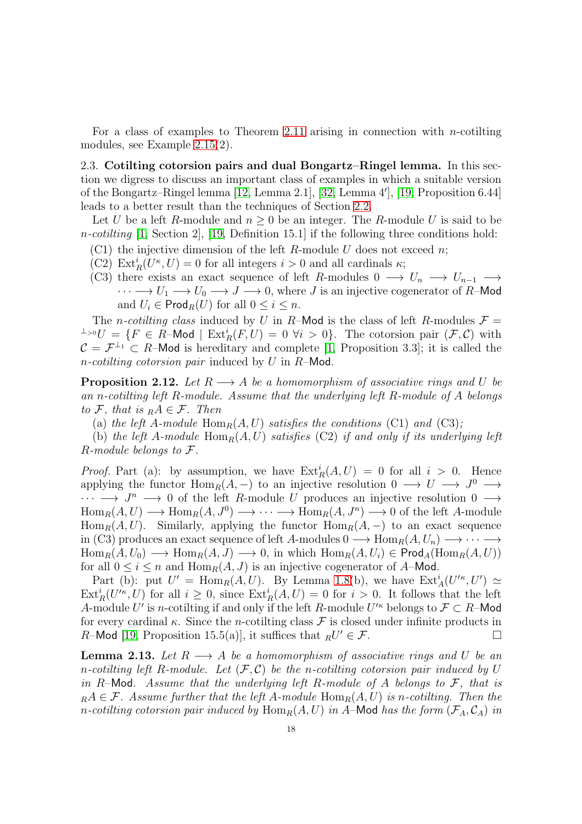For a class of examples to Theorem [2.11](#page-16-0) arising in connection with *n*-cotilting modules, see Example [2.15\(](#page-18-1)2).

<span id="page-17-0"></span>2.3. Cotilting cotorsion pairs and dual Bongartz–Ringel lemma. In this section we digress to discuss an important class of examples in which a suitable version of the Bongartz–Ringel lemma [\[12,](#page-52-6) Lemma 2.1], [\[32,](#page-53-2) Lemma 4′ ], [\[19,](#page-52-1) Proposition 6.44] leads to a better result than the techniques of Section [2.2.](#page-12-0)

Let U be a left R-module and  $n \geq 0$  be an integer. The R-module U is said to be n*-cotilting* [\[1,](#page-51-1) Section 2], [\[19,](#page-52-1) Definition 15.1] if the following three conditions hold:

- (C1) the injective dimension of the left R-module U does not exceed n;
- (C2)  $\text{Ext}_{R}^{i}(U^{\kappa}, U) = 0$  for all integers  $i > 0$  and all cardinals  $\kappa$ ;
- (C3) there exists an exact sequence of left R-modules  $0 \longrightarrow U_n \longrightarrow U_{n-1} \longrightarrow$  $\cdots \longrightarrow U_1 \longrightarrow U_0 \longrightarrow J \longrightarrow 0$ , where J is an injective cogenerator of R–Mod and  $U_i \in \textsf{Prod}_R(U)$  for all  $0 \leq i \leq n$ .

The *n*-cotiling class induced by U in R–Mod is the class of left R-modules  $\mathcal{F} =$  $\perp^{0}U = \{F \in \tilde{R} - \mathsf{Mod} \mid \mathrm{Ext}^i_R(F, U) = 0 \,\,\forall i > 0\}.$  The cotorsion pair  $(\mathcal{F}, \mathcal{C})$  with  $\mathcal{C} = \mathcal{F}^{\perp_1} \subset R$ –Mod is hereditary and complete [\[1,](#page-51-1) Proposition 3.3]; it is called the n*-cotilting cotorsion pair* induced by U in R–Mod.

<span id="page-17-2"></span>**Proposition 2.12.** Let  $R \longrightarrow A$  be a homomorphism of associative rings and U be *an* n*-cotilting left* R*-module. Assume that the underlying left* R*-module of* A *belongs to*  $\mathcal{F}$ *, that is*  $_R A \in \mathcal{F}$ *. Then* 

(a) the left A-module  $\text{Hom}_R(A, U)$  satisfies the conditions (C1) and (C3);

(b) the left A-module  $\text{Hom}_R(A, U)$  satisfies (C2) if and only if its underlying left R*-module belongs to* F*.*

*Proof.* Part (a): by assumption, we have  $\text{Ext}_{R}^{i}(A, U) = 0$  for all  $i > 0$ . Hence applying the functor  $\text{Hom}_R(A, -)$  to an injective resolution  $0 \longrightarrow U \longrightarrow J^0 \longrightarrow$  $\cdots \longrightarrow J^n \longrightarrow 0$  of the left R-module U produces an injective resolution  $0 \longrightarrow$  $Hom_R(A, U) \longrightarrow Hom_R(A, J^0) \longrightarrow \cdots \longrightarrow Hom_R(A, J^n) \longrightarrow 0$  of the left A-module Hom<sub>R</sub> $(A, U)$ . Similarly, applying the functor Hom<sub>R</sub> $(A, -)$  to an exact sequence in (C3) produces an exact sequence of left A-modules  $0 \longrightarrow \text{Hom}_{R}(A, U_n) \longrightarrow \cdots \longrightarrow$  $\text{Hom}_R(A, U_0) \longrightarrow \text{Hom}_R(A, J) \longrightarrow 0$ , in which  $\text{Hom}_R(A, U_i) \in \text{Prod}_A(\text{Hom}_R(A, U))$ for all  $0 \leq i \leq n$  and  $\text{Hom}_R(A, J)$  is an injective cogenerator of A–Mod.

Part (b): put  $U' = \text{Hom}_R(A, U)$ . By Lemma [1.8\(](#page-8-1)b), we have  $\text{Ext}^i_A(U'^\kappa, U') \simeq$  $\text{Ext}^i_R(U'^{\kappa}, U)$  for all  $i \geq 0$ , since  $\text{Ext}^i_R(A, U) = 0$  for  $i > 0$ . It follows that the left A-module U' is n-cotilting if and only if the left R-module  $U'^{\kappa}$  belongs to  $\mathcal{F} \subset R$ -Mod for every cardinal  $\kappa$ . Since the *n*-cotilting class  $\mathcal F$  is closed under infinite products in R-Mod [\[19,](#page-52-1) Proposition 15.5(a)], it suffices that  ${}_{R}U' \in \mathcal{F}$ .

<span id="page-17-1"></span>**Lemma 2.13.** Let  $R \longrightarrow A$  be a homomorphism of associative rings and U be an n-cotiling left R-module. Let  $(F, C)$  be the n-cotiling cotorsion pair induced by U *in* R–Mod*. Assume that the underlying left* R*-module of* A *belongs to* F*, that is*  $R_A A \in \mathcal{F}$ . Assume further that the left A-module  $\text{Hom}_R(A, U)$  is n-cotiling. Then the *n*-cotilting cotorsion pair induced by  $\text{Hom}_R(A, U)$  in A–Mod has the form  $(\mathcal{F}_A, \mathcal{C}_A)$  in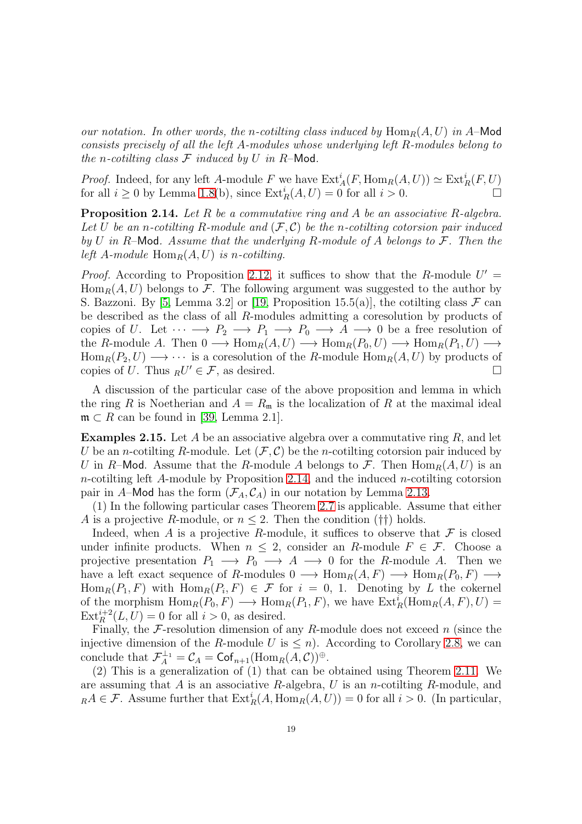*our notation. In other words, the n-cotilting class induced by*  $\text{Hom}_R(A, U)$  *in* A–Mod *consists precisely of all the left* A*-modules whose underlying left* R*-modules belong to the n*-cotilting class  $\mathcal F$  *induced by*  $U$  *in*  $R$ –Mod.

*Proof.* Indeed, for any left A-module F we have  $\text{Ext}_{A}^{i}(F, \text{Hom}_{R}(A, U)) \simeq \text{Ext}_{R}^{i}(F, U)$ for all  $i \geq 0$  by Lemma [1.8\(](#page-8-1)b), since  $\text{Ext}_R^i(A, U) = 0$  for all  $i > 0$ .

<span id="page-18-0"></span>Proposition 2.14. *Let* R *be a commutative ring and* A *be an associative* R*-algebra.* Let U be an *n*-cotilting R-module and  $(F, C)$  be the *n*-cotilting cotorsion pair induced *by* U *in* R–Mod*. Assume that the underlying* R*-module of* A *belongs to* F*. Then the left* A-module  $\text{Hom}_R(A, U)$  *is n-cotilting.* 

*Proof.* According to Proposition [2.12,](#page-17-2) it suffices to show that the R-module  $U' =$  $\text{Hom}_R(A, U)$  belongs to F. The following argument was suggested to the author by S. Bazzoni. By [\[5,](#page-52-12) Lemma 3.2] or [\[19,](#page-52-1) Proposition 15.5(a)], the cotilting class  $\mathcal F$  can be described as the class of all R-modules admitting a coresolution by products of copies of U. Let  $\cdots \longrightarrow P_2 \longrightarrow P_1 \longrightarrow P_0 \longrightarrow A \longrightarrow 0$  be a free resolution of the R-module A. Then  $0 \longrightarrow \text{Hom}_R(A, U) \longrightarrow \text{Hom}_R(P_0, U) \longrightarrow \text{Hom}_R(P_1, U) \longrightarrow$  $\text{Hom}_R(P_2, U) \longrightarrow \cdots$  is a coresolution of the R-module  $\text{Hom}_R(A, U)$  by products of copies of U. Thus  ${}_{R}U' \in \mathcal{F}$ , as desired.

A discussion of the particular case of the above proposition and lemma in which the ring R is Noetherian and  $A = R_{\rm m}$  is the localization of R at the maximal ideal  $\mathfrak{m} \subset R$  can be found in [\[39,](#page-53-10) Lemma 2.1].

<span id="page-18-1"></span>**Examples 2.15.** Let A be an associative algebra over a commutative ring  $R$ , and let U be an *n*-cotilting R-module. Let  $(\mathcal{F}, \mathcal{C})$  be the *n*-cotilting cotorsion pair induced by U in R-Mod. Assume that the R-module A belongs to F. Then  $\text{Hom}_R(A, U)$  is an  $n$ -cotilting left A-module by Proposition [2.14,](#page-18-0) and the induced  $n$ -cotilting cotorsion pair in A–Mod has the form  $(\mathcal{F}_A, \mathcal{C}_A)$  in our notation by Lemma [2.13.](#page-17-1)

(1) In the following particular cases Theorem [2.7](#page-14-0) is applicable. Assume that either A is a projective R-module, or  $n \leq 2$ . Then the condition (††) holds.

Indeed, when A is a projective R-module, it suffices to observe that  $\mathcal F$  is closed under infinite products. When  $n \leq 2$ , consider an R-module  $F \in \mathcal{F}$ . Choose a projective presentation  $P_1 \longrightarrow P_0 \longrightarrow A \longrightarrow 0$  for the R-module A. Then we have a left exact sequence of R-modules  $0 \longrightarrow \text{Hom}_R(A, F) \longrightarrow \text{Hom}_R(P_0, F) \longrightarrow$  $\text{Hom}_R(P_1, F)$  with  $\text{Hom}_R(P_i, F) \in \mathcal{F}$  for  $i = 0, 1$ . Denoting by L the cokernel of the morphism  $\text{Hom}_R(P_0, F) \longrightarrow \text{Hom}_R(P_1, F)$ , we have  $\text{Ext}_R^i(\text{Hom}_R(A, F), U) =$  $\text{Ext}_{R}^{i+2}(L, U) = 0$  for all  $i > 0$ , as desired.

Finally, the  $\mathcal F$ -resolution dimension of any R-module does not exceed n (since the injective dimension of the R-module U is  $\leq n$ ). According to Corollary [2.8,](#page-14-1) we can conclude that  $\mathcal{F}_A^{\perp_1} = \mathcal{C}_A = \mathsf{Cof}_{n+1}(\mathrm{Hom}_R(A, \mathcal{C}))^{\oplus}$ .

(2) This is a generalization of (1) that can be obtained using Theorem [2.11.](#page-16-0) We are assuming that A is an associative R-algebra, U is an n-cotiling R-module, and  $_R A \in \mathcal{F}$ . Assume further that  $\text{Ext}_R^i(A, \text{Hom}_R(A, U)) = 0$  for all  $i > 0$ . (In particular,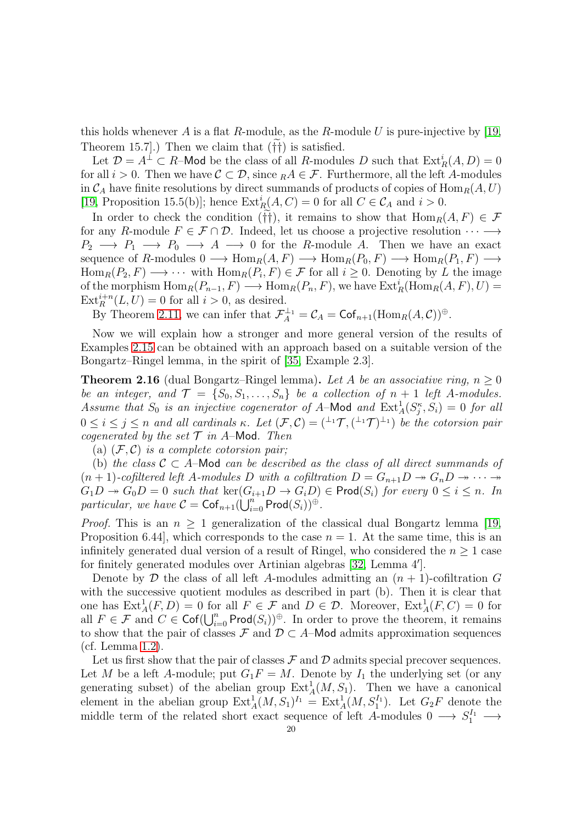this holds whenever A is a flat R-module, as the R-module U is pure-injective by  $|19\rangle$ Theorem 15.7.) Then we claim that  $(\dagger\dagger)$  is satisfied.

Let  $\mathcal{D} = A^{\perp} \subset R$ -Mod be the class of all R-modules D such that  $\text{Ext}^i_R(A, D) = 0$ for all  $i > 0$ . Then we have  $C \subset \mathcal{D}$ , since  $_R A \in \mathcal{F}$ . Furthermore, all the left A-modules in  $\mathcal{C}_A$  have finite resolutions by direct summands of products of copies of  $\text{Hom}_R(A, U)$ [\[19,](#page-52-1) Proposition 15.5(b)]; hence  $\text{Ext}^i_R(A, C) = 0$  for all  $C \in \mathcal{C}_A$  and  $i > 0$ .

In order to check the condition (††), it remains to show that  $\text{Hom}_R(A, F) \in \mathcal{F}$ for any R-module  $F \in \mathcal{F} \cap \mathcal{D}$ . Indeed, let us choose a projective resolution  $\cdots \longrightarrow$  $P_2 \longrightarrow P_1 \longrightarrow P_0 \longrightarrow A \longrightarrow 0$  for the R-module A. Then we have an exact sequence of R-modules  $0 \longrightarrow \text{Hom}_R(A, F) \longrightarrow \text{Hom}_R(P_0, F) \longrightarrow \text{Hom}_R(P_1, F) \longrightarrow$  $\text{Hom}_R(P_2, F) \longrightarrow \cdots$  with  $\text{Hom}_R(P_i, F) \in \mathcal{F}$  for all  $i \geq 0$ . Denoting by L the image of the morphism  $\text{Hom}_R(P_{n-1}, F) \longrightarrow \text{Hom}_R(P_n, F)$ , we have  $\text{Ext}_R^i(\text{Hom}_R(A, F), U) =$  $\text{Ext}_{R}^{i+n}(L, U) = 0$  for all  $i > 0$ , as desired.

By Theorem [2.11,](#page-16-0) we can infer that  $\mathcal{F}_A^{\perp_1} = \mathcal{C}_A = \text{Cof}_{n+1}(\text{Hom}_R(A, \mathcal{C}))^{\oplus}$ .

Now we will explain how a stronger and more general version of the results of Examples [2.15](#page-18-1) can be obtained with an approach based on a suitable version of the Bongartz–Ringel lemma, in the spirit of [\[35,](#page-53-4) Example 2.3].

<span id="page-19-0"></span>**Theorem 2.16** (dual Bongartz–Ringel lemma). Let A be an associative ring,  $n > 0$ *be an integer, and*  $\mathcal{T} = \{S_0, S_1, \ldots, S_n\}$  *be a collection of*  $n + 1$  *left* A-modules. Assume that  $S_0$  is an injective cogenerator of A–Mod and  $\text{Ext}^1_A(S^{\kappa}_j, S_i) = 0$  for all  $0 \leq i \leq j \leq n$  and all cardinals  $\kappa$ . Let  $(\mathcal{F}, \mathcal{C}) = (\perp^1 \mathcal{T}, (\perp^1 \mathcal{T})^{\perp_1})$  be the cotorsion pair *cogenerated by the set*  $\mathcal T$  *in A*–Mod. Then

(a)  $(F, C)$  *is a complete cotorsion pair*;

(b) *the class*  $C \subset A$ –Mod *can be described as the class of all direct summands of*  $(n+1)$ -cofiltered left A-modules D with a cofiltration  $D = G_{n+1}D \rightarrow G_nD \rightarrow \cdots$  $G_1D \rightarrow G_0D = 0$  such that  $\ker(G_{i+1}D \rightarrow G_iD) \in \text{Prod}(S_i)$  for every  $0 \leq i \leq n$ . In  $particular, we have C = \mathsf{Cof}_{n+1}(\bigcup_{i=0}^{n} \mathsf{Prod}(S_i))^{\oplus}.$ 

*Proof.* This is an  $n \geq 1$  generalization of the classical dual Bongartz lemma [\[19,](#page-52-1) Proposition 6.44, which corresponds to the case  $n = 1$ . At the same time, this is an infinitely generated dual version of a result of Ringel, who considered the  $n \geq 1$  case for finitely generated modules over Artinian algebras [\[32,](#page-53-2) Lemma 4′ ].

Denote by  $\mathcal D$  the class of all left A-modules admitting an  $(n + 1)$ -cofiltration G with the successive quotient modules as described in part (b). Then it is clear that one has  $\text{Ext}^1_A(F, D) = 0$  for all  $F \in \mathcal{F}$  and  $D \in \mathcal{D}$ . Moreover,  $\text{Ext}^1_A(F, C) = 0$  for all  $F \in \mathcal{F}$  and  $C \in \mathsf{Cof}(\bigcup_{i=0}^n \mathsf{Prod}(S_i))^{\oplus}$ . In order to prove the theorem, it remains to show that the pair of classes  $\mathcal F$  and  $\mathcal D \subset A$ –Mod admits approximation sequences (cf. Lemma [1.2\)](#page-6-1).

Let us first show that the pair of classes  $\mathcal F$  and  $\mathcal D$  admits special precover sequences. Let M be a left A-module; put  $G_1F = M$ . Denote by  $I_1$  the underlying set (or any generating subset) of the abelian group  $\text{Ext}^1_A(M, S_1)$ . Then we have a canonical element in the abelian group  $\text{Ext}^1_A(M, S_1)^{I_1} = \text{Ext}^1_A(M, S_1^{I_1})$ . Let  $G_2F$  denote the middle term of the related short exact sequence of left A-modules  $0 \longrightarrow S_1^{I_1} \longrightarrow$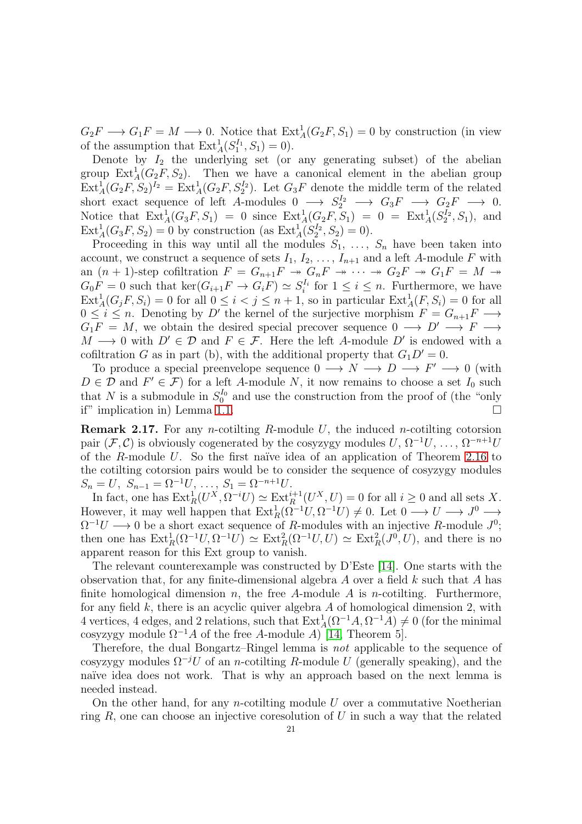$G_2F \longrightarrow G_1F = M \longrightarrow 0$ . Notice that  $\text{Ext}^1_A(G_2F, S_1) = 0$  by construction (in view of the assumption that  $\text{Ext}_{A}^{1}(S_{1}^{I_{1}}, S_{1}) = 0$ ).

Denote by  $I_2$  the underlying set (or any generating subset) of the abelian group  $\text{Ext}^1_A(G_2F, S_2)$ . Then we have a canonical element in the abelian group  $\text{Ext}_{A}^{1}(G_{2}F, S_{2})^{I_{2}} = \text{Ext}_{A}^{1}(G_{2}F, S_{2}^{I_{2}}).$  Let  $G_{3}F$  denote the middle term of the related short exact sequence of left A-modules  $0 \longrightarrow S_2^{I_2} \longrightarrow G_3F \longrightarrow G_2F \longrightarrow 0.$ Notice that  $Ext_A^1(G_3F, S_1) = 0$  since  $Ext_A^1(G_2F, S_1) = 0 = Ext_A^1(S_2^{I_2}, S_1)$ , and  $Ext_A^1(G_3F, S_2) = 0$  by construction (as  $Ext_A^1(S_2^{I_2}, S_2) = 0$ ).

Proceeding in this way until all the modules  $S_1, \ldots, S_n$  have been taken into account, we construct a sequence of sets  $I_1, I_2, \ldots, I_{n+1}$  and a left A-module F with an  $(n + 1)$ -step cofiltration  $F = G_{n+1}F \rightarrow G_nF \rightarrow \cdots \rightarrow G_2F \rightarrow G_1F = M \rightarrow$  $G_0F = 0$  such that  $\ker(G_{i+1}F \to G_iF) \simeq S_i^{I_i}$  for  $1 \leq i \leq n$ . Furthermore, we have  $\text{Ext}_{A}^{1}(G_{j}F, S_{i}) = 0$  for all  $0 \leq i < j \leq n+1$ , so in particular  $\text{Ext}_{A}^{1}(F, S_{i}) = 0$  for all  $0 \leq i \leq n$ . Denoting by D' the kernel of the surjective morphism  $F = G_{n+1}F \longrightarrow$  $G_1F = M$ , we obtain the desired special precover sequence  $0 \longrightarrow D' \longrightarrow F \longrightarrow$  $M \longrightarrow 0$  with  $D' \in \mathcal{D}$  and  $F \in \mathcal{F}$ . Here the left A-module D' is endowed with a cofiltration G as in part (b), with the additional property that  $G_1D' = 0$ .

To produce a special preenvelope sequence  $0 \longrightarrow N \longrightarrow D \longrightarrow F' \longrightarrow 0$  (with  $D \in \mathcal{D}$  and  $F' \in \mathcal{F}$ ) for a left A-module N, it now remains to choose a set  $I_0$  such that N is a submodule in  $S_0^{I_0}$  and use the construction from the proof of (the "only if" implication in) Lemma [1.1.](#page-5-4)

<span id="page-20-0"></span>**Remark 2.17.** For any *n*-cotilting R-module U, the induced *n*-cotilting cotorsion pair  $(\mathcal{F}, \mathcal{C})$  is obviously cogenerated by the cosyzygy modules  $U, \Omega^{-1}U, \ldots, \Omega^{-n+1}U$ of the R-module U. So the first naïve idea of an application of Theorem [2.16](#page-19-0) to the cotilting cotorsion pairs would be to consider the sequence of cosyzygy modules  $S_n = U, S_{n-1} = \Omega^{-1}U, \ldots, S_1 = \Omega^{-n+1}U.$ 

In fact, one has  $\text{Ext}^1_R(U^X, \Omega^{-i}U) \simeq \text{Ext}^{i+1}_R(U^X, U) = 0$  for all  $i \geq 0$  and all sets X. However, it may well happen that  $\text{Ext}_R^1(\Omega^{-1}U, \Omega^{-1}U) \neq 0$ . Let  $0 \longrightarrow U \longrightarrow J^0 \longrightarrow$  $\Omega^{-1}U \longrightarrow 0$  be a short exact sequence of R-modules with an injective R-module  $J^0$ ; then one has  $\text{Ext}^1_R(\Omega^{-1}U, \Omega^{-1}U) \simeq \text{Ext}^2_R(\Omega^{-1}U, U) \simeq \text{Ext}^2_R(J^0, U)$ , and there is no apparent reason for this Ext group to vanish.

The relevant counterexample was constructed by D'Este [\[14\]](#page-52-13). One starts with the observation that, for any finite-dimensional algebra  $A$  over a field  $k$  such that  $A$  has finite homological dimension n, the free A-module A is n-cotiling. Furthermore, for any field  $k$ , there is an acyclic quiver algebra  $A$  of homological dimension 2, with 4 vertices, 4 edges, and 2 relations, such that  $\text{Ext}_{A}^{1}(\Omega^{-1}A, \Omega^{-1}A) \neq 0$  (for the minimal cosyzygy module  $\Omega^{-1}A$  of the free A-module A) [\[14,](#page-52-13) Theorem 5].

Therefore, the dual Bongartz–Ringel lemma is *not* applicable to the sequence of cosyzygy modules  $\Omega^{-j}U$  of an *n*-cotilting R-module U (generally speaking), and the naïve idea does not work. That is why an approach based on the next lemma is needed instead.

On the other hand, for any *n*-cotilting module  $U$  over a commutative Noetherian ring  $R$ , one can choose an injective coresolution of  $U$  in such a way that the related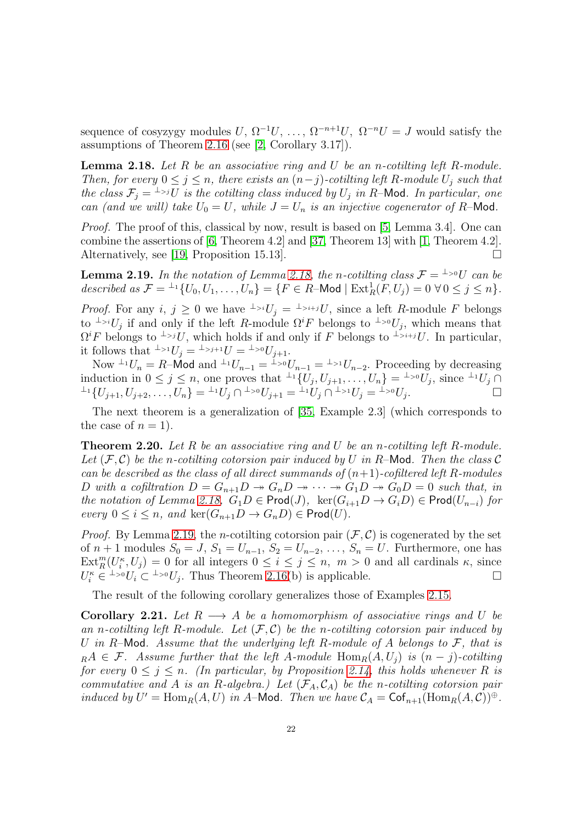sequence of cosyzygy modules  $U, \Omega^{-1}U, \ldots, \Omega^{-n+1}U, \Omega^{-n}U = J$  would satisfy the assumptions of Theorem [2.16](#page-19-0) (see [\[2,](#page-52-14) Corollary 3.17]).

<span id="page-21-0"></span>Lemma 2.18. *Let* R *be an associative ring and* U *be an* n*-cotilting left* R*-module. Then, for every*  $0 \leq j \leq n$ *, there exists an*  $(n-j)$ -cotiling left R-module  $U_j$  *such that the class*  $\mathcal{F}_j = \perp^{1}$  *is the cotilting class induced by*  $U_j$  *in R*–Mod. In particular, one *can (and we will) take*  $U_0 = U$ *, while*  $J = U_n$  *is an injective cogenerator of* R-Mod.

*Proof.* The proof of this, classical by now, result is based on [\[5,](#page-52-12) Lemma 3.4]. One can combine the assertions of [\[6,](#page-52-15) Theorem 4.2] and [\[37,](#page-53-11) Theorem 13] with [\[1,](#page-51-1) Theorem 4.2]. Alternatively, see [\[19,](#page-52-1) Proposition 15.13].

<span id="page-21-1"></span>**Lemma 2.19.** In the notation of Lemma [2.18,](#page-21-0) the n-cotilting class  $\mathcal{F} = {}^{\perp_{>0}}U$  can be described as  $\mathcal{F} = {}^{\perp_1} \{U_0, U_1, \ldots, U_n\} = \{F \in R \text{--Mod} \mid \text{Ext}^1_R(F, U_j) = 0 \,\,\forall \, 0 \leq j \leq n\}.$ 

*Proof.* For any  $i, j \geq 0$  we have  $\perp_{\geq i} U_j = \perp_{\geq i+j} U_j$ , since a left R-module F belongs to <sup>⊥</sup>>i $U_j$  if and only if the left R-module  $\Omega^i F$  belongs to <sup>⊥</sup>><sup>0</sup> $U_j$ , which means that  $\Omega^i F$  belongs to <sup>⊥</sup>>iU, which holds if and only if F belongs to <sup>⊥</sup>>i+iU. In particular, it follows that  $\perp > 1$  $U_j = \perp > j+1$  $U = \perp > 0$  $U_{j+1}$ .

Now  $\perp U_n = R-\text{Mod}$  and  $\perp U_{n-1} = \perp_{n=0} U_{n-1} = \perp_{n=0} U_{n-2}$ . Proceeding by decreasing induction in  $0 \leq j \leq n$ , one proves that  $\perp^1\{U_j, U_{j+1}, \ldots, U_n\} = \perp^{j} U_j$ , since  $\perp^1 U_j \cap$  ${}^{\perp_1}\{U_{j+1},U_{j+2},\ldots,U_n\}={}^{\perp_1}\overline{U_j}\cap {}^{\perp_{>0}}\overline{U_{j+1}}={}^{\perp_1}\overline{U_j}\cap {}^{\perp_{>1}}\overline{U_j}={}^{\perp_{>0}}\overline{U_j}.$ 

The next theorem is a generalization of [\[35,](#page-53-4) Example 2.3] (which corresponds to the case of  $n = 1$ ).

<span id="page-21-2"></span>Theorem 2.20. *Let* R *be an associative ring and* U *be an* n*-cotilting left* R*-module.* Let  $(F, C)$  be the *n*-cotiling cotorsion pair induced by U in R-Mod. Then the class C *can be described as the class of all direct summands of*  $(n+1)$ *-cofiltered left* R-modules D with a cofiltration  $D = G_{n+1}D \rightarrow G_nD \rightarrow \cdots \rightarrow G_1D \rightarrow G_0D = 0$  such that, in *the notation of Lemma [2.18,](#page-21-0)*  $G_1D \in \text{Prod}(J)$ ,  $\text{ker}(G_{i+1}D \to G_iD) \in \text{Prod}(U_{n-i})$  *for every*  $0 \le i \le n$ , and  $\ker(G_{n+1}D \to G_nD) \in \text{Prod}(U)$ .

*Proof.* By Lemma [2.19,](#page-21-1) the *n*-cotilting cotorsion pair  $(\mathcal{F}, \mathcal{C})$  is cogenerated by the set of  $n + 1$  modules  $S_0 = J$ ,  $S_1 = U_{n-1}$ ,  $S_2 = U_{n-2}$ , ...,  $S_n = U$ . Furthermore, one has  $\text{Ext}_{R}^{m}(U_{i}^{k},U_{j})=0$  for all integers  $0 \leq i \leq j \leq n, m > 0$  and all cardinals  $\kappa$ , since  $U_i^{\kappa} \in L^{\infty}U_i \subset L^{\infty}U_j$ . Thus Theorem [2.16\(](#page-19-0)b) is applicable.

The result of the following corollary generalizes those of Examples [2.15.](#page-18-1)

<span id="page-21-3"></span>**Corollary 2.21.** Let  $R \longrightarrow A$  be a homomorphism of associative rings and U be an *n*-cotiling left R-module. Let  $(F, C)$  be the *n*-cotiling cotorsion pair induced by U *in* R–Mod*. Assume that the underlying left* R*-module of* A *belongs to* F*, that is*  $R_A A \in \mathcal{F}$ . Assume further that the left A-module Hom $_R(A, U_j)$  is  $(n - j)$ -cotiling *for every*  $0 \leq j \leq n$ *. (In particular, by Proposition [2.14,](#page-18-0) this holds whenever* R *is commutative and* A *is an R-algebra.) Let*  $(\mathcal{F}_A, \mathcal{C}_A)$  *be the n-cotilting cotorsion pair induced by*  $U' = \text{Hom}_R(A, U)$  *in* A–Mod. Then we have  $\mathcal{C}_A = \text{Cof}_{n+1}(\text{Hom}_R(A, C))^{\oplus}$ .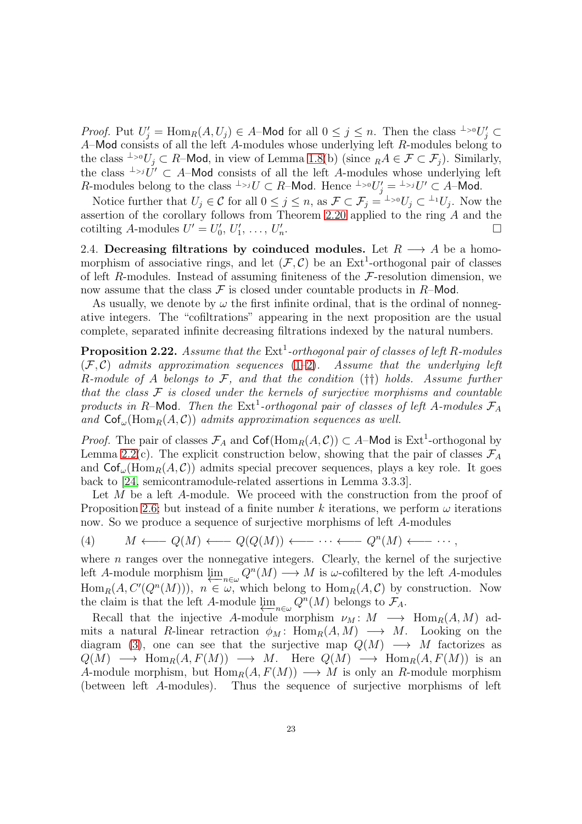*Proof.* Put  $U'_j = \text{Hom}_R(A, U_j) \in A$ –Mod for all  $0 \le j \le n$ . Then the class <sup>⊥</sup>><sup>0</sup> $U'_j \subset$ A–Mod consists of all the left A-modules whose underlying left R-modules belong to the class <sup>⊥</sup>><sup>0</sup>U<sub>j</sub> ⊂ R–Mod, in view of Lemma [1.8\(](#page-8-1)b) (since <sub>R</sub>A  $\in \mathcal{F} \subset \mathcal{F}_i$ ). Similarly, the class  $\perp$ <sub>2</sub>jU  $\subset$  A–Mod consists of all the left A-modules whose underlying left R-modules belong to the class  $\perp > j$   $\cup \subset R$ -Mod. Hence  $\perp > 0$   $U'_j = \perp > j$   $U' \subset A$ -Mod.

Notice further that  $U_j \in \mathcal{C}$  for all  $0 \leq j \leq n$ , as  $\mathcal{F} \subset \mathcal{F}_j = {}^{\perp_{>0}}U_j \subset {}^{\perp_1}U_j$ . Now the assertion of the corollary follows from Theorem [2.20](#page-21-2) applied to the ring A and the cotilting A-modules  $U' = U'_0, U'_1, \ldots, U'_n$ .

<span id="page-22-0"></span>2.4. Decreasing filtrations by coinduced modules. Let  $R \longrightarrow A$  be a homomorphism of associative rings, and let  $(\mathcal{F}, \mathcal{C})$  be an Ext<sup>1</sup>-orthogonal pair of classes of left R-modules. Instead of assuming finiteness of the  $\mathcal{F}$ -resolution dimension, we now assume that the class  $\mathcal F$  is closed under countable products in  $R$ –Mod.

As usually, we denote by  $\omega$  the first infinite ordinal, that is the ordinal of nonnegative integers. The "cofiltrations" appearing in the next proposition are the usual complete, separated infinite decreasing filtrations indexed by the natural numbers.

<span id="page-22-2"></span>**Proposition 2.22.** Assume that the  $Ext<sup>1</sup>$ -orthogonal pair of classes of left R-modules (F, C) *admits approximation sequences* [\(1–](#page-5-2)[2\)](#page-5-3)*. Assume that the underlying left* R*-module of* A *belongs to* F*, and that the condition* (††) *holds. Assume further that the class* F *is closed under the kernels of surjective morphisms and countable* products in R-Mod. Then the  $Ext<sup>1</sup>$ -orthogonal pair of classes of left A-modules  $\mathcal{F}_A$ and  $\mathsf{Cof}_{\omega}(\mathrm{Hom}_R(A, \mathcal{C}))$  *admits approximation sequences as well.* 

*Proof.* The pair of classes  $\mathcal{F}_A$  and  $\text{Cof}(\text{Hom}_R(A, C)) \subset A$ –Mod is Ext<sup>1</sup>-orthogonal by Lemma [2.2\(](#page-10-3)c). The explicit construction below, showing that the pair of classes  $\mathcal{F}_A$ and  $\mathsf{Cof}_{\omega}(\mathrm{Hom}_R(A, \mathcal{C}))$  admits special precover sequences, plays a key role. It goes back to [\[24,](#page-52-0) semicontramodule-related assertions in Lemma 3.3.3].

Let M be a left A-module. We proceed with the construction from the proof of Proposition [2.6;](#page-12-2) but instead of a finite number k iterations, we perform  $\omega$  iterations now. So we produce a sequence of surjective morphisms of left A-modules

<span id="page-22-1"></span>(4) 
$$
M \longleftarrow Q(M) \longleftarrow Q(Q(M)) \longleftarrow \cdots \longleftarrow Q^{n}(M) \longleftarrow \cdots,
$$

where  $n$  ranges over the nonnegative integers. Clearly, the kernel of the surjective left A-module morphism  $\varprojlim_{n\in\omega} Q^n(M) \longrightarrow M$  is  $\omega$ -cofiltered by the left A-modules  $\text{Hom}_R(A, C'(Q^n(M)))$ ,  $n \in \omega$ , which belong to  $\text{Hom}_R(A, C)$  by construction. Now the claim is that the left A-module  $\lim_{n \in \omega} Q^n(M)$  belongs to  $\mathcal{F}_A$ .

Recall that the injective A-module morphism  $\nu_M: M \longrightarrow \text{Hom}_R(A, M)$  admits a natural R-linear retraction  $\phi_M$ : Hom<sub>R</sub> $(A, M) \longrightarrow M$ . Looking on the diagram [\(3\)](#page-13-0), one can see that the surjective map  $Q(M) \longrightarrow M$  factorizes as  $Q(M) \longrightarrow \text{Hom}_R(A, F(M)) \longrightarrow M$ . Here  $Q(M) \longrightarrow \text{Hom}_R(A, F(M))$  is an A-module morphism, but  $\text{Hom}_R(A, F(M)) \longrightarrow M$  is only an R-module morphism (between left A-modules). Thus the sequence of surjective morphisms of left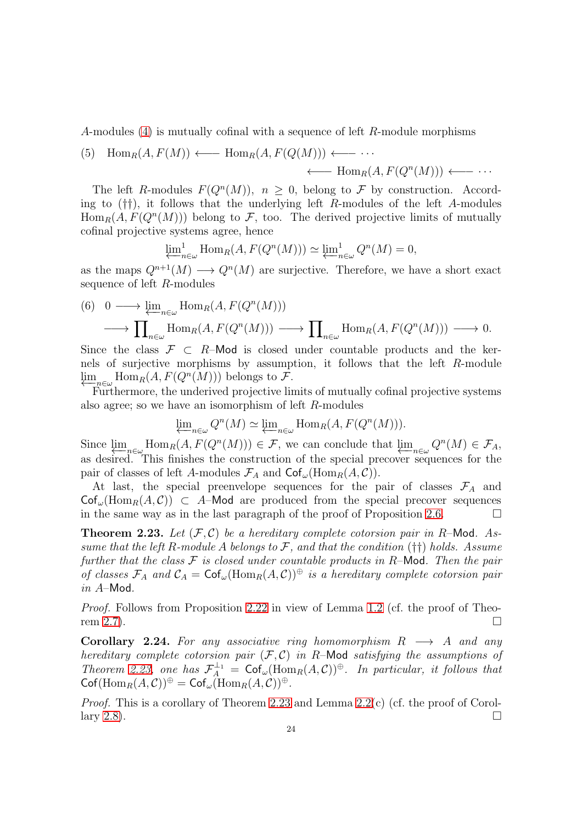A-modules [\(4\)](#page-22-1) is mutually cofinal with a sequence of left R-module morphisms

<span id="page-23-2"></span>(5) 
$$
\text{Hom}_R(A, F(M)) \longleftarrow \text{Hom}_R(A, F(Q(M))) \longleftarrow \cdots
$$
  
 $\longleftarrow \text{Hom}_R(A, F(Q^n(M))) \longleftarrow \cdots$ 

The left R-modules  $F(Q^n(M))$ ,  $n \geq 0$ , belong to F by construction. According to  $(\dagger\dagger)$ , it follows that the underlying left R-modules of the left A-modules  $\text{Hom}_R(A, F(Q^n(M)))$  belong to F, too. The derived projective limits of mutually cofinal projective systems agree, hence

$$
\varprojlim_{n \in \omega} \text{Hom}_R(A, F(Q^n(M))) \simeq \varprojlim_{n \in \omega} \mathcal{Q}^n(M) = 0,
$$

as the maps  $Q^{n+1}(M) \longrightarrow Q^n(M)$  are surjective. Therefore, we have a short exact sequence of left R-modules

<span id="page-23-3"></span>(6) 
$$
0 \longrightarrow \underline{\lim}_{n \in \omega} \text{Hom}_R(A, F(Q^n(M)))
$$
  
\n $\longrightarrow \prod_{n \in \omega} \text{Hom}_R(A, F(Q^n(M))) \longrightarrow \prod_{n \in \omega} \text{Hom}_R(A, F(Q^n(M))) \longrightarrow 0.$ 

Since the class  $\mathcal{F} \subset R$ –Mod is closed under countable products and the kernels of surjective morphisms by assumption, it follows that the left R-module  $\lim_{\substack{\longleftarrow \\ \longleftarrow}} \text{Hom}_R(A, F(Q^n(M)))$  belongs to  $\mathcal{F}.$ 

Furthermore, the underived projective limits of mutually cofinal projective systems also agree; so we have an isomorphism of left R-modules

$$
\varprojlim_{n \in \omega} Q^n(M) \simeq \varprojlim_{n \in \omega} \text{Hom}_R(A, F(Q^n(M))).
$$

Since  $\lim_{n\to\infty} \text{Hom}_R(A, F(Q^n(M))) \in \mathcal{F}$ , we can conclude that  $\lim_{n\to\infty} Q^n(M) \in \mathcal{F}_A$ , as desired. This finishes the construction of the special precover sequences for the pair of classes of left A-modules  $\mathcal{F}_A$  and  $\mathsf{Cof}_{\omega}(\mathrm{Hom}_R(A, C)).$ 

At last, the special preenvelope sequences for the pair of classes  $\mathcal{F}_A$  and  $\mathsf{Cof}_{\omega}(\mathrm{Hom}_R(A,\mathcal{C})) \subset A$ –Mod are produced from the special precover sequences in the same way as in the last paragraph of the proof of Proposition [2.6.](#page-12-2)  $\Box$ 

<span id="page-23-0"></span>**Theorem 2.23.** Let  $(F, C)$  be a hereditary complete cotorsion pair in R-Mod. As*sume that the left* R*-module* A *belongs to* F*, and that the condition* (††) *holds. Assume further that the class* F *is closed under countable products in* R–Mod*. Then the pair of classes*  $\mathcal{F}_A$  *and*  $\mathcal{C}_A = \mathsf{Cof}_{\omega}(\text{Hom}_R(A, \mathcal{C}))^{\oplus}$  *is a hereditary complete cotorsion pair in* A–Mod*.*

*Proof.* Follows from Proposition [2.22](#page-22-2) in view of Lemma [1.2](#page-6-1) (cf. the proof of Theo-rem [2.7\)](#page-14-0).

<span id="page-23-1"></span>Corollary 2.24. *For any associative ring homomorphism* R −→ A *and any hereditary complete cotorsion pair* (F, C) *in* R–Mod *satisfying the assumptions of Theorem [2.23,](#page-23-0) one has*  $\mathcal{F}_A^{\perp_1} = \mathsf{Cof}_{\omega}(\text{Hom}_R(A, \mathcal{C}))^{\oplus}$ *. In particular, it follows that*  $\operatorname{Cof}(\operatorname{Hom}_R(A,\mathcal{C}))^{\oplus} = \operatorname{Cof}_{\omega}(\operatorname{Hom}_R(A,\mathcal{C}))^{\oplus}.$ 

*Proof.* This is a corollary of Theorem [2.23](#page-23-0) and Lemma [2.2\(](#page-10-3)c) (cf. the proof of Corol-lary [2.8\)](#page-14-1).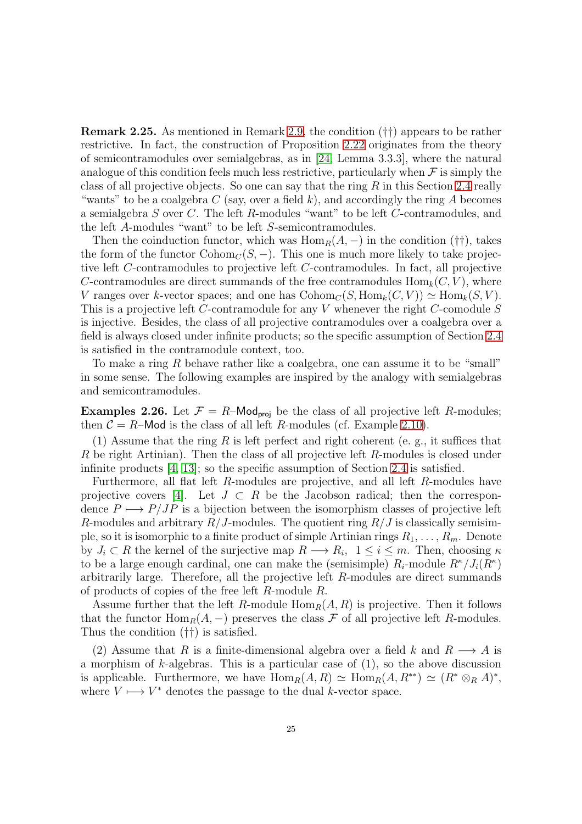Remark 2.25. As mentioned in Remark [2.9,](#page-15-0) the condition (††) appears to be rather restrictive. In fact, the construction of Proposition [2.22](#page-22-2) originates from the theory of semicontramodules over semialgebras, as in [\[24,](#page-52-0) Lemma 3.3.3], where the natural analogue of this condition feels much less restrictive, particularly when  $\mathcal F$  is simply the class of all projective objects. So one can say that the ring  $R$  in this Section [2.4](#page-22-0) really "wants" to be a coalgebra C (say, over a field k), and accordingly the ring A becomes a semialgebra S over C. The left R-modules "want" to be left C-contramodules, and the left A-modules "want" to be left S-semicontramodules.

Then the coinduction functor, which was  $\text{Hom}_R(A, -)$  in the condition (††), takes the form of the functor  $\text{Cohom}_{\mathcal{C}}(S, -)$ . This one is much more likely to take projective left C-contramodules to projective left C-contramodules. In fact, all projective C-contramodules are direct summands of the free contramodules  $\text{Hom}_k(C, V)$ , where V ranges over k-vector spaces; and one has  $\mathrm{Cohom}_C(S, \mathrm{Hom}_k(C, V)) \simeq \mathrm{Hom}_k(S, V)$ . This is a projective left C-contramodule for any V whenever the right C-comodule S is injective. Besides, the class of all projective contramodules over a coalgebra over a field is always closed under infinite products; so the specific assumption of Section [2.4](#page-22-0) is satisfied in the contramodule context, too.

To make a ring R behave rather like a coalgebra, one can assume it to be "small" in some sense. The following examples are inspired by the analogy with semialgebras and semicontramodules.

<span id="page-24-0"></span>**Examples 2.26.** Let  $\mathcal{F} = R$ –Mod<sub>proj</sub> be the class of all projective left R-modules; then  $C = R$ –Mod is the class of all left R-modules (cf. Example [2.10\)](#page-15-1).

(1) Assume that the ring R is left perfect and right coherent (e. g., it suffices that R be right Artinian). Then the class of all projective left R-modules is closed under infinite products [\[4,](#page-52-16) [13\]](#page-52-17); so the specific assumption of Section [2.4](#page-22-0) is satisfied.

Furthermore, all flat left R-modules are projective, and all left R-modules have projective covers [\[4\]](#page-52-16). Let  $J \subset R$  be the Jacobson radical; then the correspondence  $P \mapsto P/JP$  is a bijection between the isomorphism classes of projective left R-modules and arbitrary  $R/J$ -modules. The quotient ring  $R/J$  is classically semisimple, so it is isomorphic to a finite product of simple Artinian rings  $R_1, \ldots, R_m$ . Denote by  $J_i \subset R$  the kernel of the surjective map  $R \longrightarrow R_i$ ,  $1 \le i \le m$ . Then, choosing  $\kappa$ to be a large enough cardinal, one can make the (semisimple)  $R_i$ -module  $R^{\kappa}/J_i(R^{\kappa})$ arbitrarily large. Therefore, all the projective left R-modules are direct summands of products of copies of the free left R-module R.

Assume further that the left R-module  $\text{Hom}_R(A, R)$  is projective. Then it follows that the functor  $\text{Hom}_R(A, -)$  preserves the class F of all projective left R-modules. Thus the condition (††) is satisfied.

(2) Assume that R is a finite-dimensional algebra over a field k and  $R \longrightarrow A$  is a morphism of  $k$ -algebras. This is a particular case of  $(1)$ , so the above discussion is applicable. Furthermore, we have  $\text{Hom}_R(A, R) \simeq \text{Hom}_R(A, R^{**}) \simeq (R^* \otimes_R A)^*$ , where  $V \mapsto V^*$  denotes the passage to the dual k-vector space.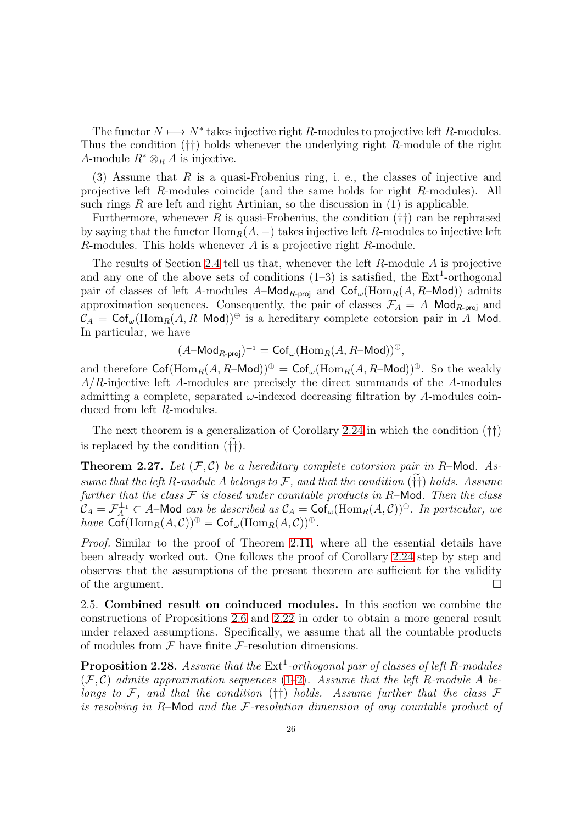The functor  $N \mapsto N^*$  takes injective right R-modules to projective left R-modules. Thus the condition (††) holds whenever the underlying right R-module of the right A-module  $R^* \otimes_R A$  is injective.

(3) Assume that  $R$  is a quasi-Frobenius ring, i. e., the classes of injective and projective left R-modules coincide (and the same holds for right R-modules). All such rings  $R$  are left and right Artinian, so the discussion in  $(1)$  is applicable.

Furthermore, whenever R is quasi-Frobenius, the condition  $(\dagger\dagger)$  can be rephrased by saying that the functor  $\text{Hom}_R(A, -)$  takes injective left R-modules to injective left R-modules. This holds whenever  $A$  is a projective right  $R$ -module.

The results of Section [2.4](#page-22-0) tell us that, whenever the left  $R$ -module  $A$  is projective and any one of the above sets of conditions  $(1-3)$  is satisfied, the  $Ext<sup>1</sup>$ -orthogonal pair of classes of left A-modules A–Mod<sub>R-proj</sub> and  $\textsf{Cof}_{\omega}(\text{Hom}_R(A, R-\textsf{Mod}))$  admits approximation sequences. Consequently, the pair of classes  $\mathcal{F}_A = A - \mathsf{Mod}_{R\text{-proj}}$  and  $\mathcal{C}_A = \mathsf{Cof}_{\omega}(\mathrm{Hom}_R(A, R-\mathsf{Mod}))^{\oplus}$  is a hereditary complete cotorsion pair in A–Mod. In particular, we have

$$
(A\text{-Mod}_{R\text{-}\mathrm{proj}})^{\perp_1}=\mathrm{Cof}_\omega(\mathrm{Hom}_R(A,R\text{-}\mathsf{Mod}))^\oplus,
$$

and therefore  $\operatorname{Cof}(\operatorname{Hom}_R(A, R-\text{Mod}))^{\oplus} = \operatorname{Cof}_{\omega}(\operatorname{Hom}_R(A, R-\text{Mod}))^{\oplus}$ . So the weakly  $A/R$ -injective left A-modules are precisely the direct summands of the A-modules admitting a complete, separated  $\omega$ -indexed decreasing filtration by A-modules coinduced from left R-modules.

The next theorem is a generalization of Corollary [2.24](#page-23-1) in which the condition (††) is replaced by the condition  $(\dagger\dagger)$ .

**Theorem 2.27.** Let  $(\mathcal{F}, \mathcal{C})$  be a hereditary complete cotorsion pair in R-Mod. As*sume that the left* R-module A belongs to  $\mathcal{F}$ , and that the condition ( $\dagger\dagger$ ) *holds. Assume further that the class* F *is closed under countable products in* R–Mod*. Then the class*  $\mathcal{C}_A = \mathcal{F}_A^{\perp_1} \subset A$ -Mod *can be described as*  $\mathcal{C}_A = \mathsf{Cof}_{\omega}(\mathrm{Hom}_R(A, \mathcal{C}))^{\oplus}$ *. In particular, we have*  $\operatorname{Cof}(\operatorname{Hom}_R(A,\mathcal{C}))^{\oplus} = \operatorname{Cof}_{\omega}(\operatorname{Hom}_R(A,\mathcal{C}))^{\oplus}$ .

*Proof.* Similar to the proof of Theorem [2.11,](#page-16-0) where all the essential details have been already worked out. One follows the proof of Corollary [2.24](#page-23-1) step by step and observes that the assumptions of the present theorem are sufficient for the validity of the argument.  $\Box$ 

<span id="page-25-0"></span>2.5. Combined result on coinduced modules. In this section we combine the constructions of Propositions [2.6](#page-12-2) and [2.22](#page-22-2) in order to obtain a more general result under relaxed assumptions. Specifically, we assume that all the countable products of modules from  $\mathcal F$  have finite  $\mathcal F$ -resolution dimensions.

<span id="page-25-1"></span>**Proposition 2.28.** Assume that the  $Ext<sup>1</sup>$ -orthogonal pair of classes of left R-modules  $(\mathcal{F}, \mathcal{C})$  *admits approximation sequences* [\(1](#page-5-2)[–2\)](#page-5-3). Assume that the left R-module A be*longs to* F*, and that the condition* (††) *holds. Assume further that the class* F *is resolving in* R–Mod *and the* F*-resolution dimension of any countable product of*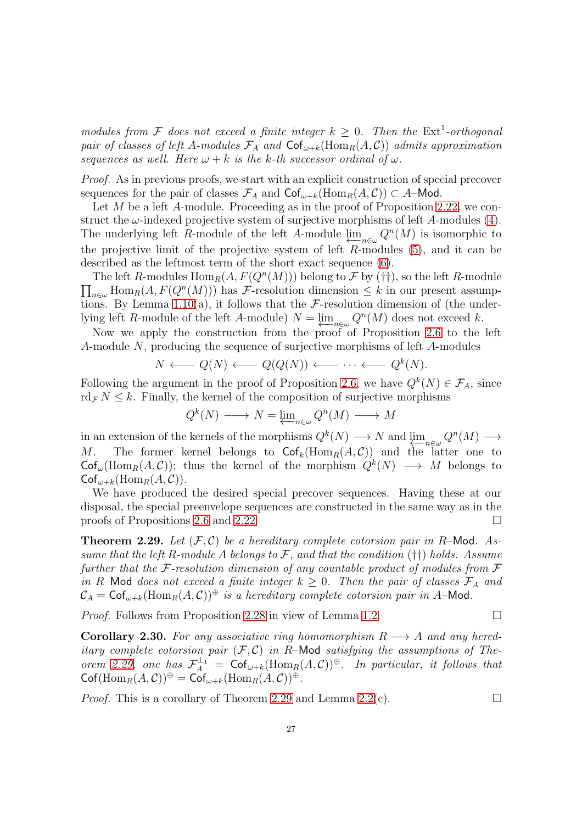*modules from*  $\mathcal F$  *does not exceed a finite integer*  $k \geq 0$ *. Then the* Ext<sup>1</sup>-orthogonal *pair of classes of left* A-modules  $\mathcal{F}_A$  and  $\textsf{Cof}_{\omega+k}(\text{Hom}_R(A, \mathcal{C}))$  *admits approximation sequences as well. Here*  $\omega + k$  *is the k-th successor ordinal of*  $\omega$ *.* 

*Proof.* As in previous proofs, we start with an explicit construction of special precover sequences for the pair of classes  $\mathcal{F}_A$  and  $\mathsf{Cof}_{\omega+k}(\mathrm{Hom}_R(A, \mathcal{C})) \subset A$ –Mod.

Let M be a left A-module. Proceeding as in the proof of Proposition [2.22,](#page-22-2) we construct the  $\omega$ -indexed projective system of surjective morphisms of left A-modules [\(4\)](#page-22-1). The underlying left R-module of the left A-module  $\lim_{n \to \infty} Q^n(M)$  is isomorphic to the projective limit of the projective system of left  $R$ -modules  $(5)$ , and it can be described as the leftmost term of the short exact sequence [\(6\)](#page-23-3).

The left R-modules  $\text{Hom}_R(A, F(Q^n(M)))$  belong to F by (††), so the left R-module  $\prod_{n\in\omega} \text{Hom}_R(A, F(Q^n(M)))$  has F-resolution dimension  $\leq k$  in our present assump-tions. By Lemma [1.10\(](#page-9-2)a), it follows that the  $\mathcal{F}\text{-resolution dimension of (the under$ lying left R-module of the left A-module)  $N = \lim_{n \in \omega} Q^n(M)$  does not exceed k.

Now we apply the construction from the proof of Proposition [2.6](#page-12-2) to the left A-module N, producing the sequence of surjective morphisms of left A-modules

$$
N \longleftarrow Q(N) \longleftarrow Q(Q(N)) \longleftarrow \cdots \longleftarrow Q^k(N).
$$

Following the argument in the proof of Proposition [2.6,](#page-12-2) we have  $Q^k(N) \in \mathcal{F}_A$ , since  $\text{rd}_{\mathcal{F}} N \leq k$ . Finally, the kernel of the composition of surjective morphisms

$$
Q^k(N) \longrightarrow N = \underleftarrow{\lim}_{n \in \omega} Q^n(M) \longrightarrow M
$$

in an extension of the kernels of the morphisms  $Q^k(N) \longrightarrow N$  and  $\lim_{n \in \omega} Q^n(M) \longrightarrow$ M. The former kernel belongs to  $\mathsf{Cof}_k(\mathrm{Hom}_R(A,\mathcal{C}))$  and the latter one to  $\mathsf{Cof}_{\omega}(\mathrm{Hom}_R(A,\mathcal{C}))$ ; thus the kernel of the morphism  $Q^k(N) \longrightarrow M$  belongs to  $\mathsf{Cof}_{\omega+k}(\mathrm{Hom}_R(A,C)).$ 

We have produced the desired special precover sequences. Having these at our disposal, the special preenvelope sequences are constructed in the same way as in the proofs of Propositions [2.6](#page-12-2) and [2.22.](#page-22-2)

<span id="page-26-0"></span>**Theorem 2.29.** Let  $(F, C)$  be a hereditary complete cotorsion pair in R-Mod. As*sume that the left* R*-module* A *belongs to* F*, and that the condition* (††) *holds. Assume further that the* F*-resolution dimension of any countable product of modules from* F *in* R–Mod *does not exceed a finite integer*  $k \geq 0$ *. Then the pair of classes*  $\mathcal{F}_A$  *and*  $\mathcal{C}_A = \mathsf{Cof}_{\omega+k}(\mathrm{Hom}_R(A, \mathcal{C}))^{\oplus}$  *is a hereditary complete cotorsion pair in A*–Mod.

*Proof.* Follows from Proposition [2.28](#page-25-1) in view of Lemma [1.2.](#page-6-1) □

<span id="page-26-1"></span>**Corollary 2.30.** For any associative ring homomorphism  $R \rightarrow A$  and any hered*itary complete cotorsion pair*  $(F, C)$  *in R*-Mod *satisfying the assumptions of Theorem* [2.29,](#page-26-0) one has  $\mathcal{F}_A^{\perp_1} = \mathsf{Cof}_{\omega+k}(\text{Hom}_R(A, C))^{\oplus}$ . In particular, it follows that  $\mathsf{Cof}(\mathrm{Hom}_R(A,\mathcal C))^\oplus=\mathsf{Cof}_{\omega+k}(\mathrm{Hom}_R(A,\mathcal C))^\oplus.$ 

*Proof.* This is a corollary of Theorem [2.29](#page-26-0) and Lemma [2.2\(](#page-10-3)c).  $\square$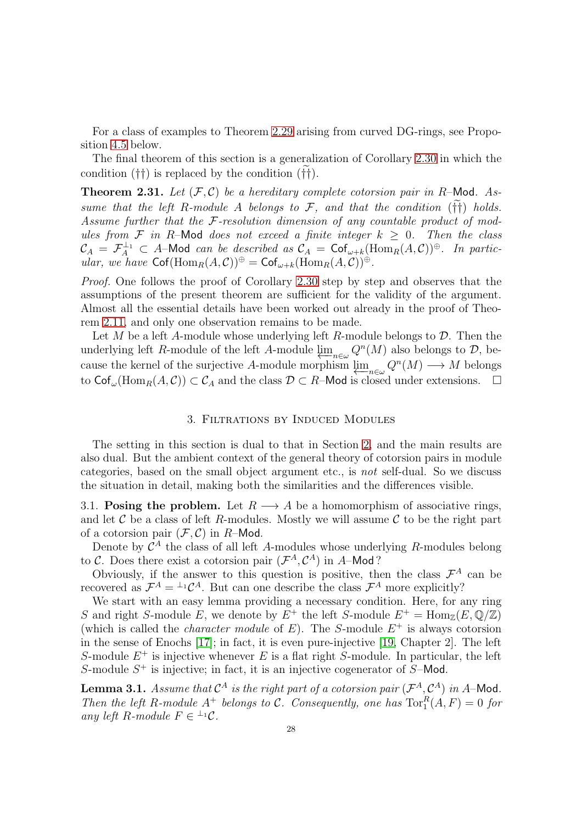For a class of examples to Theorem [2.29](#page-26-0) arising from curved DG-rings, see Proposition [4.5](#page-46-1) below.

The final theorem of this section is a generalization of Corollary [2.30](#page-26-1) in which the condition  $(\dagger\dagger)$  is replaced by the condition  $(\dagger\dagger)$ .

**Theorem 2.31.** Let  $(\mathcal{F}, \mathcal{C})$  be a hereditary complete cotorsion pair in R-Mod. As*sume that the left* R-module A *belongs to*  $\mathcal{F}$ , and that the condition ( $\tilde{f}$ ) holds. *Assume further that the* F*-resolution dimension of any countable product of modules from*  $\mathcal F$  *in* R–Mod *does not exceed a finite integer*  $k \geq 0$ *. Then the class*  $\mathcal{C}_A = \mathcal{F}_A^{\perp_1} \subset A$ -Mod *can be described as*  $\mathcal{C}_A = \mathsf{Cof}_{\omega+k}(\mathrm{Hom}_R(A, \mathcal{C}))^{\oplus}$ *. In particular, we have*  $\operatorname{Cof}(\operatorname{Hom}_R(A,\mathcal{C}))^{\oplus} = \operatorname{Cof}_{\omega+k}(\operatorname{Hom}_R(A,\mathcal{C}))^{\oplus}$ .

*Proof.* One follows the proof of Corollary [2.30](#page-26-1) step by step and observes that the assumptions of the present theorem are sufficient for the validity of the argument. Almost all the essential details have been worked out already in the proof of Theorem [2.11,](#page-16-0) and only one observation remains to be made.

Let M be a left A-module whose underlying left R-module belongs to  $\mathcal{D}$ . Then the underlying left R-module of the left A-module  $\varprojlim_{n\in\omega} Q^n(M)$  also belongs to  $\mathcal{D}$ , because the kernel of the surjective A-module morphism  $\lim_{n \in \omega} Q^n(M) \longrightarrow M$  belongs to  $\textsf{Cof}_{\omega}(\text{Hom}_R(A, C)) \subset C_A$  and the class  $\mathcal{D} \subset R$ –Mod is closed under extensions.  $\Box$ 

### 3. Filtrations by Induced Modules

<span id="page-27-0"></span>The setting in this section is dual to that in Section [2,](#page-10-0) and the main results are also dual. But the ambient context of the general theory of cotorsion pairs in module categories, based on the small object argument etc., is *not* self-dual. So we discuss the situation in detail, making both the similarities and the differences visible.

<span id="page-27-1"></span>3.1. Posing the problem. Let  $R \longrightarrow A$  be a homomorphism of associative rings, and let  $\mathcal C$  be a class of left R-modules. Mostly we will assume  $\mathcal C$  to be the right part of a cotorsion pair  $(\mathcal{F}, \mathcal{C})$  in R-Mod.

Denote by  $\mathcal{C}^A$  the class of all left A-modules whose underlying R-modules belong to C. Does there exist a cotorsion pair  $(\mathcal{F}^A, \mathcal{C}^A)$  in A-Mod?

Obviously, if the answer to this question is positive, then the class  $\mathcal{F}^A$  can be recovered as  $\mathcal{F}^A = {}^{\perp_1} \mathcal{C}^A$ . But can one describe the class  $\mathcal{F}^A$  more explicitly?

We start with an easy lemma providing a necessary condition. Here, for any ring S and right S-module E, we denote by  $E^+$  the left S-module  $E^+ = \text{Hom}_{\mathbb{Z}}(E, \mathbb{Q}/\mathbb{Z})$ (which is called the *character module* of  $E$ ). The *S*-module  $E^+$  is always cotorsion in the sense of Enochs [\[17\]](#page-52-2); in fact, it is even pure-injective [\[19,](#page-52-1) Chapter 2]. The left S-module  $E^+$  is injective whenever E is a flat right S-module. In particular, the left S-module  $S^+$  is injective; in fact, it is an injective cogenerator of  $S$ -Mod.

<span id="page-27-2"></span>**Lemma 3.1.** Assume that  $C^A$  is the right part of a cotorsion pair  $(\mathcal{F}^A, \mathcal{C}^A)$  in A-Mod. *Then the left* R-module  $A^+$  *belongs to* C. Consequently, one has  $\text{Tor}_1^R(A, F) = 0$  for *any left*  $R$ *-module*  $F \in {}^{\perp_1}C$ *.*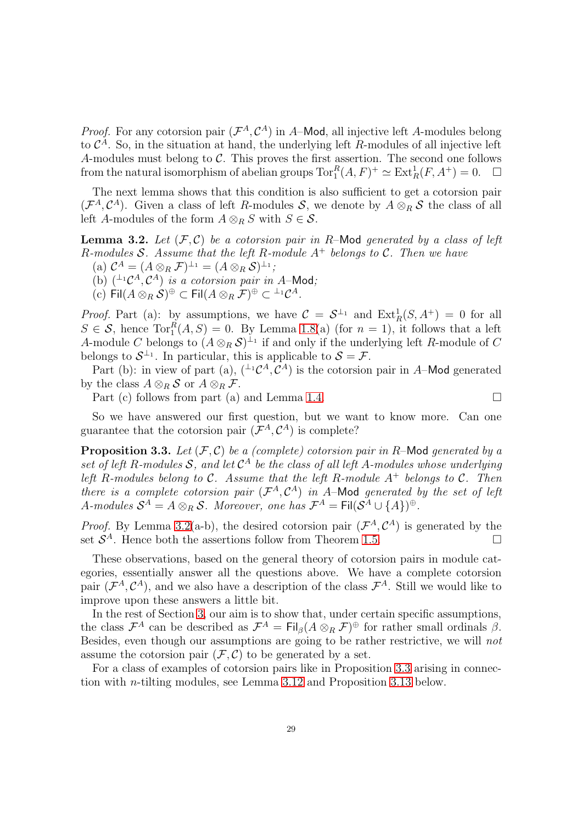*Proof.* For any cotorsion pair  $(\mathcal{F}^A, \mathcal{C}^A)$  in A–Mod, all injective left A-modules belong to  $\mathcal{C}^A$ . So, in the situation at hand, the underlying left R-modules of all injective left A-modules must belong to  $C$ . This proves the first assertion. The second one follows from the natural isomorphism of abelian groups  $\text{Tor}_1^R(A, F)^+ \simeq \text{Ext}_R^1(F, A^+) = 0.$   $\Box$ 

The next lemma shows that this condition is also sufficient to get a cotorsion pair  $(\mathcal{F}^A, \mathcal{C}^A)$ . Given a class of left R-modules S, we denote by  $A \otimes_R S$  the class of all left A-modules of the form  $A \otimes_R S$  with  $S \in \mathcal{S}$ .

<span id="page-28-0"></span>**Lemma 3.2.** Let  $(\mathcal{F}, \mathcal{C})$  be a cotorsion pair in R-Mod generated by a class of left R*-modules* S*. Assume that the left* R*-module* A<sup>+</sup> *belongs to* C*. Then we have*

(a)  $C^A = (A \otimes_R \mathcal{F})^{\perp_1} = (A \otimes_R \mathcal{S})^{\perp_1};$ 

(b)  $({}^{\perp_1}C^A, C^A)$  *is a cotorsion pair in A*–Mod;

 $(G)$  Fil $(A \otimes_R S)$ <sup> $\oplus$ </sup>  $\subset$  Fil $(A \otimes_R \mathcal{F})$  $\oplus$   $\subset$   $^{\perp_1} \mathcal{C}^A$ .

*Proof.* Part (a): by assumptions, we have  $C = S^{\perp_1}$  and  $Ext_R^1(S, A^+) = 0$  for all  $S \in \mathcal{S}$ , hence  $\text{Tor}_{1}^{R}(A, S) = 0$ . By Lemma [1.8\(](#page-8-1)a) (for  $n = 1$ ), it follows that a left A-module C belongs to  $(A \otimes_R S)^{\perp_1}$  if and only if the underlying left R-module of C belongs to  $S^{\perp_1}$ . In particular, this is applicable to  $S = \mathcal{F}$ .

Part (b): in view of part (a),  $({}^{\perp_1}C^A, C^A)$  is the cotorsion pair in A–Mod generated by the class  $A \otimes_R S$  or  $A \otimes_R F$ .

Part (c) follows from part (a) and Lemma [1.4.](#page-7-0)  $\Box$ 

So we have answered our first question, but we want to know more. Can one guarantee that the cotorsion pair  $(\mathcal{F}^A, \mathcal{C}^A)$  is complete?

<span id="page-28-1"></span>Proposition 3.3. Let  $(\mathcal{F}, \mathcal{C})$  *be a (complete) cotorsion pair in R*–Mod *generated by a set of left* R*-modules* S*, and let* C <sup>A</sup> *be the class of all left* A*-modules whose underlying left* R*-modules belong to* C*. Assume that the left* R*-module* A<sup>+</sup> *belongs to* C*. Then there is a complete cotorsion pair*  $(\mathcal{F}^A, \mathcal{C}^A)$  *in* A–Mod *generated by the set of left*  $A$ -modules  $S^A = A \otimes_R S$ . Moreover, one has  $\mathcal{F}^A = \mathsf{Fil}(\mathcal{S}^A \cup \{A\})^{\oplus}$ .

*Proof.* By Lemma [3.2\(](#page-28-0)a-b), the desired cotorsion pair  $(\mathcal{F}^A, \mathcal{C}^A)$  is generated by the set  $S^A$ . Hence both the assertions follow from Theorem [1.5.](#page-7-1)

These observations, based on the general theory of cotorsion pairs in module categories, essentially answer all the questions above. We have a complete cotorsion pair  $(\mathcal{F}^A, \mathcal{C}^A)$ , and we also have a description of the class  $\mathcal{F}^A$ . Still we would like to improve upon these answers a little bit.

In the rest of Section [3,](#page-27-0) our aim is to show that, under certain specific assumptions, the class  $\mathcal{F}^A$  can be described as  $\mathcal{F}^A = \text{Fil}_{\beta}(A \otimes_R \mathcal{F})^{\oplus}$  for rather small ordinals  $\beta$ . Besides, even though our assumptions are going to be rather restrictive, we will *not* assume the cotorsion pair  $(\mathcal{F}, \mathcal{C})$  to be generated by a set.

For a class of examples of cotorsion pairs like in Proposition [3.3](#page-28-1) arising in connection with n-tilting modules, see Lemma [3.12](#page-34-0) and Proposition [3.13](#page-34-1) below.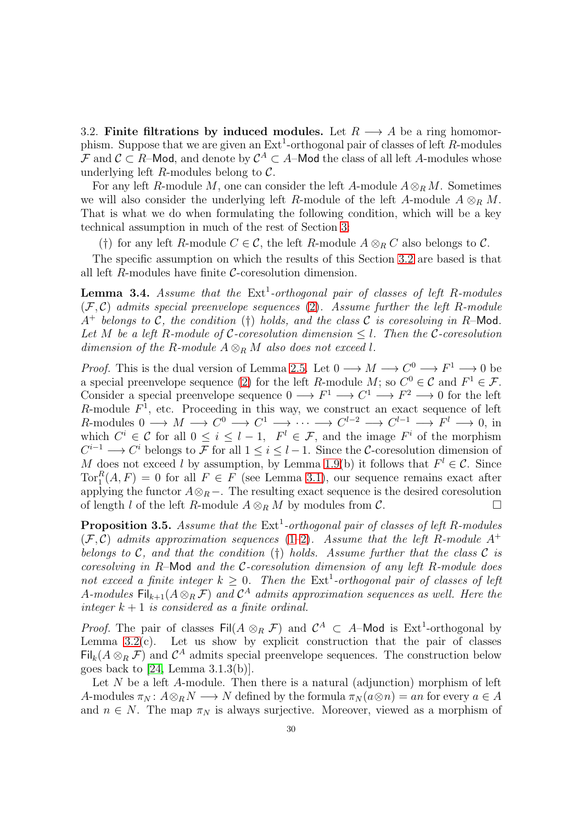<span id="page-29-0"></span>3.2. Finite filtrations by induced modules. Let  $R \longrightarrow A$  be a ring homomorphism. Suppose that we are given an  $\text{Ext}^1$ -orthogonal pair of classes of left R-modules F and  $\mathcal{C} \subset R$ –Mod, and denote by  $\mathcal{C}^A \subset A$ –Mod the class of all left A-modules whose underlying left  $R$ -modules belong to  $C$ .

For any left R-module M, one can consider the left A-module  $A \otimes_R M$ . Sometimes we will also consider the underlying left R-module of the left A-module  $A \otimes_R M$ . That is what we do when formulating the following condition, which will be a key technical assumption in much of the rest of Section [3:](#page-27-0)

(†) for any left R-module  $C \in \mathcal{C}$ , the left R-module  $A \otimes_R C$  also belongs to  $\mathcal{C}$ .

The specific assumption on which the results of this Section [3.2](#page-29-0) are based is that all left  $R$ -modules have finite  $C$ -coresolution dimension.

<span id="page-29-1"></span>**Lemma 3.4.** Assume that the Ext<sup>1</sup>-orthogonal pair of classes of left R-modules (F, C) *admits special preenvelope sequences* [\(2\)](#page-5-3)*. Assume further the left* R*-module* A<sup>+</sup> *belongs to* C*, the condition* (†) *holds, and the class* C *is coresolving in* R–Mod*. Let* M *be a left* R*-module of* C*-coresolution dimension* ≤ l*. Then the* C*-coresolution dimension of the R-module*  $A \otimes_R M$  *also does not exceed l.* 

*Proof.* This is the dual version of Lemma [2.5.](#page-12-1) Let  $0 \longrightarrow M \longrightarrow C^0 \longrightarrow F^1 \longrightarrow 0$  be a special preenvelope sequence [\(2\)](#page-5-3) for the left R-module M; so  $C^0 \in \mathcal{C}$  and  $F^1 \in \mathcal{F}$ . Consider a special preenvelope sequence  $0 \longrightarrow F^1 \longrightarrow C^1 \longrightarrow F^2 \longrightarrow 0$  for the left R-module  $F<sup>1</sup>$ , etc. Proceeding in this way, we construct an exact sequence of left R-modules  $0 \longrightarrow M \longrightarrow C^0 \longrightarrow C^1 \longrightarrow \cdots \longrightarrow C^{l-2} \longrightarrow C^{l-1} \longrightarrow F^l \longrightarrow 0$ , in which  $C^i \in \mathcal{C}$  for all  $0 \leq i \leq l-1$ ,  $F^l \in \mathcal{F}$ , and the image  $F^i$  of the morphism  $C^{i-1} \longrightarrow C^i$  belongs to F for all  $1 \leq i \leq l-1$ . Since the C-coresolution dimension of M does not exceed l by assumption, by Lemma [1.9\(](#page-9-1)b) it follows that  $F' \in \mathcal{C}$ . Since  $Tor_1^R(A, F) = 0$  for all  $F \in F$  (see Lemma [3.1\)](#page-27-2), our sequence remains exact after applying the functor  $A \otimes_R -$ . The resulting exact sequence is the desired coresolution of length l of the left R-module  $A \otimes_R M$  by modules from  $\mathcal{C}$ .

<span id="page-29-2"></span>**Proposition 3.5.** Assume that the  $Ext<sup>1</sup>$ -orthogonal pair of classes of left R-modules  $(F, C)$  *admits approximation sequences* [\(1–](#page-5-2)[2\)](#page-5-3). Assume that the left R-module A<sup>+</sup> *belongs to* C*, and that the condition* (†) *holds. Assume further that the class* C *is coresolving in* R–Mod *and the* C*-coresolution dimension of any left* R*-module does* not exceed a finite integer  $k \geq 0$ . Then the  $\text{Ext}^1$ -orthogonal pair of classes of left A-modules  $\text{Fil}_{k+1}(A \otimes_R \mathcal{F})$  and  $\mathcal{C}^A$  admits approximation sequences as well. Here the *integer*  $k + 1$  *is considered as a finite ordinal.* 

*Proof.* The pair of classes  $\text{Fil}(A \otimes_R \mathcal{F})$  and  $\mathcal{C}^A \subset A$ -Mod is  $\text{Ext}^1$ -orthogonal by Lemma  $3.2(c)$ . Let us show by explicit construction that the pair of classes  $\text{Fil}_k(A\otimes_R \mathcal{F})$  and  $\mathcal{C}^A$  admits special preenvelope sequences. The construction below goes back to [\[24,](#page-52-0) Lemma 3.1.3(b)].

Let  $N$  be a left A-module. Then there is a natural (adjunction) morphism of left A-modules  $\pi_N : A \otimes_R N \longrightarrow N$  defined by the formula  $\pi_N(a \otimes n) = an$  for every  $a \in A$ and  $n \in N$ . The map  $\pi_N$  is always surjective. Moreover, viewed as a morphism of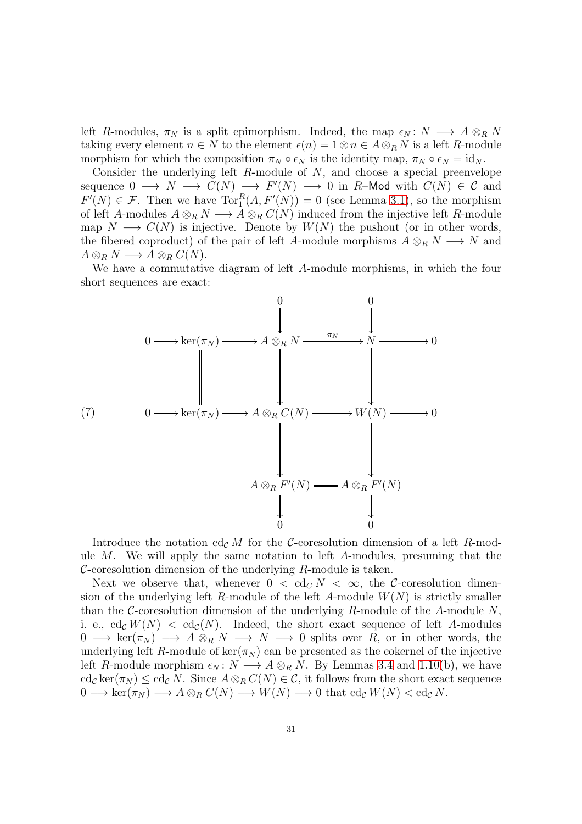left R-modules,  $\pi_N$  is a split epimorphism. Indeed, the map  $\epsilon_N: N \longrightarrow A \otimes_R N$ taking every element  $n \in N$  to the element  $\epsilon(n) = 1 \otimes n \in A \otimes_R N$  is a left R-module morphism for which the composition  $\pi_N \circ \epsilon_N$  is the identity map,  $\pi_N \circ \epsilon_N = id_N$ .

Consider the underlying left  $R$ -module of  $N$ , and choose a special preenvelope sequence  $0 \longrightarrow N \longrightarrow C(N) \longrightarrow F'(N) \longrightarrow 0$  in R-Mod with  $C(N) \in \mathcal{C}$  and  $F'(N) \in \mathcal{F}$ . Then we have  $Tor_1^R(A, F'(N)) = 0$  (see Lemma [3.1\)](#page-27-2), so the morphism of left A-modules  $A \otimes_R N \longrightarrow A \otimes_R C(N)$  induced from the injective left R-module map  $N \longrightarrow C(N)$  is injective. Denote by  $W(N)$  the pushout (or in other words, the fibered coproduct) of the pair of left A-module morphisms  $A \otimes_R N \longrightarrow N$  and  $A \otimes_R N \longrightarrow A \otimes_R C(N).$ 

We have a commutative diagram of left A-module morphisms, in which the four short sequences are exact:

<span id="page-30-0"></span>
$$
\begin{array}{ccc}\n & 0 & 0 & 0 \\
 & \downarrow & \downarrow & \\
0 & \longrightarrow \ker(\pi_N) & \longrightarrow A \otimes_R N & \xrightarrow{\pi_N} & N & \longrightarrow 0 \\
 & & \downarrow & & \\
 & & \downarrow & & \\
 & & \downarrow & & \\
 & & \downarrow & & \\
 & & \downarrow & & \\
 & & \downarrow & & \\
 & & \downarrow & & \\
 & & A \otimes_R F'(N) & \longrightarrow A \otimes_R F'(N) \\
 & & \downarrow & & \\
 & & 0 & 0 & \\
 & & & 0 & \\
 & & & & \\
\end{array}
$$

Introduce the notation  $cd_{\mathcal{C}} M$  for the C-coresolution dimension of a left R-module  $M$ . We will apply the same notation to left  $A$ -modules, presuming that the  $C$ -coresolution dimension of the underlying  $R$ -module is taken.

Next we observe that, whenever  $0 < \text{cd}_C N < \infty$ , the C-coresolution dimension of the underlying left R-module of the left A-module  $W(N)$  is strictly smaller than the C-coresolution dimension of the underlying R-module of the A-module  $N$ , i. e.,  $\text{cd}_{\mathcal{C}}W(N) < \text{cd}_{\mathcal{C}}(N)$ . Indeed, the short exact sequence of left A-modules  $0 \longrightarrow \text{ker}(\pi_N) \longrightarrow A \otimes_R N \longrightarrow N \longrightarrow 0$  splits over R, or in other words, the underlying left R-module of  $\ker(\pi_N)$  can be presented as the cokernel of the injective left R-module morphism  $\epsilon_N: N \longrightarrow A \otimes_R N$ . By Lemmas [3.4](#page-29-1) and [1.10\(](#page-9-2)b), we have  $\operatorname{cd}_{\mathcal{C}} \ker(\pi_N) \leq \operatorname{cd}_{\mathcal{C}} N$ . Since  $A \otimes_R C(N) \in \mathcal{C}$ , it follows from the short exact sequence  $0 \longrightarrow \ker(\pi_N) \longrightarrow A \otimes_R C(N) \longrightarrow W(N) \longrightarrow 0$  that  $\operatorname{cd}_{\mathcal{C}} W(N) < \operatorname{cd}_{\mathcal{C}} N$ .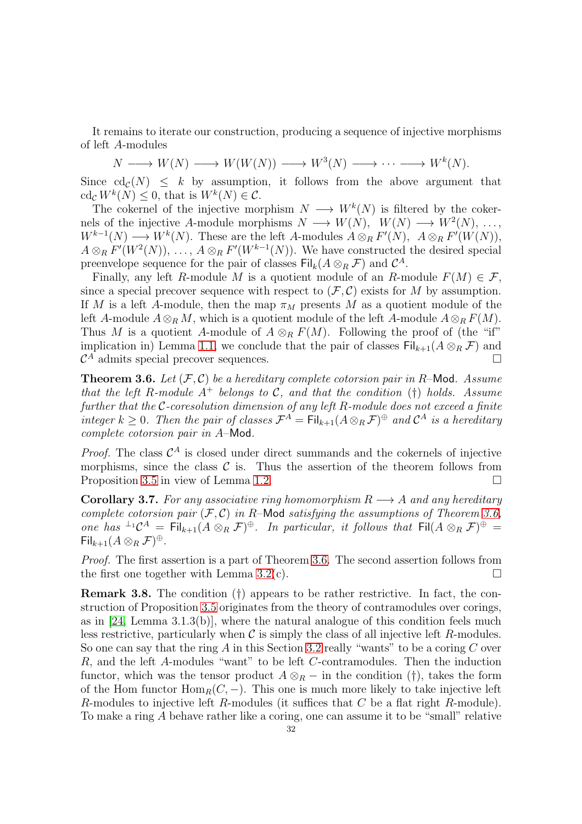It remains to iterate our construction, producing a sequence of injective morphisms of left A-modules

$$
N \longrightarrow W(N) \longrightarrow W(W(N)) \longrightarrow W^3(N) \longrightarrow \cdots \longrightarrow W^k(N).
$$

Since  $cd_c(N) \leq k$  by assumption, it follows from the above argument that  $\operatorname{cd}_{\mathcal{C}} W^k(N) \leq 0$ , that is  $W^k(N) \in \mathcal{C}$ .

The cokernel of the injective morphism  $N \longrightarrow W^k(N)$  is filtered by the cokernels of the injective A-module morphisms  $N \longrightarrow W(N)$ ,  $W(N) \longrightarrow W^2(N)$ , ...,  $W^{k-1}(N) \longrightarrow W^k(N)$ . These are the left A-modules  $A \otimes_R F'(N)$ ,  $A \otimes_R F'(W(N))$ ,  $A \otimes_R F'(W^2(N)), \ldots, A \otimes_R F'(W^{k-1}(N)).$  We have constructed the desired special preenvelope sequence for the pair of classes  $\text{Fil}_k(A \otimes_R \mathcal{F})$  and  $\mathcal{C}^A$ .

Finally, any left R-module M is a quotient module of an R-module  $F(M) \in \mathcal{F}$ , since a special precover sequence with respect to  $(\mathcal{F}, \mathcal{C})$  exists for M by assumption. If M is a left A-module, then the map  $\pi_M$  presents M as a quotient module of the left A-module  $A \otimes_R M$ , which is a quotient module of the left A-module  $A \otimes_R F(M)$ . Thus M is a quotient A-module of  $A \otimes_R F(M)$ . Following the proof of (the "if" implication in) Lemma [1.1,](#page-5-4) we conclude that the pair of classes  $\text{Fil}_{k+1}(A \otimes_R \mathcal{F})$  and  $\mathcal{C}^A$  admits special precover sequences.

<span id="page-31-0"></span>Theorem 3.6. *Let* (F, C) *be a hereditary complete cotorsion pair in* R–Mod*. Assume that the left* R-module  $A^+$  *belongs to* C, and that the condition (†) holds. Assume *further that the* C*-coresolution dimension of any left* R*-module does not exceed a finite integer*  $k \geq 0$ . Then the pair of classes  $\mathcal{F}^A = \text{Fil}_{k+1}(A \otimes_R \mathcal{F})^{\oplus}$  and  $\mathcal{C}^A$  is a hereditary *complete cotorsion pair in* A–Mod*.*

*Proof.* The class  $C^A$  is closed under direct summands and the cokernels of injective morphisms, since the class  $\mathcal C$  is. Thus the assertion of the theorem follows from Proposition [3.5](#page-29-2) in view of Lemma [1.2.](#page-6-1)

<span id="page-31-1"></span>**Corollary 3.7.** For any associative ring homomorphism  $R \rightarrow A$  and any hereditary *complete cotorsion pair*  $(F, C)$  *in* R-Mod *satisfying the assumptions of Theorem [3.6,](#page-31-0) one has*  $^{\perp_1}C^A = \text{Fil}_{k+1}(A \otimes_R \mathcal{F})^{\oplus}$ . In particular, it follows that  $\text{Fil}(A \otimes_R \mathcal{F})^{\oplus} =$  $\mathsf{Fil}_{k+1}(A \otimes_R \mathcal{F})^{\oplus}.$ 

*Proof.* The first assertion is a part of Theorem [3.6.](#page-31-0) The second assertion follows from the first one together with Lemma [3.2\(](#page-28-0)c).  $\square$ 

<span id="page-31-2"></span>Remark 3.8. The condition (†) appears to be rather restrictive. In fact, the construction of Proposition [3.5](#page-29-2) originates from the theory of contramodules over corings, as in [\[24,](#page-52-0) Lemma 3.1.3(b)], where the natural analogue of this condition feels much less restrictive, particularly when  $\mathcal C$  is simply the class of all injective left R-modules. So one can say that the ring A in this Section [3.2](#page-29-0) really "wants" to be a coring  $C$  over R, and the left A-modules "want" to be left C-contramodules. Then the induction functor, which was the tensor product  $A \otimes_R -$  in the condition (†), takes the form of the Hom functor  $\text{Hom}_R(C, -)$ . This one is much more likely to take injective left R-modules to injective left R-modules (it suffices that  $C$  be a flat right R-module). To make a ring A behave rather like a coring, one can assume it to be "small" relative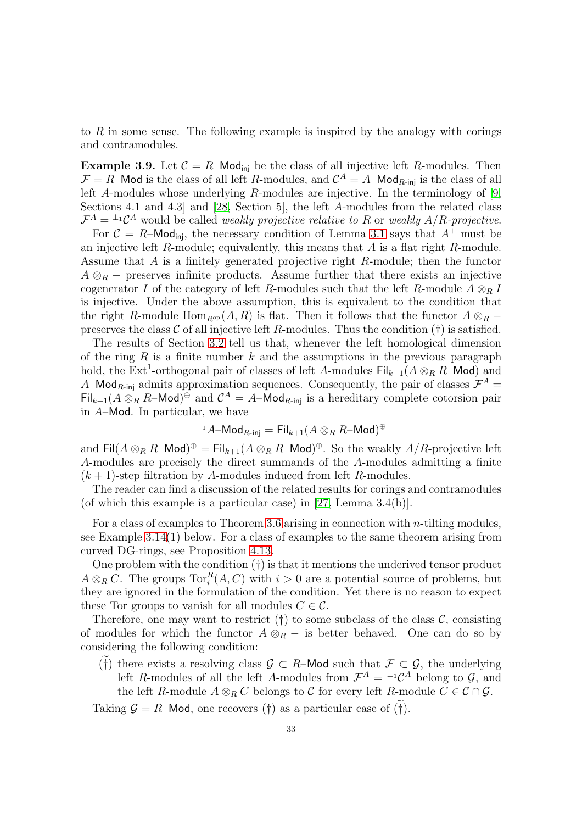to R in some sense. The following example is inspired by the analogy with corings and contramodules.

<span id="page-32-0"></span>**Example 3.9.** Let  $\mathcal{C} = R$ –Mod<sub>ini</sub> be the class of all injective left R-modules. Then  $\mathcal{F} = R$ –Mod is the class of all left R-modules, and  $\mathcal{C}^A = A$ –Mod<sub>R-inj</sub> is the class of all left A-modules whose underlying R-modules are injective. In the terminology of [\[9,](#page-52-11) Sections 4.1 and 4.3] and [\[28,](#page-53-8) Section 5], the left A-modules from the related class  $\mathcal{F}^A = {}^{\perp_1} \mathcal{C}^A$  would be called *weakly projective relative to* R or *weakly*  $A/R$ *-projective.* 

For  $C = R$ –Mod<sub>ini</sub>, the necessary condition of Lemma [3.1](#page-27-2) says that  $A^+$  must be an injective left  $R$ -module; equivalently, this means that  $A$  is a flat right  $R$ -module. Assume that A is a finitely generated projective right R-module; then the functor  $A \otimes_R -$  preserves infinite products. Assume further that there exists an injective cogenerator I of the category of left R-modules such that the left R-module  $A \otimes_R I$ is injective. Under the above assumption, this is equivalent to the condition that the right R-module Hom<sub>R<sup>op</sub></sup> (A, R) is flat. Then it follows that the functor  $A \otimes_R -$ </sub> preserves the class  $\mathcal C$  of all injective left R-modules. Thus the condition (†) is satisfied.

The results of Section [3.2](#page-29-0) tell us that, whenever the left homological dimension of the ring  $R$  is a finite number  $k$  and the assumptions in the previous paragraph hold, the  $\text{Ext}^1$ -orthogonal pair of classes of left A-modules  $\text{Fil}_{k+1}(A \otimes_R R-\text{Mod})$  and A–Mod<sub>R-inj</sub> admits approximation sequences. Consequently, the pair of classes  $\mathcal{F}^A$  =  $\text{Fil}_{k+1}(A \otimes_R R-\text{Mod})^{\oplus}$  and  $\mathcal{C}^A = A-\text{Mod}_{R-\text{inj}}$  is a hereditary complete cotorsion pair in A–Mod. In particular, we have

$$
^{\perp_1}A\text{-Mod}_{R\text{-inj}} = \text{Fil}_{k+1}(A \otimes_R R\text{-Mod})^\oplus
$$

and  $\text{Fil}(A \otimes_R R-\text{Mod})^{\oplus} = \text{Fil}_{k+1}(A \otimes_R R-\text{Mod})^{\oplus}$ . So the weakly  $A/R$ -projective left A-modules are precisely the direct summands of the A-modules admitting a finite  $(k + 1)$ -step filtration by A-modules induced from left R-modules.

The reader can find a discussion of the related results for corings and contramodules (of which this example is a particular case) in [\[27,](#page-53-9) Lemma 3.4(b)].

For a class of examples to Theorem [3.6](#page-31-0) arising in connection with n-tilting modules, see Example [3.14\(](#page-35-0)1) below. For a class of examples to the same theorem arising from curved DG-rings, see Proposition [4.13.](#page-50-0)

One problem with the condition (†) is that it mentions the underived tensor product  $A \otimes_R C$ . The groups  $\text{Tor}_i^R(A, C)$  with  $i > 0$  are a potential source of problems, but they are ignored in the formulation of the condition. Yet there is no reason to expect these Tor groups to vanish for all modules  $C \in \mathcal{C}$ .

Therefore, one may want to restrict  $(\dagger)$  to some subclass of the class  $\mathcal{C}$ , consisting of modules for which the functor  $A \otimes_R -$  is better behaved. One can do so by considering the following condition:

(†) there exists a resolving class  $\mathcal{G} \subset R$ –Mod such that  $\mathcal{F} \subset \mathcal{G}$ , the underlying left R-modules of all the left A-modules from  $\mathcal{F}^A = {}^{\perp_1} \mathcal{C}^A$  belong to  $\mathcal{G}$ , and the left R-module  $A \otimes_R C$  belongs to C for every left R-module  $C \in \mathcal{C} \cap \mathcal{G}$ .

Taking  $\mathcal{G} = R$ –Mod, one recovers (†) as a particular case of (†).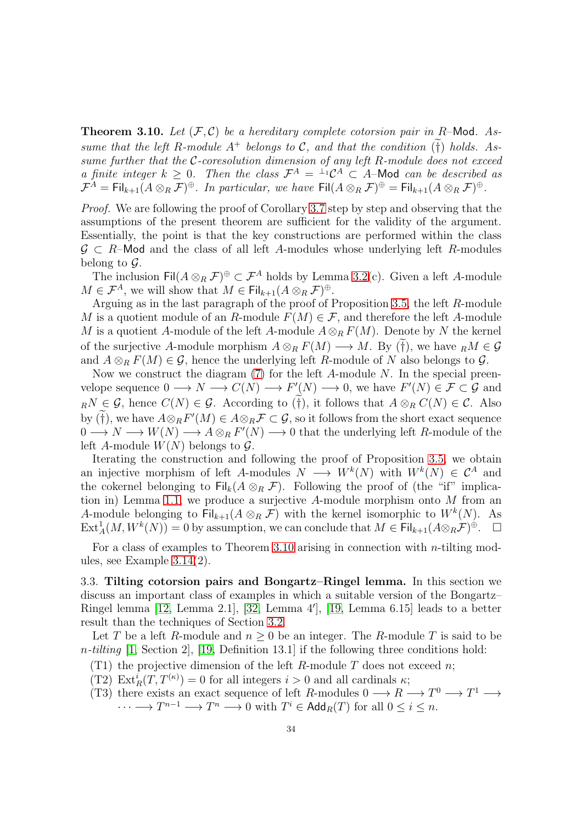<span id="page-33-1"></span>**Theorem 3.10.** Let  $(F, C)$  be a hereditary complete cotorsion pair in R-Mod. Assume that the left R-module  $A^+$  belongs to  $C$ , and that the condition  $(†)$  holds. As*sume further that the* C*-coresolution dimension of any left* R*-module does not exceed a finite integer*  $k \geq 0$ . Then the class  $\mathcal{F}^A = \perp^{\perp} \mathcal{C}^A \subset A$ -Mod can be described as  $\mathcal{F}^A = \mathsf{Fil}_{k+1}(A \otimes_R \mathcal{F})^{\oplus}$ . In particular, we have  $\mathsf{Fil}(A \otimes_R \mathcal{F})^{\oplus} = \mathsf{Fil}_{k+1}(A \otimes_R \mathcal{F})^{\oplus}$ .

*Proof.* We are following the proof of Corollary [3.7](#page-31-1) step by step and observing that the assumptions of the present theorem are sufficient for the validity of the argument. Essentially, the point is that the key constructions are performed within the class  $G \subset R$ –Mod and the class of all left A-modules whose underlying left R-modules belong to  $\mathcal{G}$ .

The inclusion  $\text{Fil}(A \otimes_R \mathcal{F})^{\oplus} \subset \mathcal{F}^A$  holds by Lemma [3.2\(](#page-28-0)c). Given a left A-module  $M \in \mathcal{F}^A$ , we will show that  $M \in \mathsf{Fil}_{k+1}(A \otimes_R \mathcal{F})^{\oplus}$ .

Arguing as in the last paragraph of the proof of Proposition [3.5,](#page-29-2) the left R-module M is a quotient module of an R-module  $F(M) \in \mathcal{F}$ , and therefore the left A-module M is a quotient A-module of the left A-module  $A \otimes_R F(M)$ . Denote by N the kernel of the surjective A-module morphism  $A \otimes_R F(M) \longrightarrow M$ . By (†), we have  $_R M \in \mathcal{G}$ and  $A \otimes_R F(M) \in \mathcal{G}$ , hence the underlying left R-module of N also belongs to  $\mathcal{G}$ .

Now we construct the diagram  $(7)$  for the left A-module N. In the special preenvelope sequence  $0 \longrightarrow N \longrightarrow C(N) \longrightarrow F'(N) \longrightarrow 0$ , we have  $F'(N) \in \mathcal{F} \subset \mathcal{G}$  and  $_RN \in \mathcal{G}$ , hence  $C(N) \in \mathcal{G}$ . According to  $\widetilde{(\dagger)}$ , it follows that  $A \otimes_R C(N) \in \mathcal{C}$ . Also by (†), we have  $A \otimes_R F'(M) \in A \otimes_R \mathcal{F} \subset \mathcal{G}$ , so it follows from the short exact sequence  $0 \longrightarrow N \longrightarrow W(N) \longrightarrow A \otimes_R F'(N) \longrightarrow 0$  that the underlying left R-module of the left A-module  $W(N)$  belongs to  $\mathcal{G}$ .

Iterating the construction and following the proof of Proposition [3.5,](#page-29-2) we obtain an injective morphism of left A-modules  $N \longrightarrow W^k(N)$  with  $W^k(N) \in \mathcal{C}^A$  and the cokernel belonging to  $\operatorname{Fil}_k(A \otimes_R \mathcal{F})$ . Following the proof of (the "if" implication in) Lemma [1.1,](#page-5-4) we produce a surjective A-module morphism onto M from an A-module belonging to  $\overline{Fil}_{k+1}(A \otimes_R \overline{\mathcal{F}})$  with the kernel isomorphic to  $W^k(N)$ . As  $\text{Ext}^1_A(M, W^k(N)) = 0$  by assumption, we can conclude that  $M \in \text{Fil}_{k+1}(A \otimes_R \mathcal{F})^{\oplus}$ .  $\Box$ 

For a class of examples to Theorem [3.10](#page-33-1) arising in connection with *n*-tilting modules, see Example [3.14\(](#page-35-0)2).

<span id="page-33-0"></span>3.3. Tilting cotorsion pairs and Bongartz–Ringel lemma. In this section we discuss an important class of examples in which a suitable version of the Bongartz– Ringel lemma [\[12,](#page-52-6) Lemma 2.1], [\[32,](#page-53-2) Lemma 4′ ], [\[19,](#page-52-1) Lemma 6.15] leads to a better result than the techniques of Section [3.2.](#page-29-0)

Let T be a left R-module and  $n \geq 0$  be an integer. The R-module T is said to be n*-tilting* [\[1,](#page-51-1) Section 2], [\[19,](#page-52-1) Definition 13.1] if the following three conditions hold:

- (T1) the projective dimension of the left R-module T does not exceed n;
- (T2)  $\text{Ext}_{R}^{i}(T, T^{(\kappa)}) = 0$  for all integers  $i > 0$  and all cardinals  $\kappa$ ;
- (T3) there exists an exact sequence of left R-modules  $0 \longrightarrow R \longrightarrow T^0 \longrightarrow T^1 \longrightarrow$  $\cdots \longrightarrow T^{n-1} \longrightarrow T^n \longrightarrow 0$  with  $T^i \in \mathsf{Add}_R(T)$  for all  $0 \leq i \leq n$ .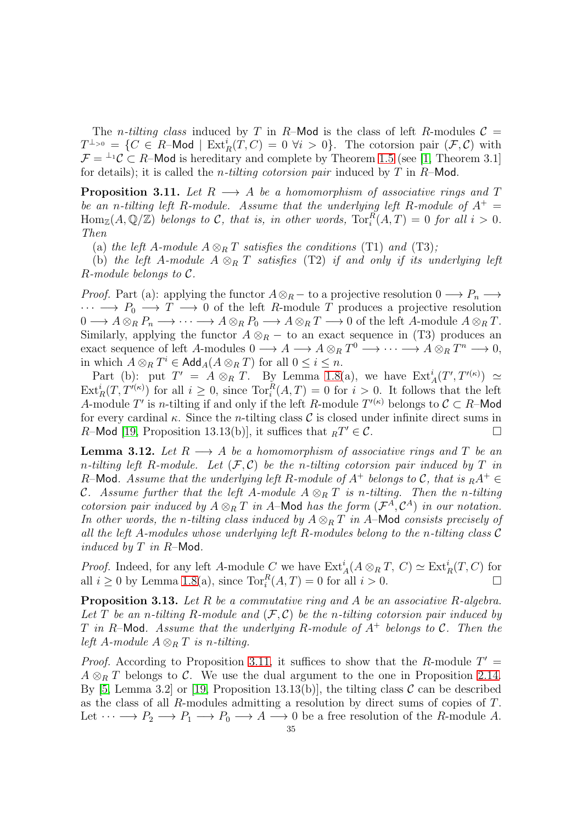The *n*-tilting class induced by T in R–Mod is the class of left R-modules  $C =$  $T^{\perp_{>0}} = \{C \in R\text{-Mod} \mid \text{Ext}_R^i(T, C) = 0 \,\,\forall i > 0\}.$  The cotorsion pair  $(\mathcal{F}, \mathcal{C})$  with  $\mathcal{F} = {}^{\perp_1}\mathcal{C} \subset R$ –Mod is hereditary and complete by Theorem [1.5](#page-7-1) (see [\[1,](#page-51-1) Theorem 3.1] for details); it is called the n*-tilting cotorsion pair* induced by T in R–Mod.

<span id="page-34-2"></span>**Proposition 3.11.** Let  $R \longrightarrow A$  be a homomorphism of associative rings and T *be an n-tilting left* R-module. Assume that the underlying left R-module of  $A^+$  =  $\text{Hom}_{\mathbb{Z}}(A,\mathbb{Q}/\mathbb{Z})$  *belongs to* C, that is, in other words,  $\text{Tor}_{i}^{R}(A,T) = 0$  for all  $i > 0$ . *Then*

(a) the left A-module  $A \otimes_R T$  satisfies the conditions (T1) and (T3);

(b) *the left* A-module  $A \otimes_R T$  *satisfies* (T2) *if and only if its underlying left* R*-module belongs to* C*.*

*Proof.* Part (a): applying the functor  $A \otimes_R -$  to a projective resolution  $0 \longrightarrow P_n \longrightarrow$  $\cdots \longrightarrow P_0 \longrightarrow T \longrightarrow 0$  of the left R-module T produces a projective resolution  $0 \longrightarrow A \otimes_R P_n \longrightarrow \cdots \longrightarrow A \otimes_R P_0 \longrightarrow A \otimes_R T \longrightarrow 0$  of the left A-module  $A \otimes_R T$ . Similarly, applying the functor  $A \otimes_R -$  to an exact sequence in (T3) produces an exact sequence of left A-modules  $0 \longrightarrow A \longrightarrow A \otimes_R T^0 \longrightarrow \cdots \longrightarrow A \otimes_R T^n \longrightarrow 0$ , in which  $A \otimes_R T^i \in \mathsf{Add}_A(A \otimes_R T)$  for all  $0 \leq i \leq n$ .

Part (b): put  $T' = A \otimes_R T$ . By Lemma [1.8\(](#page-8-1)a), we have  $\text{Ext}^i_A(T', T'^{(\kappa)}) \simeq$  $\text{Ext}^i_R(T, T^{\prime(\kappa)})$  for all  $i \geq 0$ , since  $\text{Tor}^R_i(A, T) = 0$  for  $i > 0$ . It follows that the left A-module T' is n-tilting if and only if the left R-module  $T^{(\kappa)}$  belongs to  $\mathcal{C} \subset R$ -Mod for every cardinal  $\kappa$ . Since the *n*-tilting class  $\mathcal C$  is closed under infinite direct sums in R-Mod [\[19,](#page-52-1) Proposition 13.13(b)], it suffices that  ${}_RT' \in \mathcal{C}$ .

<span id="page-34-0"></span>**Lemma 3.12.** Let  $R \longrightarrow A$  be a homomorphism of associative rings and T be an *n-tilting left* R-module. Let  $(F, C)$  be the *n-tilting cotorsion pair induced by*  $T$  *in* R-Mod. Assume that the underlying left R-module of  $A^+$  belongs to C, that is  $_R A^+$ *C.* Assume further that the left A-module  $A \otimes_R T$  is n-tilting. Then the n-tilting *cotorsion pair induced by*  $A \otimes_R T$  *in* A–Mod *has the form*  $(\mathcal{F}^A, \mathcal{C}^A)$  *in our notation. In other words, the n-tilting class induced by*  $A \otimes_R T$  *in* A–Mod *consists precisely of all the left* A*-modules whose underlying left* R*-modules belong to the* n*-tilting class* C *induced by* T *in* R–Mod*.*

*Proof.* Indeed, for any left A-module C we have  $\text{Ext}_{A}^{i}(A \otimes_{R} T, C) \simeq \text{Ext}_{R}^{i}(T, C)$  for all  $i \geq 0$  by Lemma [1.8\(](#page-8-1)a), since  $\text{Tor}_{i}^{R}(A, T) = 0$  for all  $i > 0$ .

<span id="page-34-1"></span>Proposition 3.13. *Let* R *be a commutative ring and* A *be an associative* R*-algebra.* Let  $T$  be an n-tilting  $R$ -module and  $(\mathcal{F}, \mathcal{C})$  be the n-tilting cotorsion pair induced by T *in* R–Mod*. Assume that the underlying* R*-module of* A<sup>+</sup> *belongs to* C*. Then the left* A-module  $A \otimes_R T$  *is n-tilting.* 

*Proof.* According to Proposition [3.11,](#page-34-2) it suffices to show that the R-module  $T' =$  $A \otimes_R T$  belongs to C. We use the dual argument to the one in Proposition [2.14.](#page-18-0) By [\[5,](#page-52-12) Lemma 3.2] or [\[19,](#page-52-1) Proposition 13.13(b)], the tilting class  $\mathcal C$  can be described as the class of all R-modules admitting a resolution by direct sums of copies of T. Let  $\cdots \longrightarrow P_2 \longrightarrow P_1 \longrightarrow P_0 \longrightarrow A \longrightarrow 0$  be a free resolution of the R-module A.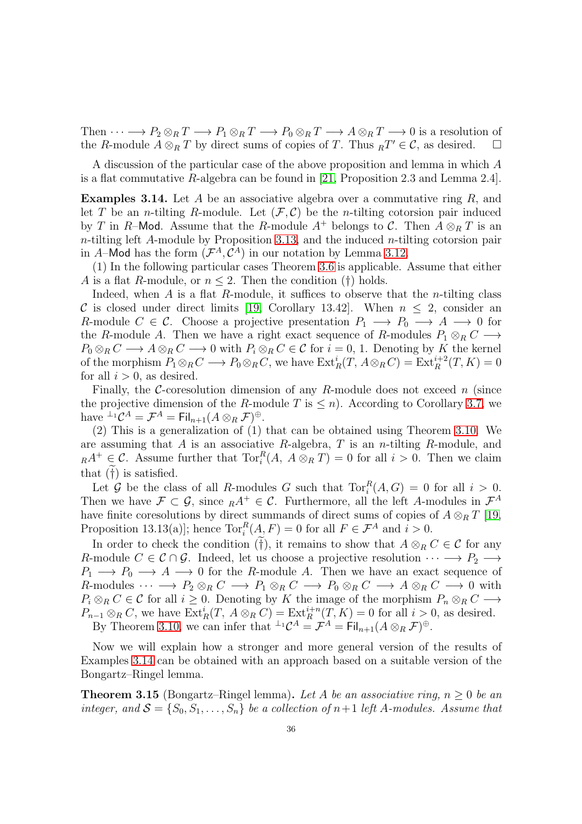Then  $\cdots \longrightarrow P_2 \otimes_R T \longrightarrow P_1 \otimes_R T \longrightarrow P_0 \otimes_R T \longrightarrow A \otimes_R T \longrightarrow 0$  is a resolution of the R-module  $A \otimes_R T$  by direct sums of copies of T. Thus  $_R T' \in \mathcal{C}$ , as desired.  $\square$ 

A discussion of the particular case of the above proposition and lemma in which A is a flat commutative R-algebra can be found in [\[21,](#page-52-18) Proposition 2.3 and Lemma 2.4].

<span id="page-35-0"></span>**Examples 3.14.** Let A be an associative algebra over a commutative ring R, and let T be an *n*-tilting R-module. Let  $(\mathcal{F}, \mathcal{C})$  be the *n*-tilting cotorsion pair induced by T in R–Mod. Assume that the R-module  $A^+$  belongs to C. Then  $A \otimes_R T$  is an  $n$ -tilting left A-module by Proposition [3.13,](#page-34-1) and the induced  $n$ -tilting cotorsion pair in A–Mod has the form  $(\mathcal{F}^A, \mathcal{C}^A)$  in our notation by Lemma [3.12.](#page-34-0)

(1) In the following particular cases Theorem [3.6](#page-31-0) is applicable. Assume that either A is a flat R-module, or  $n \leq 2$ . Then the condition (†) holds.

Indeed, when  $A$  is a flat  $R$ -module, it suffices to observe that the *n*-tilting class C is closed under direct limits [\[19,](#page-52-1) Corollary 13.42]. When  $n \leq 2$ , consider an R-module  $C \in \mathcal{C}$ . Choose a projective presentation  $P_1 \longrightarrow P_0 \longrightarrow A \longrightarrow 0$  for the R-module A. Then we have a right exact sequence of R-modules  $P_1 \otimes_R C \longrightarrow$  $P_0 \otimes_R C \longrightarrow A \otimes_R C \longrightarrow 0$  with  $P_i \otimes_R C \in \mathcal{C}$  for  $i = 0, 1$ . Denoting by K the kernel of the morphism  $P_1 \otimes_R C \longrightarrow P_0 \otimes_R C$ , we have  $\text{Ext}^i_R(T, A \otimes_R C) = \text{Ext}^{i+2}_R(T, K) = 0$ for all  $i > 0$ , as desired.

Finally, the C-coresolution dimension of any R-module does not exceed  $n$  (since the projective dimension of the R-module T is  $\leq n$ ). According to Corollary [3.7,](#page-31-1) we have  ${}^{\perp_1} \mathcal{C}^A = \mathcal{F}^A = \mathrm{Fil}_{n+1}(A \otimes_R \mathcal{F})^{\oplus}.$ 

(2) This is a generalization of (1) that can be obtained using Theorem [3.10.](#page-33-1) We are assuming that A is an associative R-algebra, T is an n-tilting R-module, and  $_R A^+ \in \mathcal{C}$ . Assume further that  $\text{Tor}_i^R(A, A \otimes_R T) = 0$  for all  $i > 0$ . Then we claim that  $(†)$  is satisfied.

Let G be the class of all R-modules G such that  $\text{Tor}_{i}^{R}(A, G) = 0$  for all  $i > 0$ . Then we have  $\mathcal{F} \subset \mathcal{G}$ , since  $_R A^+ \in \mathcal{C}$ . Furthermore, all the left A-modules in  $\mathcal{F}^A$ have finite coresolutions by direct summands of direct sums of copies of  $A \otimes_R T$  [\[19,](#page-52-1) Proposition 13.13(a)]; hence  $\text{Tor}_{i}^{R}(A, F) = 0$  for all  $F \in \mathcal{F}^{A}$  and  $i > 0$ .

In order to check the condition ( $\tilde{f}$ ), it remains to show that  $A \otimes_R C \in \mathcal{C}$  for any R-module  $C \in \mathcal{C} \cap \mathcal{G}$ . Indeed, let us choose a projective resolution  $\cdots \longrightarrow P_2 \longrightarrow$  $P_1 \longrightarrow P_0 \longrightarrow A \longrightarrow 0$  for the R-module A. Then we have an exact sequence of R-modules  $\cdots \longrightarrow P_2 \otimes_R C \longrightarrow P_1 \otimes_R C \longrightarrow P_0 \otimes_R C \longrightarrow A \otimes_R C \longrightarrow 0$  with  $P_i \otimes_R C \in \mathcal{C}$  for all  $i \geq 0$ . Denoting by K the image of the morphism  $P_n \otimes_R C \longrightarrow$  $P_{n-1}\otimes_R C$ , we have  $\text{Ext}^i_R(T, A\otimes_R C) = \text{Ext}^{i+n}_R(T, K) = 0$  for all  $i > 0$ , as desired.

By Theorem [3.10,](#page-33-1) we can infer that  $\perp^1 \mathcal{C}^A = \mathcal{F}^A = \mathrm{Fil}_{n+1}(A \otimes_R \mathcal{F})^{\oplus}$ .

Now we will explain how a stronger and more general version of the results of Examples [3.14](#page-35-0) can be obtained with an approach based on a suitable version of the Bongartz–Ringel lemma.

<span id="page-35-1"></span>Theorem 3.15 (Bongartz–Ringel lemma). *Let* A *be an associative ring,* n ≥ 0 *be an integer, and*  $S = \{S_0, S_1, \ldots, S_n\}$  *be a collection of*  $n+1$  *left* A-modules. Assume that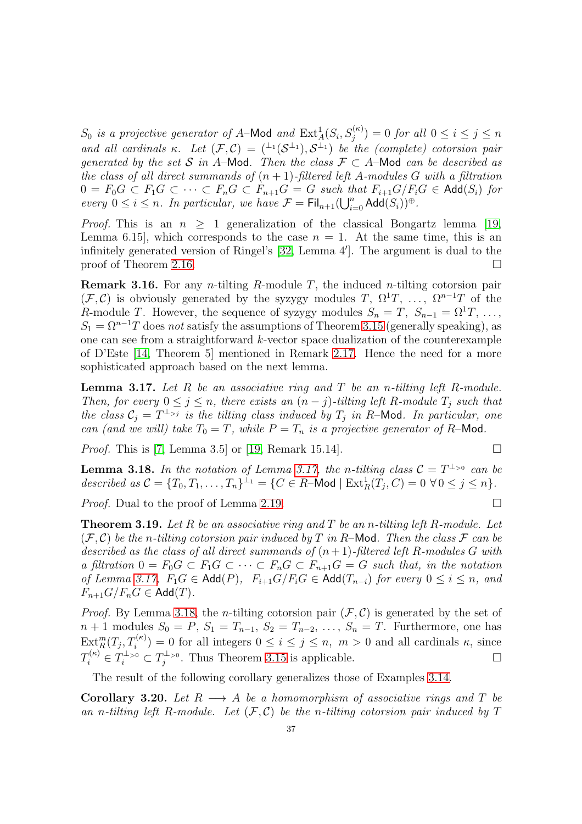$S_0$  *is a projective generator of A*–Mod *and*  $\text{Ext}^1_A(S_i, S_j^{(\kappa)}) = 0$  *for all*  $0 \le i \le j \le n$ and all cardinals  $\kappa$ . Let  $(\mathcal{F}, \mathcal{C}) = ({^{\perp_1}}(\mathcal{S}^{\perp_1}), \mathcal{S}^{\perp_1})$  be the (complete) cotorsion pair *generated by the set* S *in* A–Mod. Then the class  $\mathcal{F} \subset A$ –Mod *can be described as the class of all direct summands of*  $(n + 1)$ *-filtered left* A*-modules* G with a filtration  $0 = F_0G \subset F_1G \subset \cdots \subset F_nG \subset F_{n+1}G = G$  such that  $F_{i+1}G/F_iG \in \text{Add}(S_i)$  for *every*  $0 \leq i \leq n$ . In particular, we have  $\mathcal{F} = \text{Fil}_{n+1}(\bigcup_{i=0}^{n} \text{Add}(S_i))^{\oplus}$ .

*Proof.* This is an  $n \geq 1$  generalization of the classical Bongartz lemma [\[19,](#page-52-1) Lemma 6.15, which corresponds to the case  $n = 1$ . At the same time, this is an infinitely generated version of Ringel's [\[32,](#page-53-2) Lemma 4′ ]. The argument is dual to the proof of Theorem [2.16.](#page-19-0)

**Remark 3.16.** For any *n*-tilting *R*-module *T*, the induced *n*-tilting cotorsion pair  $(\mathcal{F}, \mathcal{C})$  is obviously generated by the syzygy modules T,  $\Omega^1 T$ , ...,  $\Omega^{n-1} T$  of the R-module T. However, the sequence of syzygy modules  $S_n = T$ ,  $S_{n-1} = \Omega^1 T, \ldots$ ,  $S_1 = \Omega^{n-1}T$  does *not* satisfy the assumptions of Theorem [3.15](#page-35-1) (generally speaking), as one can see from a straightforward k-vector space dualization of the counterexample of D'Este [\[14,](#page-52-13) Theorem 5] mentioned in Remark [2.17.](#page-20-0) Hence the need for a more sophisticated approach based on the next lemma.

<span id="page-36-0"></span>Lemma 3.17. *Let* R *be an associative ring and* T *be an* n*-tilting left* R*-module. Then, for every*  $0 \leq j \leq n$ *, there exists an*  $(n - j)$ *-tilting left* R*-module*  $T_j$  *such that the class*  $C_j = T^{\perp_{>j}}$  *is the tilting class induced by*  $T_j$  *in R*–Mod*. In particular, one can (and we will) take*  $T_0 = T$ *, while*  $P = T_n$  *is a projective generator of*  $R$ –Mod.

*Proof.* This is [\[7,](#page-52-19) Lemma 3.5] or [\[19,](#page-52-1) Remark 15.14].

<span id="page-36-1"></span>**Lemma 3.18.** In the notation of Lemma [3.17,](#page-36-0) the n-tilting class  $C = T^{\perp_{>0}}$  can be described as  $C = \{T_0, T_1, \ldots, T_n\}^{\perp_1} = \{C \in R \text{--Mod} \mid \text{Ext}^1_R(T_j, C) = 0 \,\,\forall \, 0 \leq j \leq n\}.$ 

*Proof.* Dual to the proof of Lemma [2.19.](#page-21-1) □

<span id="page-36-2"></span>Theorem 3.19. *Let* R *be an associative ring and* T *be an* n*-tilting left* R*-module. Let*  $(F, \mathcal{C})$  *be the n-tilting cotorsion pair induced by* T *in* R-Mod. Then the class F can be *described as the class of all direct summands of*  $(n + 1)$ *-filtered left* R-modules G with *a filtration*  $0 = F_0 G \subset F_1 G \subset \cdots \subset F_n G \subset F_{n+1} G = G$  such that, in the notation *of Lemma* [3.17,](#page-36-0)  $F_1G$  ∈ Add(P),  $F_{i+1}G/F_iG$  ∈ Add( $T_{n-i}$ ) *for every*  $0 \le i \le n$ , and  $F_{n+1}G/F_nG \in \mathsf{Add}(T)$ .

*Proof.* By Lemma [3.18,](#page-36-1) the *n*-tilting cotorsion pair  $(\mathcal{F}, \mathcal{C})$  is generated by the set of  $n + 1$  modules  $S_0 = P, S_1 = T_{n-1}, S_2 = T_{n-2}, \ldots, S_n = T$ . Furthermore, one has  $\text{Ext}_{R}^{m}(T_{j}, T_{i}^{(\kappa)}) = 0$  for all integers  $0 \leq i \leq j \leq n, m > 0$  and all cardinals  $\kappa$ , since  $T_i^{(\kappa)} \in T_i^{\perp_{>0}} \subset T_j^{\perp_{>0}}$  $j_j^{\perp_{>0}}$ . Thus Theorem [3.15](#page-35-1) is applicable.

The result of the following corollary generalizes those of Examples [3.14.](#page-35-0)

**Corollary 3.20.** Let  $R \longrightarrow A$  be a homomorphism of associative rings and T be an *n*-tilting left R-module. Let  $(F, C)$  be the *n*-tilting cotorsion pair induced by T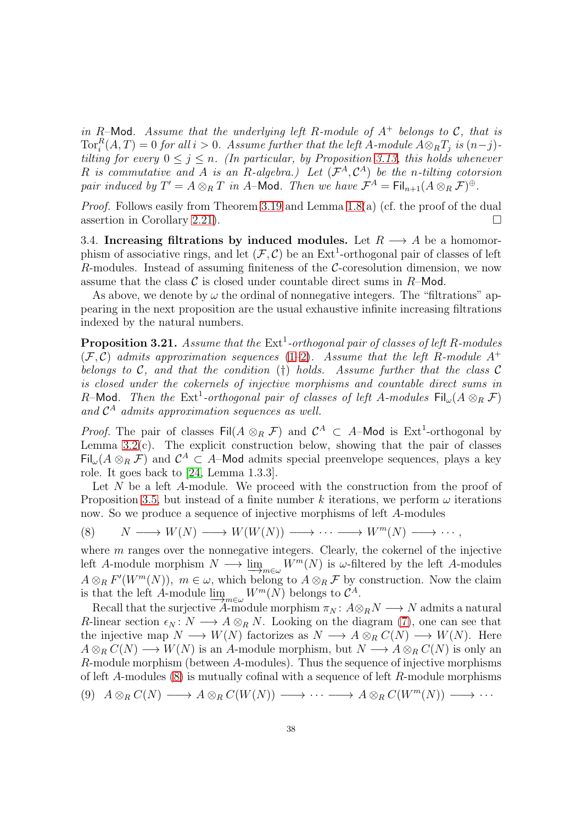*in* R–Mod. Assume that the underlying left R-module of  $A^+$  belongs to C, that is  $\text{Tor}_{i}^{R}(A, T) = 0$  *for all*  $i > 0$ *. Assume further that the left* A-module  $A \otimes_{R} T_{j}$  *is*  $(n-j)$ *tilting for every*  $0 \leq j \leq n$ . *(In particular, by Proposition [3.13,](#page-34-1) this holds whenever* R *is commutative and* A *is an* R*-algebra.) Let* (F <sup>A</sup>, C <sup>A</sup>) *be the* n*-tilting cotorsion pair induced by*  $T' = A \otimes_R T$  *in A*–**Mod**. Then we have  $\mathcal{F}^A = \text{Fil}_{n+1}(A \otimes_R \mathcal{F})^{\oplus}$ .

*Proof.* Follows easily from Theorem [3.19](#page-36-2) and Lemma [1.8\(](#page-8-1)a) (cf. the proof of the dual assertion in Corollary [2.21\)](#page-21-3).

<span id="page-37-0"></span>3.4. Increasing filtrations by induced modules. Let  $R \longrightarrow A$  be a homomorphism of associative rings, and let  $(\mathcal{F}, \mathcal{C})$  be an Ext<sup>1</sup>-orthogonal pair of classes of left R-modules. Instead of assuming finiteness of the  $\mathcal{C}\text{-}\text{coresolution}$  dimension, we now assume that the class  $\mathcal C$  is closed under countable direct sums in  $R$ –Mod.

As above, we denote by  $\omega$  the ordinal of nonnegative integers. The "filtrations" appearing in the next proposition are the usual exhaustive infinite increasing filtrations indexed by the natural numbers.

<span id="page-37-2"></span>**Proposition 3.21.** Assume that the  $Ext<sup>1</sup>$ -orthogonal pair of classes of left R-modules  $(F, C)$  *admits approximation sequences* [\(1–](#page-5-2)[2\)](#page-5-3). Assume that the left R-module A<sup>+</sup> *belongs to* C*, and that the condition* (†) *holds. Assume further that the class* C *is closed under the cokernels of injective morphisms and countable direct sums in* R–Mod. Then the  $\mathrm{Ext}^1$ -orthogonal pair of classes of left A-modules  $\mathsf{Fil}_{\omega}(A \otimes_R \mathcal{F})$ *and* C <sup>A</sup> *admits approximation sequences as well.*

*Proof.* The pair of classes  $\text{Fil}(A \otimes_R \mathcal{F})$  and  $\mathcal{C}^A \subset A$ -Mod is  $\text{Ext}^1$ -orthogonal by Lemma  $3.2(c)$ . The explicit construction below, showing that the pair of classes Fil<sub> $\omega(A \otimes_R \mathcal{F})$ </sub> and  $\mathcal{C}^A \subset A$ –Mod admits special preenvelope sequences, plays a key role. It goes back to [\[24,](#page-52-0) Lemma 1.3.3].

Let  $N$  be a left  $A$ -module. We proceed with the construction from the proof of Proposition [3.5,](#page-29-2) but instead of a finite number k iterations, we perform  $\omega$  iterations now. So we produce a sequence of injective morphisms of left A-modules

<span id="page-37-1"></span>
$$
(8) \qquad N \longrightarrow W(N) \longrightarrow W(W(N)) \longrightarrow \cdots \longrightarrow W^{m}(N) \longrightarrow \cdots,
$$

where  $m$  ranges over the nonnegative integers. Clearly, the cokernel of the injective left A-module morphism  $N \longrightarrow \lim_{m \in \omega} W^m(N)$  is  $\omega$ -filtered by the left A-modules  $A \otimes_R F'(W^m(N)), m \in \omega$ , which belong to  $A \otimes_R \mathcal{F}$  by construction. Now the claim is that the left A-module  $\lim_{m \in \omega} W^m(N)$  belongs to  $\mathcal{C}^A$ .

Recall that the surjective A-module morphism  $\pi_N : A \otimes_R N \longrightarrow N$  admits a natural R-linear section  $\epsilon_N : N \longrightarrow A \otimes_R N$ . Looking on the diagram [\(7\)](#page-30-0), one can see that the injective map  $N \longrightarrow W(N)$  factorizes as  $N \longrightarrow A \otimes_R C(N) \longrightarrow W(N)$ . Here  $A \otimes_R C(N) \longrightarrow W(N)$  is an A-module morphism, but  $N \longrightarrow A \otimes_R C(N)$  is only an R-module morphism (between A-modules). Thus the sequence of injective morphisms of left  $A$ -modules  $(8)$  is mutually cofinal with a sequence of left  $R$ -module morphisms

<span id="page-37-3"></span>
$$
(9) A \otimes_R C(N) \longrightarrow A \otimes_R C(W(N)) \longrightarrow \cdots \longrightarrow A \otimes_R C(W^m(N)) \longrightarrow \cdots
$$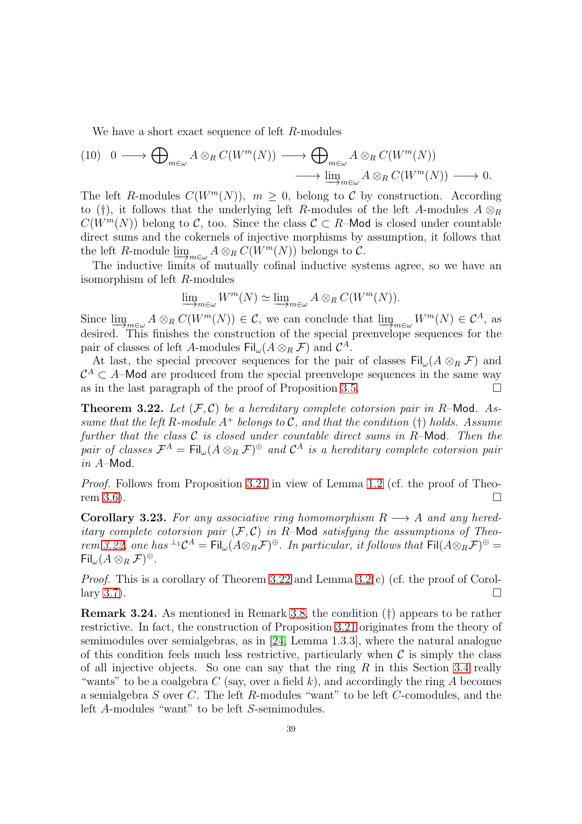We have a short exact sequence of left R-modules

<span id="page-38-2"></span>
$$
(10) \quad 0 \longrightarrow \bigoplus_{m \in \omega} A \otimes_R C(W^m(N)) \longrightarrow \bigoplus_{m \in \omega} A \otimes_R C(W^m(N))
$$
  

$$
\longrightarrow \varinjlim_{m \in \omega} A \otimes_R C(W^m(N)) \longrightarrow 0.
$$

The left R-modules  $C(W^m(N))$ ,  $m \geq 0$ , belong to C by construction. According to (†), it follows that the underlying left R-modules of the left A-modules  $A \otimes_R B$  $C(W^m(N))$  belong to C, too. Since the class  $\mathcal{C} \subset R$ –Mod is closed under countable direct sums and the cokernels of injective morphisms by assumption, it follows that the left R-module  $\lim_{m \in \omega} A \otimes_R C(W^m(N))$  belongs to C.

The inductive limits of mutually cofinal inductive systems agree, so we have an isomorphism of left R-modules

$$
\underline{\lim}_{m \in \omega} W^m(N) \simeq \underline{\lim}_{m \in \omega} A \otimes_R C(W^m(N)).
$$

Since  $\lim_{m\in\omega} A\otimes_R C(W^m(N)) \in \mathcal{C}$ , we can conclude that  $\lim_{m\in\omega} W^m(N) \in \mathcal{C}^A$ , as desired. This finishes the construction of the special preenvelope sequences for the pair of classes of left A-modules  $\mathsf{Fil}_{\omega}(A \otimes_R \mathcal{F})$  and  $\mathcal{C}^A$ .

At last, the special precover sequences for the pair of classes  $\text{Fil}_{\omega}(A \otimes_R \mathcal{F})$  and  $\mathcal{C}^A \subset A$ –Mod are produced from the special preenvelope sequences in the same way as in the last paragraph of the proof of Proposition [3.5.](#page-29-2)

<span id="page-38-0"></span>Theorem 3.22. *Let* (F, C) *be a hereditary complete cotorsion pair in* R–Mod*. Assume that the left* R-module  $A^+$  *belongs to* C, and that the condition (†) holds. Assume *further that the class* C *is closed under countable direct sums in* R–Mod*. Then the pair of classes*  $\mathcal{F}^A = \text{Fil}_{\omega}(A \otimes_R \mathcal{F})^{\oplus}$  and  $\mathcal{C}^A$  *is a hereditary complete cotorsion pair in* A–Mod*.*

*Proof.* Follows from Proposition [3.21](#page-37-2) in view of Lemma [1.2](#page-6-1) (cf. the proof of Theo-rem [3.6\)](#page-31-0).  $\square$ 

<span id="page-38-1"></span>**Corollary 3.23.** For any associative ring homomorphism  $R \rightarrow A$  and any hered*itary complete cotorsion pair*  $(F, C)$  *in R*–**Mod** *satisfying the assumptions of Theorem* [3.22,](#page-38-0) one has  $^{\perp_1}C^A = \text{Fil}_{\omega}(A \otimes_R \mathcal{F})^{\oplus}$ . In particular, it follows that  $\text{Fil}(A \otimes_R \mathcal{F})^{\oplus} =$  $\mathsf{Fil}_{\omega}(A\otimes_R \mathcal{F})^{\oplus}.$ 

*Proof.* This is a corollary of Theorem [3.22](#page-38-0) and Lemma [3.2\(](#page-28-0)c) (cf. the proof of Corol-lary [3.7\)](#page-31-1).

Remark 3.24. As mentioned in Remark [3.8,](#page-31-2) the condition (†) appears to be rather restrictive. In fact, the construction of Proposition [3.21](#page-37-2) originates from the theory of semimodules over semialgebras, as in [\[24,](#page-52-0) Lemma 1.3.3], where the natural analogue of this condition feels much less restrictive, particularly when  $\mathcal C$  is simply the class of all injective objects. So one can say that the ring  $R$  in this Section [3.4](#page-37-0) really "wants" to be a coalgebra  $C$  (say, over a field k), and accordingly the ring A becomes a semialgebra S over C. The left R-modules "want" to be left C-comodules, and the left A-modules "want" to be left S-semimodules.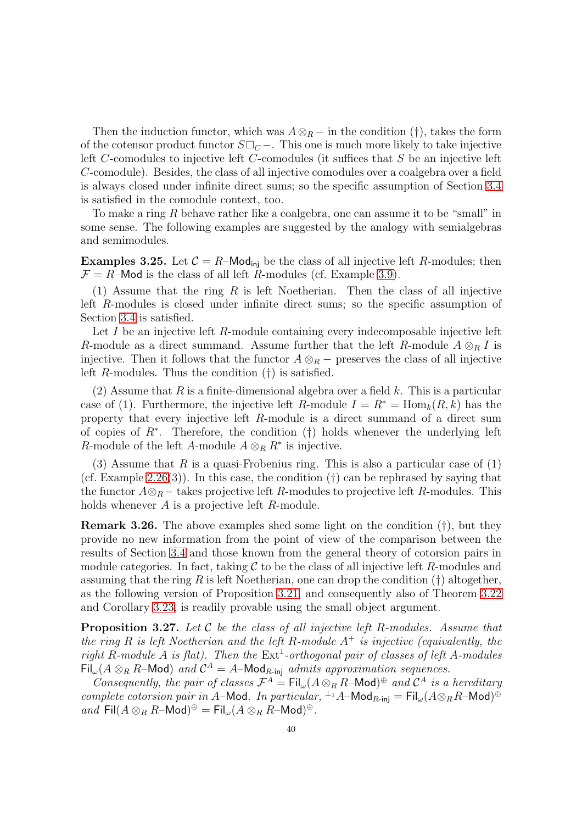Then the induction functor, which was  $A \otimes_R -$  in the condition (†), takes the form of the cotensor product functor  $S\square_C$  −. This one is much more likely to take injective left C-comodules to injective left C-comodules (it suffices that S be an injective left C-comodule). Besides, the class of all injective comodules over a coalgebra over a field is always closed under infinite direct sums; so the specific assumption of Section [3.4](#page-37-0) is satisfied in the comodule context, too.

To make a ring R behave rather like a coalgebra, one can assume it to be "small" in some sense. The following examples are suggested by the analogy with semialgebras and semimodules.

<span id="page-39-1"></span>**Examples 3.25.** Let  $C = R$ –Mod<sub>ini</sub> be the class of all injective left R-modules; then  $\mathcal{F} = R$ –Mod is the class of all left R-modules (cf. Example [3.9\)](#page-32-0).

(1) Assume that the ring  $R$  is left Noetherian. Then the class of all injective left R-modules is closed under infinite direct sums; so the specific assumption of Section [3.4](#page-37-0) is satisfied.

Let  $I$  be an injective left  $R$ -module containing every indecomposable injective left R-module as a direct summand. Assume further that the left R-module  $A \otimes_R I$  is injective. Then it follows that the functor  $A \otimes_R -$  preserves the class of all injective left R-modules. Thus the condition (†) is satisfied.

(2) Assume that R is a finite-dimensional algebra over a field k. This is a particular case of (1). Furthermore, the injective left R-module  $I = R^* = \text{Hom}_k(R, k)$  has the property that every injective left R-module is a direct summand of a direct sum of copies of R<sup>∗</sup> . Therefore, the condition (†) holds whenever the underlying left R-module of the left A-module  $A \otimes_R R^*$  is injective.

(3) Assume that R is a quasi-Frobenius ring. This is also a particular case of  $(1)$ (cf. Example [2.26\(](#page-24-0)3)). In this case, the condition  $(†)$  can be rephrased by saying that the functor  $A\otimes_B$  – takes projective left R-modules to projective left R-modules. This holds whenever  $A$  is a projective left  $R$ -module.

Remark 3.26. The above examples shed some light on the condition (†), but they provide no new information from the point of view of the comparison between the results of Section [3.4](#page-37-0) and those known from the general theory of cotorsion pairs in module categories. In fact, taking  $\mathcal C$  to be the class of all injective left R-modules and assuming that the ring R is left Noetherian, one can drop the condition  $(†)$  altogether, as the following version of Proposition [3.21,](#page-37-2) and consequently also of Theorem [3.22](#page-38-0) and Corollary [3.23,](#page-38-1) is readily provable using the small object argument.

<span id="page-39-0"></span>Proposition 3.27. *Let* C *be the class of all injective left* R*-modules. Assume that the ring* R *is left Noetherian and the left* R*-module* A<sup>+</sup> *is injective (equivalently, the right* R-module A *is* flat). Then the  $Ext<sup>1</sup>$ -orthogonal pair of classes of left A-modules  $\overline{\text{Fil}}_{\omega}(A \otimes_R R-\text{Mod})$  and  $\mathcal{C}^A = A-\text{Mod}_{R\text{-inj}}$  admits approximation sequences.

*Consequently, the pair of classes*  $\mathcal{F}^A = \text{Fil}_{\omega}(A \otimes_R R - \text{Mod})^{\oplus}$  and  $\mathcal{C}^A$  *is a hereditary complete cotorsion pair in A*–Mod. In particular, <sup> $\perp$ </sup>1A–Mod<sub>R-inj</sub> = Fil<sub>ω</sub> $(A \otimes_R R$ –Mod)<sup> $\oplus$ </sup>  $and \text{ Fil}(A\otimes_R R-\text{Mod})^{\oplus} = \text{Fil}_{\omega}(A\otimes_R R-\text{Mod})^{\oplus}.$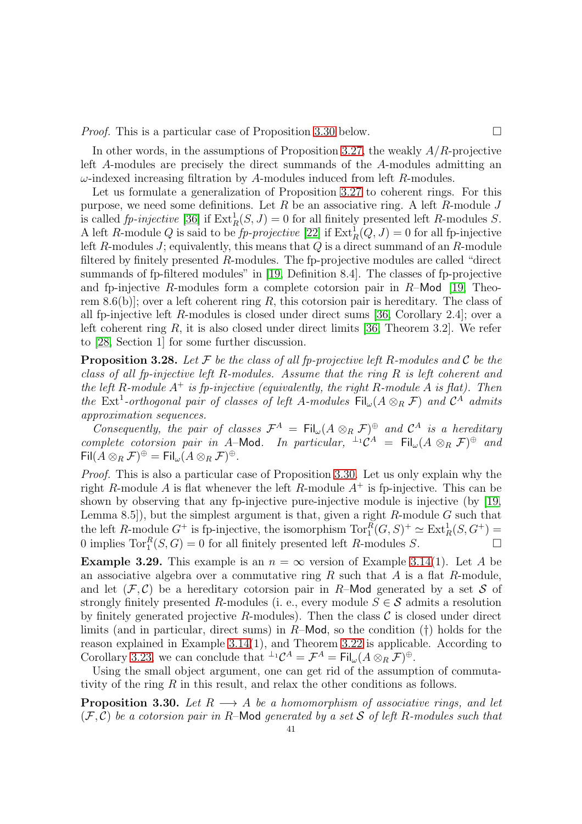*Proof.* This is a particular case of Proposition [3.30](#page-40-1) below.

In other words, in the assumptions of Proposition [3.27,](#page-39-0) the weakly  $A/R$ -projective left A-modules are precisely the direct summands of the A-modules admitting an  $\omega$ -indexed increasing filtration by A-modules induced from left R-modules.

Let us formulate a generalization of Proposition [3.27](#page-39-0) to coherent rings. For this purpose, we need some definitions. Let  $R$  be an associative ring. A left  $R$ -module  $J$ is called *fp-injective* [\[36\]](#page-53-12) if  $\text{Ext}_{R}^{1}(S, J) = 0$  for all finitely presented left R-modules S. A left R-module Q is said to be  $fp$ -projective [\[22\]](#page-52-20) if  $\text{Ext}^1_R(Q, J) = 0$  for all fp-injective left  $R$ -modules  $J$ ; equivalently, this means that  $Q$  is a direct summand of an  $R$ -module filtered by finitely presented R-modules. The fp-projective modules are called "direct summands of fp-filtered modules" in [\[19,](#page-52-1) Definition 8.4]. The classes of fp-projective and fp-injective R-modules form a complete cotorsion pair in  $R$ -Mod [\[19,](#page-52-1) Theorem 8.6(b)]; over a left coherent ring R, this cotorsion pair is hereditary. The class of all fp-injective left R-modules is closed under direct sums [\[36,](#page-53-12) Corollary 2.4]; over a left coherent ring R, it is also closed under direct limits [\[36,](#page-53-12) Theorem 3.2]. We refer to [\[28,](#page-53-8) Section 1] for some further discussion.

<span id="page-40-0"></span>Proposition 3.28. *Let* F *be the class of all fp-projective left* R*-modules and* C *be the class of all fp-injective left* R*-modules. Assume that the ring* R *is left coherent and the left* R*-module* A<sup>+</sup> *is fp-injective (equivalently, the right* R*-module* A *is flat). Then the* Ext<sup>1</sup>-orthogonal pair of classes of left A-modules  $\text{Fil}_{\omega}(A \otimes_R \mathcal{F})$  and  $\mathcal{C}^{\hat{A}}$  admits *approximation sequences.*

*Consequently, the pair of classes*  $\mathcal{F}^A = \mathrm{Fil}_{\omega}(A \otimes_R \mathcal{F})^{\oplus}$  and  $\mathcal{C}^A$  *is a hereditary complete cotorsion pair in A*–Mod. In particular,  $\perp_1 \mathcal{C}^A = \mathrm{Fil}_{\omega}(A \otimes_R \mathcal{F})^{\oplus}$  and  $\mathsf{Fil}(A\otimes_R \mathcal{F})^\oplus=\mathsf{Fil}_\omega(A\otimes_R \mathcal{F})^\oplus.$ 

*Proof.* This is also a particular case of Proposition [3.30.](#page-40-1) Let us only explain why the right R-module A is flat whenever the left R-module  $A^+$  is fp-injective. This can be shown by observing that any fp-injective pure-injective module is injective (by [\[19,](#page-52-1) Lemma 8.5]), but the simplest argument is that, given a right  $R$ -module  $G$  such that the left R-module  $G^+$  is fp-injective, the isomorphism  $\text{Tor}_1^R(G, S)^+ \simeq \text{Ext}_R^1(S, G^+) =$ 0 implies  $Tor_1^R(S, G) = 0$  for all finitely presented left R-modules S.

**Example 3.29.** This example is an  $n = \infty$  version of Example [3.14\(](#page-35-0)1). Let A be an associative algebra over a commutative ring  $R$  such that  $A$  is a flat  $R$ -module, and let  $(\mathcal{F}, \mathcal{C})$  be a hereditary cotorsion pair in R–Mod generated by a set S of strongly finitely presented R-modules (i. e., every module  $S \in \mathcal{S}$  admits a resolution by finitely generated projective R-modules). Then the class  $\mathcal C$  is closed under direct limits (and in particular, direct sums) in  $R-\text{Mod}$ , so the condition (†) holds for the reason explained in Example [3.14\(](#page-35-0)1), and Theorem [3.22](#page-38-0) is applicable. According to Corollary [3.23,](#page-38-1) we can conclude that  ${}^{\perp_1} \mathcal{C}^A = \mathcal{F}^A = \text{Fil}_{\omega}(A \otimes_R \mathcal{F})^{\oplus}$ .

Using the small object argument, one can get rid of the assumption of commutativity of the ring R in this result, and relax the other conditions as follows.

<span id="page-40-1"></span>**Proposition 3.30.** Let  $R \longrightarrow A$  be a homomorphism of associative rings, and let (F, C) *be a cotorsion pair in* R–Mod *generated by a set* S *of left* R*-modules such that*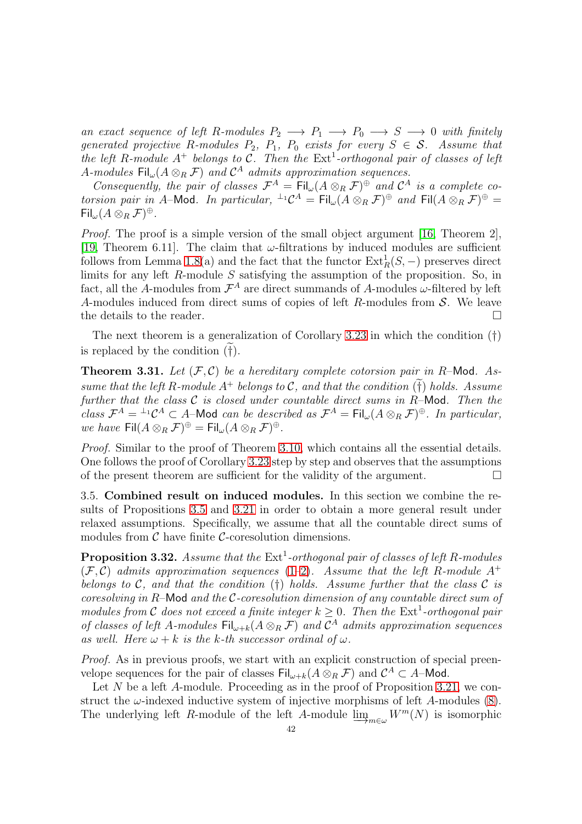*an exact sequence of left* R-modules  $P_2 \longrightarrow P_1 \longrightarrow P_0 \longrightarrow S \longrightarrow 0$  with finitely *generated projective* R-modules  $P_2$ ,  $P_1$ ,  $P_0$  *exists for every*  $S \in \mathcal{S}$ . Assume that the left R-module  $A^+$  belongs to C. Then the  $Ext^1$ -orthogonal pair of classes of left A-modules  $\mathsf{Fil}_{\omega}(A \otimes_R \mathcal{F})$  and  $\mathcal{C}^A$  admits approximation sequences.

*Consequently, the pair of classes*  $\mathcal{F}^A = \text{Fil}_{\omega}(A \otimes_R \mathcal{F})^{\oplus}$  *and*  $\mathcal{C}^A$  *is a complete cotorsion pair in A*–Mod. In particular,  ${}^{\perp_1}C^A = \text{Fil}_{\omega}(A \otimes_R \mathcal{F})^{\oplus}$  and  $\text{Fil}(A \otimes_R \mathcal{F})^{\oplus} =$  $\mathsf{Fil}_{\omega}(A\otimes_R \mathcal{F})^{\oplus}.$ 

*Proof.* The proof is a simple version of the small object argument [\[16,](#page-52-4) Theorem 2], [\[19,](#page-52-1) Theorem 6.11]. The claim that  $\omega$ -filtrations by induced modules are sufficient follows from Lemma [1.8\(](#page-8-1)a) and the fact that the functor  $\text{Ext}_{R}^{1}(S, -)$  preserves direct limits for any left R-module S satisfying the assumption of the proposition. So, in fact, all the A-modules from  $\mathcal{F}^A$  are direct summands of A-modules  $\omega$ -filtered by left A-modules induced from direct sums of copies of left R-modules from S. We leave the details to the reader.  $\Box$ 

The next theorem is a generalization of Corollary [3.23](#page-38-1) in which the condition (†) is replaced by the condition  $(\ddot{\dagger})$ .

**Theorem 3.31.** Let  $(\mathcal{F}, \mathcal{C})$  be a hereditary complete cotorsion pair in R-Mod. As*sume that the left* R-module  $A^+$  *belongs to* C, and that the condition  $(\tilde{\dagger})$  holds. Assume *further that the class* C *is closed under countable direct sums in* R–Mod*. Then the class*  $\mathcal{F}^A = {}^{\perp_1} \mathcal{C}^A \subset A$ -Mod *can be described as*  $\mathcal{F}^A = \text{Fil}_{\omega}(A \otimes_R \mathcal{F})^{\oplus}$ *. In particular, we have*  $\text{Fil}(A \otimes_R \mathcal{F})^{\oplus} = \text{Fil}_{\omega}(A \otimes_R \mathcal{F})^{\oplus}$ .

*Proof.* Similar to the proof of Theorem [3.10,](#page-33-1) which contains all the essential details. One follows the proof of Corollary [3.23](#page-38-1) step by step and observes that the assumptions of the present theorem are sufficient for the validity of the argument.

<span id="page-41-0"></span>3.5. Combined result on induced modules. In this section we combine the results of Propositions [3.5](#page-29-2) and [3.21](#page-37-2) in order to obtain a more general result under relaxed assumptions. Specifically, we assume that all the countable direct sums of modules from  $\mathcal C$  have finite  $\mathcal C$ -coresolution dimensions.

<span id="page-41-1"></span>**Proposition 3.32.** Assume that the  $Ext<sup>1</sup>$ -orthogonal pair of classes of left R-modules  $(F, C)$  *admits approximation sequences* [\(1–](#page-5-2)[2\)](#page-5-3). Assume that the left R-module A<sup>+</sup> *belongs to* C*, and that the condition* (†) *holds. Assume further that the class* C *is coresolving in* R–Mod *and the* C*-coresolution dimension of any countable direct sum of modules from* C does not exceed a finite integer  $k \geq 0$ . Then the Ext<sup>1</sup>-orthogonal pair *of classes of left* A-modules  $\text{Fil}_{\omega+k}(A \otimes_R \mathcal{F})$  and  $\mathcal{C}^A$  admits approximation sequences *as well. Here*  $\omega + k$  *is the k-th successor ordinal of*  $\omega$ *.* 

*Proof.* As in previous proofs, we start with an explicit construction of special preenvelope sequences for the pair of classes  $\text{Fil}_{\omega+k}(A\otimes_R \mathcal{F})$  and  $\mathcal{C}^A\subset A$ -Mod.

Let  $N$  be a left  $A$ -module. Proceeding as in the proof of Proposition [3.21,](#page-37-2) we construct the  $\omega$ -indexed inductive system of injective morphisms of left A-modules [\(8\)](#page-37-1). The underlying left R-module of the left A-module  $\lim_{m\in\omega} W^m(N)$  is isomorphic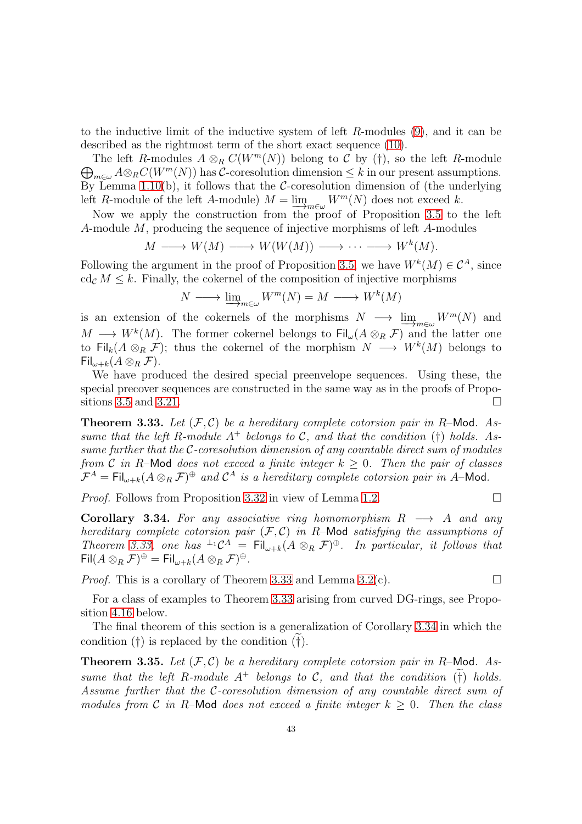to the inductive limit of the inductive system of left R-modules [\(9\)](#page-37-3), and it can be described as the rightmost term of the short exact sequence [\(10\)](#page-38-2).

The left R-modules  $A \otimes_R C(W^m(N))$  belong to C by (†), so the left R-module<br>  $\bigoplus_{A \otimes_R C(W^m(N))} A \otimes_R C$ -coresolution dimension  $\leq k$  in our present assumptions  $\bigoplus_{m\in\omega}A\otimes_R C(W^m(N))$  has C-coresolution dimension  $\leq k$  in our present assumptions. By Lemma [1.10\(](#page-9-2)b), it follows that the  $\mathcal{C}\text{-}\mathrm{coresolution}$  dimension of (the underlying left R-module of the left A-module)  $M = \lim_{m \in \omega} W^m(N)$  does not exceed k.

Now we apply the construction from the proof of Proposition [3.5](#page-29-2) to the left A-module M, producing the sequence of injective morphisms of left A-modules

$$
M \longrightarrow W(M) \longrightarrow W(W(M)) \longrightarrow \cdots \longrightarrow W^{k}(M).
$$

Following the argument in the proof of Proposition [3.5,](#page-29-2) we have  $W^k(M) \in \mathcal{C}^A$ , since cd<sub>c</sub>  $M \leq k$ . Finally, the cokernel of the composition of injective morphisms

$$
N \longrightarrow \underline{\lim}_{m \in \omega} W^m(N) = M \longrightarrow W^k(M)
$$

is an extension of the cokernels of the morphisms  $N \longrightarrow \underline{\lim}_{m \in \omega} W^m(N)$  and  $M \longrightarrow W^k(M)$ . The former cokernel belongs to  $\text{Fil}_{\omega}(A \otimes_R \mathcal{F})$  and the latter one to Fil<sub>k</sub> $(A \otimes_R \mathcal{F})$ ; thus the cokernel of the morphism  $N \longrightarrow W^k(M)$  belongs to  $\operatorname{Fil}_{\omega+k}(A\otimes_B \mathcal{F}).$ 

We have produced the desired special preenvelope sequences. Using these, the special precover sequences are constructed in the same way as in the proofs of Propo-sitions [3.5](#page-29-2) and [3.21.](#page-37-2)

<span id="page-42-0"></span>**Theorem 3.33.** Let  $(\mathcal{F}, \mathcal{C})$  be a hereditary complete cotorsion pair in R-Mod. As*sume that the left*  $R$ -module  $A^+$  *belongs to*  $C$ *, and that the condition* (†) *holds.* As*sume further that the* C*-coresolution dimension of any countable direct sum of modules from* C *in* R–Mod *does not exceed a finite integer*  $k \geq 0$ *. Then the pair of classes*  $\mathcal{F}^A = \text{Fil}_{\omega+k}(A \otimes_R \mathcal{F})^{\oplus}$  and  $\mathcal{C}^A$  is a hereditary complete cotorsion pair in A–Mod.

*Proof.* Follows from Proposition [3.32](#page-41-1) in view of Lemma [1.2.](#page-6-1) □

<span id="page-42-1"></span>**Corollary 3.34.** For any associative ring homomorphism  $R \rightarrow A$  and any *hereditary complete cotorsion pair* (F, C) *in* R–Mod *satisfying the assumptions of Theorem* [3.33,](#page-42-0) one has  $\perp^1 \mathcal{C}^A = \text{Fil}_{\omega+k}(A \otimes_R \mathcal{F})^{\oplus}$ . In particular, it follows that  $\mathsf{Fil}(A\otimes_R \mathcal{F})^{\oplus}=\mathsf{Fil}_{\omega+k}(A\otimes_R \mathcal{F})^{\oplus}.$ 

*Proof.* This is a corollary of Theorem [3.33](#page-42-0) and Lemma [3.2\(](#page-28-0)c).  $\square$ 

For a class of examples to Theorem [3.33](#page-42-0) arising from curved DG-rings, see Proposition [4.16](#page-50-1) below.

The final theorem of this section is a generalization of Corollary [3.34](#page-42-1) in which the condition  $(\dagger)$  is replaced by the condition  $(\dagger)$ .

**Theorem 3.35.** Let  $(\mathcal{F}, \mathcal{C})$  be a hereditary complete cotorsion pair in R-Mod. As*sume that the left* R-module  $A^+$  *belongs to* C, and that the condition (†) holds. *Assume further that the* C*-coresolution dimension of any countable direct sum of modules from* C *in* R–Mod *does not exceed a finite integer*  $k > 0$ . Then the class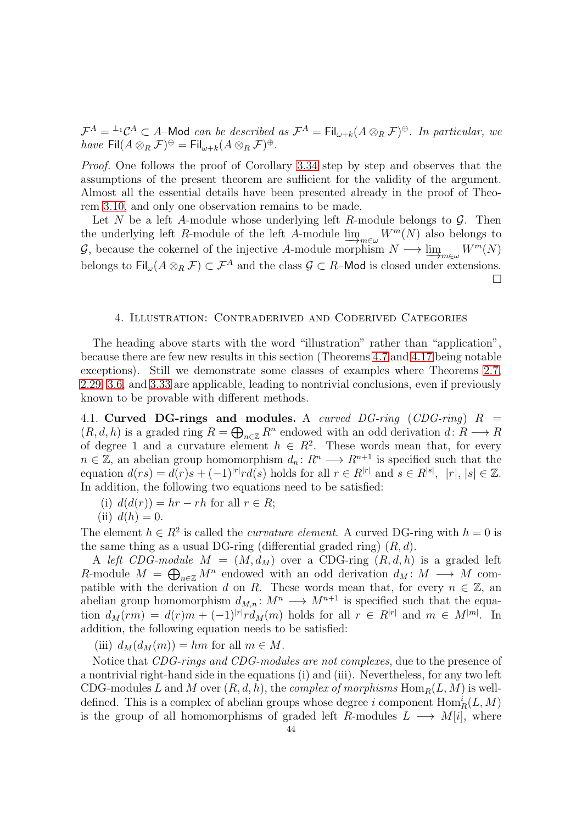$\mathcal{F}^A = {}^{\perp_1} \mathcal{C}^A \subset A$ -Mod *can be described as*  $\mathcal{F}^A = \text{Fil}_{\omega+k}(A \otimes_R \mathcal{F})^{\oplus}$ . In particular, we  $have \text{ Fil}(A\otimes_R \mathcal{F})^{\oplus} = \text{Fil}_{\omega+k}(A\otimes_R \mathcal{F})^{\oplus}.$ 

*Proof.* One follows the proof of Corollary [3.34](#page-42-1) step by step and observes that the assumptions of the present theorem are sufficient for the validity of the argument. Almost all the essential details have been presented already in the proof of Theorem [3.10,](#page-33-1) and only one observation remains to be made.

Let N be a left A-module whose underlying left R-module belongs to  $\mathcal{G}$ . Then the underlying left R-module of the left A-module  $\lim_{m\in\omega} W^m(N)$  also belongs to  $\mathcal{G}$ , because the cokernel of the injective A-module morphism  $N \longrightarrow \lim_{m \in \omega} W^m(N)$ belongs to  $\text{Fil}_{\omega}(A\otimes_R \mathcal{F})\subset \mathcal{F}^A$  and the class  $\mathcal{G}\subset R$ –Mod is closed under extensions.  $\Box$ 

### <span id="page-43-0"></span>4. Illustration: Contraderived and Coderived Categories

The heading above starts with the word "illustration" rather than "application", because there are few new results in this section (Theorems [4.7](#page-47-0) and [4.17](#page-50-2) being notable exceptions). Still we demonstrate some classes of examples where Theorems [2.7,](#page-14-0) [2.29,](#page-26-0) [3.6,](#page-31-0) and [3.33](#page-42-0) are applicable, leading to nontrivial conclusions, even if previously known to be provable with different methods.

<span id="page-43-1"></span>4.1. Curved DG-rings and modules. A *curved DG-ring* (*CDG-ring*) R =  $(R, d, h)$  is a graded ring  $R = \bigoplus_{n \in \mathbb{Z}} R^n$  endowed with an odd derivation  $d: R \longrightarrow R$ of degree 1 and a curvature element  $h \in R^2$ . These words mean that, for every  $n \in \mathbb{Z}$ , an abelian group homomorphism  $d_n: R^n \longrightarrow R^{n+1}$  is specified such that the equation  $d(rs) = d(r)s + (-1)^{|r|}rd(s)$  holds for all  $r \in R^{|r|}$  and  $s \in R^{|s|}$ ,  $|r|, |s| \in \mathbb{Z}$ . In addition, the following two equations need to be satisfied:

- (i)  $d(d(r)) = hr rh$  for all  $r \in R$ ;
- (ii)  $d(h) = 0$ .

The element  $h \in \mathbb{R}^2$  is called the *curvature element*. A curved DG-ring with  $h = 0$  is the same thing as a usual DG-ring (differential graded ring)  $(R, d)$ .

A *left CDG-module*  $M = (M, d_M)$  over a CDG-ring  $(R, d, h)$  is a graded left R-module  $M = \bigoplus_{n \in \mathbb{Z}} M^n$  endowed with an odd derivation  $d_M : M \longrightarrow M$  compatible with the derivation d on R. These words mean that, for every  $n \in \mathbb{Z}$ , an abelian group homomorphism  $d_{M,n}: M^n \longrightarrow M^{n+1}$  is specified such that the equation  $d_M(rm) = d(r)m + (-1)^{|r|} r d_M(m)$  holds for all  $r \in R^{|r|}$  and  $m \in M^{|m|}$ . In addition, the following equation needs to be satisfied:

(iii)  $d_M(d_M(m)) = hm$  for all  $m \in M$ .

Notice that *CDG-rings and CDG-modules are not complexes*, due to the presence of a nontrivial right-hand side in the equations (i) and (iii). Nevertheless, for any two left CDG-modules L and M over  $(R, d, h)$ , the *complex of morphisms*  $\text{Hom}_{R}(L, M)$  is welldefined. This is a complex of abelian groups whose degree i component  $\text{Hom}_R^i(L, M)$ is the group of all homomorphisms of graded left R-modules  $L \longrightarrow M[i]$ , where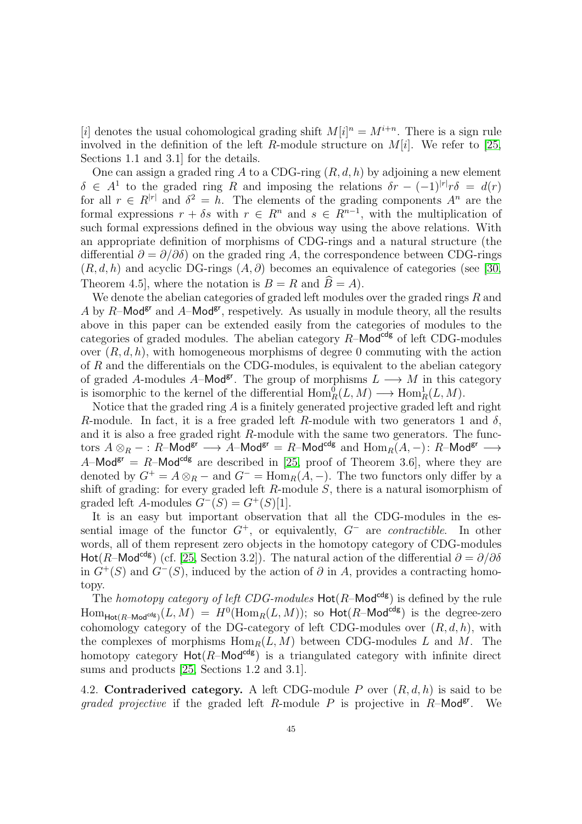[i] denotes the usual cohomological grading shift  $M[i]^{n} = M^{i+n}$ . There is a sign rule involved in the definition of the left R-module structure on  $M[i]$ . We refer to [\[25,](#page-53-5) Sections 1.1 and 3.1] for the details.

One can assign a graded ring A to a CDG-ring  $(R, d, h)$  by adjoining a new element  $\delta \in A^1$  to the graded ring R and imposing the relations  $\delta r - (-1)^{|r|} r \delta = d(r)$ for all  $r \in R^{|r|}$  and  $\delta^2 = h$ . The elements of the grading components  $A^n$  are the formal expressions  $r + \delta s$  with  $r \in \mathbb{R}^n$  and  $s \in \mathbb{R}^{n-1}$ , with the multiplication of such formal expressions defined in the obvious way using the above relations. With an appropriate definition of morphisms of CDG-rings and a natural structure (the differential  $\partial = \partial/\partial \delta$  on the graded ring A, the correspondence between CDG-rings  $(R, d, h)$  and acyclic DG-rings  $(A, \partial)$  becomes an equivalence of categories (see [\[30,](#page-53-13) Theorem 4.5, where the notation is  $B = R$  and  $\widehat{B} = A$ .

We denote the abelian categories of graded left modules over the graded rings  $R$  and A by R–Mod<sup>gr</sup> and A–Mod<sup>gr</sup>, respetively. As usually in module theory, all the results above in this paper can be extended easily from the categories of modules to the categories of graded modules. The abelian category  $R$ –Mod<sup>cdg</sup> of left CDG-modules over  $(R, d, h)$ , with homogeneous morphisms of degree 0 commuting with the action of R and the differentials on the CDG-modules, is equivalent to the abelian category of graded A-modules A–Mod<sup>gr</sup>. The group of morphisms  $L \longrightarrow M$  in this category is isomorphic to the kernel of the differential  $Hom_R^0(L, M) \longrightarrow Hom_R^1(L, M)$ .

Notice that the graded ring  $A$  is a finitely generated projective graded left and right R-module. In fact, it is a free graded left R-module with two generators 1 and  $\delta$ , and it is also a free graded right R-module with the same two generators. The functors  $A \otimes_R - :R-\text{Mod}^{\text{gr}} \longrightarrow A-\text{Mod}^{\text{gr}} = R-\text{Mod}^{\text{cdg}}$  and  $\text{Hom}_R(A,-):R-\text{Mod}^{\text{gr}} \longrightarrow$ A–Mod<sup>gr</sup> = R–Mod<sup>cdg</sup> are described in [\[25,](#page-53-5) proof of Theorem 3.6], where they are denoted by  $G^+ = A \otimes_R -$  and  $G^- = \text{Hom}_R(A, -)$ . The two functors only differ by a shift of grading: for every graded left  $R$ -module  $S$ , there is a natural isomorphism of graded left A-modules  $G^{-}(S) = G^{+}(S)[1]$ .

It is an easy but important observation that all the CDG-modules in the essential image of the functor G<sup>+</sup>, or equivalently, G<sup>−</sup> are *contractible*. In other words, all of them represent zero objects in the homotopy category of CDG-modules Hot(R–Mod<sup>cdg</sup>) (cf. [\[25,](#page-53-5) Section 3.2]). The natural action of the differential  $\partial = \partial/\partial \delta$ in  $G^+(S)$  and  $G^-(S)$ , induced by the action of  $\partial$  in A, provides a contracting homotopy.

The *homotopy category of left CDG-modules*  $Hot(R-Mod^{cdg})$  is defined by the rule  $\text{Hom}_{\text{Hot}(R-\text{Mod}^{\text{cdg}})}(L,M) = H^0(\text{Hom}_R(L,M));$  so  $\text{Hot}(R-\text{Mod}^{\text{cdg}})$  is the degree-zero cohomology category of the DG-category of left CDG-modules over  $(R, d, h)$ , with the complexes of morphisms  $\text{Hom}_R(L, M)$  between CDG-modules L and M. The homotopy category  $Hot(R-Mod^{cdg})$  is a triangulated category with infinite direct sums and products [\[25,](#page-53-5) Sections 1.2 and 3.1].

<span id="page-44-0"></span>4.2. Contraderived category. A left CDG-module P over  $(R, d, h)$  is said to be *graded projective* if the graded left R-module P is projective in  $R$ -Mod<sup>gr</sup>. We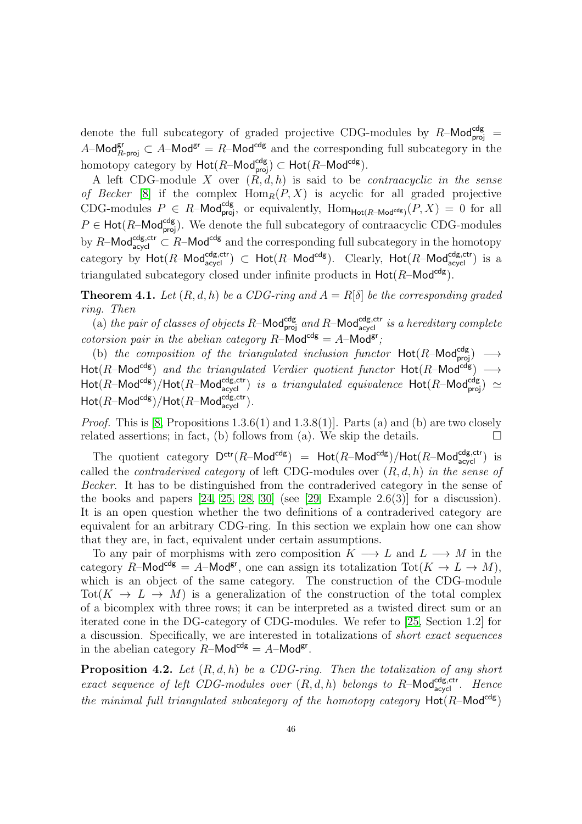denote the full subcategory of graded projective CDG-modules by  $R-\text{Mod}_{proj}^{cdg}$  = A–Mod<sup>gr</sup>  $\subset A$ –Mod<sup>gr</sup> = R–Mod<sup>cdg</sup> and the corresponding full subcategory in the homotopy category by  $\mathsf{Hot}(R\text{-}\mathsf{Mod}^{\mathsf{cdg}}_{\mathsf{proj}}) \subset \mathsf{Hot}(R\text{-}\mathsf{Mod}^{\mathsf{cdg}}).$ 

A left CDG-module X over  $(R, d, h)$  is said to be *contraacyclic in the sense of Becker* [\[8\]](#page-52-9) if the complex  $\text{Hom}_R(P, X)$  is acyclic for all graded projective CDG-modules  $P \in R$ -Mod<sup>cdg</sup><sub>proj</sub>, or equivalently,  $\text{Hom}_{\text{Hot}(R-\text{Mod}^{cdg})}(P,X) = 0$  for all  $P \in \text{Hot}(R-\text{Mod}_{\text{proj}}^{\text{cdg}})$ . We denote the full subcategory of contraacyclic CDG-modules by R–Mod<sup>cdg,ctr</sup>  $\subset R$ –Mod<sup>cdg</sup> and the corresponding full subcategory in the homotopy category by  $\textsf{Hot}(R\textsf{-Mod}_{\textsf{acycl}}^{\textsf{cdg},\textsf{ctr}}) \subset \textsf{Hot}(R\textsf{-Mod}^{\textsf{cdg}})$ . Clearly,  $\textsf{Hot}(R\textsf{-Mod}_{\textsf{acycl}}^{\textsf{cdg},\textsf{ctr}})$  is a triangulated subcategory closed under infinite products in  $Hot(R-Mod^{cdg})$ .

<span id="page-45-0"></span>**Theorem 4.1.** Let  $(R, d, h)$  be a CDG-ring and  $A = R[\delta]$  be the corresponding graded *ring. Then*

(a) the pair of classes of objects R-Mod<sup>cdg</sup> and R-Mod<sup>cdg,ctr</sup> is a hereditary complete *cotorsion pair in the abelian category*  $R$ –Mod<sup>cdg</sup> =  $A$ –Mod<sup>gr</sup>;

(b) *the composition of the triangulated inclusion functor*  $Hot(R-Mod^{cdg}_{proj}) \longrightarrow$  $Hot(R-Mod^{cdg})$  *and the triangulated Verdier quotient functor*  $Hot(R-Mod^{cdg}) \longrightarrow$  $\textsf{Hot}(R\textsf{-Mod}^{\textsf{cdg}})/\textsf{Hot}(R\textsf{-Mod}_{\textsf{acycl}}^{\textsf{cdg},\textsf{ctr}})$  *is a triangulated equivalence*  $\textsf{Hot}(R\textsf{-Mod}_{\textsf{proj}}^{\textsf{cdg}}) \simeq$  $\operatorname{\mathsf{Hot}}(R\text{\operatorname{\mathsf{-Mod}}}{\operatorname{\mathsf{ad}}}{\mathsf g},\operatorname{\mathsf{CFL}}(R\text{\operatorname{\mathsf{-Mod}}}{\operatorname{\mathsf{ad}}}{\mathsf g},{\operatorname{\mathsf{ctr}}}).$ 

*Proof.* This is [\[8,](#page-52-9) Propositions  $1.3.6(1)$  and  $1.3.8(1)$ ]. Parts (a) and (b) are two closely related assertions; in fact, (b) follows from (a). We skip the details.  $\square$ 

The quotient category  $D^{ctr}(R-\text{Mod}^{cdg}) = \text{Hot}(R-\text{Mod}^{cdg})/\text{Hot}(R-\text{Mod}^{cdg,ctr})$  is called the *contraderived category* of left CDG-modules over (R, d, h) *in the sense of Becker*. It has to be distinguished from the contraderived category in the sense of the books and papers  $[24, 25, 28, 30]$  $[24, 25, 28, 30]$  $[24, 25, 28, 30]$  $[24, 25, 28, 30]$  (see  $[29, \text{Example } 2.6(3)]$  for a discussion). It is an open question whether the two definitions of a contraderived category are equivalent for an arbitrary CDG-ring. In this section we explain how one can show that they are, in fact, equivalent under certain assumptions.

To any pair of morphisms with zero composition  $K \longrightarrow L$  and  $L \longrightarrow M$  in the category R–Mod<sup>cdg</sup> = A–Mod<sup>gr</sup>, one can assign its totalization  $\text{Tot}(K \to L \to M)$ , which is an object of the same category. The construction of the CDG-module Tot( $K \to L \to M$ ) is a generalization of the construction of the total complex of a bicomplex with three rows; it can be interpreted as a twisted direct sum or an iterated cone in the DG-category of CDG-modules. We refer to [\[25,](#page-53-5) Section 1.2] for a discussion. Specifically, we are interested in totalizations of *short exact sequences* in the abelian category  $R-\text{Mod}^{\text{cdg}} = A-\text{Mod}^{\text{gr}}$ .

<span id="page-45-1"></span>Proposition 4.2. *Let* (R, d, h) *be a CDG-ring. Then the totalization of any short exact sequence of left CDG-modules over*  $(R, d, h)$  *belongs to*  $R$ -Mod $_{\text{acycl}}^{\text{cdg,ctr}}$ *. Hence the minimal full triangulated subcategory of the homotopy category*  $Hot(R-Mod^{cdg})$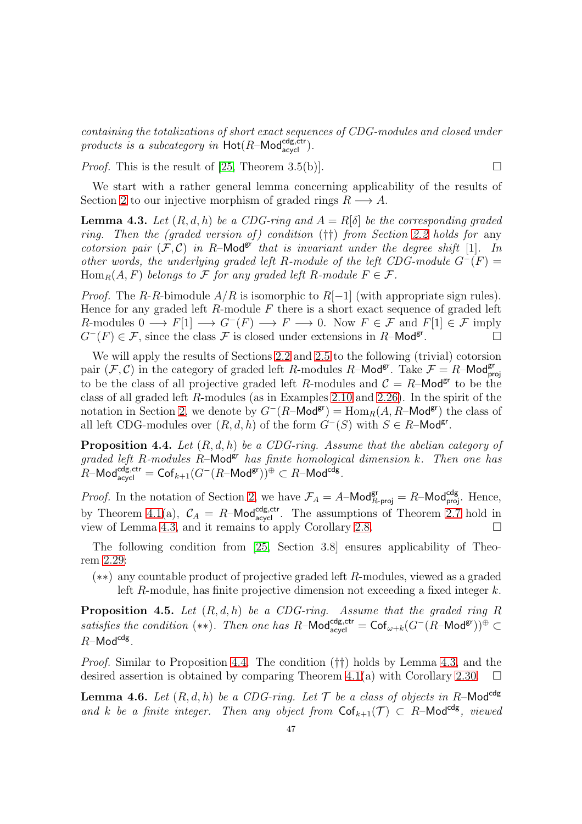*containing the totalizations of short exact sequences of CDG-modules and closed under products is a subcategory in*  $Hot(R-Mod_{acycl}^{cdg,ctr}).$ 

*Proof.* This is the result of [\[25,](#page-53-5) Theorem 3.5(b)].

We start with a rather general lemma concerning applicability of the results of Section [2](#page-10-0) to our injective morphism of graded rings  $R \longrightarrow A$ .

<span id="page-46-2"></span>**Lemma 4.3.** Let  $(R, d, h)$  be a CDG-ring and  $A = R[\delta]$  be the corresponding graded *ring. Then the (graded version of ) condition* (††) *from Section [2.2](#page-12-0) holds for* any *cotorsion pair*  $(F, C)$  *in* R-Mod<sup>gr</sup> *that is invariant under the degree shift* [1]*. In other words, the underlying graded left* R-module of the left CDG-module  $G^-(F)$  =  $\text{Hom}_R(A, F)$  *belongs to* F *for any graded left* R-module  $F \in \mathcal{F}$ .

*Proof.* The R-R-bimodule  $A/R$  is isomorphic to  $R[-1]$  (with appropriate sign rules). Hence for any graded left  $R$ -module  $F$  there is a short exact sequence of graded left R-modules  $0 \longrightarrow F[1] \longrightarrow G^{-}(F) \longrightarrow F \longrightarrow 0$ . Now  $F \in \mathcal{F}$  and  $F[1] \in \mathcal{F}$  imply  $G^{-}(F) \in \mathcal{F}$ , since the class  $\mathcal F$  is closed under extensions in R–Mod<sup>gr</sup>. .

We will apply the results of Sections [2.2](#page-12-0) and [2.5](#page-25-0) to the following (trivial) cotorsion pair  $(F, C)$  in the category of graded left R-modules R-Mod<sup>gr</sup>. Take  $F = R$ -Mod<sup>gr</sup> to be the class of all projective graded left R-modules and  $C = R$ -Mod<sup>gr</sup> to be the class of all graded left R-modules (as in Examples [2.10](#page-15-1) and [2.26\)](#page-24-0). In the spirit of the notation in Section [2,](#page-10-0) we denote by  $G^-(R-\text{Mod}^{gr}) = \text{Hom}_R(A, R-\text{Mod}^{gr})$  the class of all left CDG-modules over  $(R, d, h)$  of the form  $G^-(S)$  with  $S \in R$ -Mod<sup>gr</sup>.

<span id="page-46-0"></span>Proposition 4.4. *Let* (R, d, h) *be a CDG-ring. Assume that the abelian category of graded left* R*-modules* R–Modgr *has finite homological dimension* k*. Then one has*  $R\text{--Mod}_{\textsf{acycl}}^{\textsf{cdg},\textsf{ctr}}=\textsf{Cof}_{k+1}(G^-(R\text{--Mod}^{\textsf{gr}}))^{\oplus}\subset R\text{--Mod}^{\textsf{cdg}}.$ 

*Proof.* In the notation of Section [2,](#page-10-0) we have  $\mathcal{F}_A = A - \text{Mod}_{R\text{-proj}}^{\text{gr}} = R - \text{Mod}_{\text{proj}}^{\text{cdg}}$ . Hence, by Theorem [4.1\(](#page-45-0)a),  $C_A = R$ –Mod<sup>cdg,ctr</sup>. The assumptions of Theorem [2.7](#page-14-0) hold in view of Lemma [4.3,](#page-46-2) and it remains to apply Corollary [2.8.](#page-14-1)

The following condition from [\[25,](#page-53-5) Section 3.8] ensures applicability of Theorem [2.29:](#page-26-0)

(∗∗) any countable product of projective graded left R-modules, viewed as a graded left R-module, has finite projective dimension not exceeding a fixed integer  $k$ .

<span id="page-46-1"></span>Proposition 4.5. *Let* (R, d, h) *be a CDG-ring. Assume that the graded ring* R *satisfies the condition* (\*\*). Then one has R–Mod<sup>cdg,ctr</sup> =  $\mathsf{Cof}_{\omega+k}(G^-(R-\mathsf{Mod}^{gr}))^{\oplus} \subset$  $R$ –Mod $^{cdg}$ .

*Proof.* Similar to Proposition [4.4.](#page-46-0) The condition (††) holds by Lemma [4.3,](#page-46-2) and the desired assertion is obtained by comparing Theorem [4.1\(](#page-45-0)a) with Corollary [2.30.](#page-26-1)  $\Box$ 

<span id="page-46-3"></span>**Lemma 4.6.** Let  $(R, d, h)$  be a CDG-ring. Let  $\mathcal{T}$  be a class of objects in R-Mod<sup>cdg</sup> and k be a finite integer. Then any object from  $\mathsf{Cof}_{k+1}(\mathcal{T}) \subset R$ –Mod<sup>cdg</sup>, viewed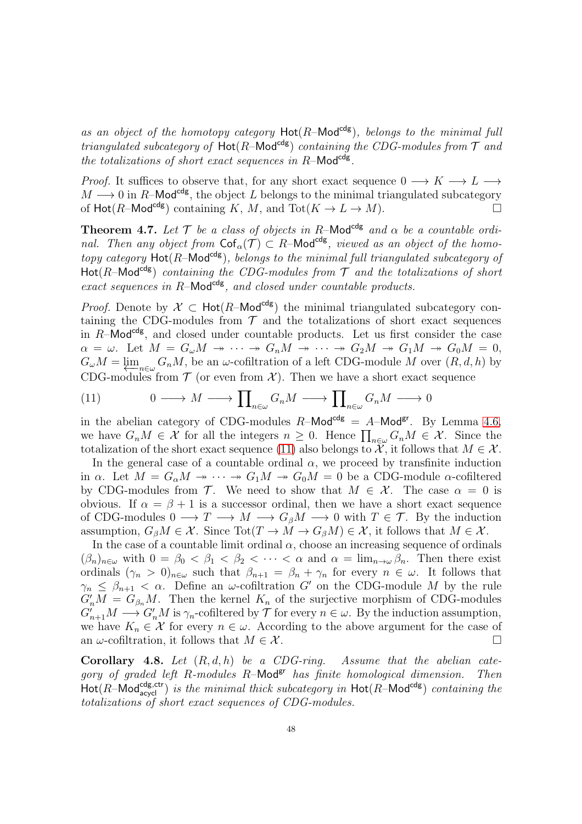as an object of the homotopy category  $Hot(R-Mod^{cdg})$ , belongs to the minimal full *triangulated subcategory of*  $Hot(R-Mod^{cdg})$  *containing the CDG-modules from*  $\mathcal T$  *and* the totalizations of short exact sequences in R-Mod<sup>cdg</sup>.

*Proof.* It suffices to observe that, for any short exact sequence  $0 \longrightarrow K \longrightarrow L \longrightarrow$  $M \longrightarrow 0$  in R–Mod<sup>cdg</sup>, the object L belongs to the minimal triangulated subcategory of  $Hot(R-Mod^{cds})$  containing K, M, and  $Tot(K \to L \to M)$ .

<span id="page-47-0"></span>**Theorem 4.7.** Let  $\mathcal{T}$  be a class of objects in R-Mod<sup>cdg</sup> and  $\alpha$  be a countable ordi*nal.* Then any object from  $\text{Cof}_{\alpha}(\mathcal{T}) \subset R$ -Mod<sup>cdg</sup>, viewed as an object of the homo*topy category*  $Hot(R-Mod^{cdg})$ *, belongs to the minimal full triangulated subcategory of* Hot( $R$ –Mod<sup>cdg</sup>) *containing the CDG-modules from*  $\mathcal T$  *and the totalizations of short exact sequences in R*–Mod<sup>cdg</sup>, and closed under countable products.

*Proof.* Denote by  $X \subset \text{Hot}(R-\text{Mod}^{cdg})$  the minimal triangulated subcategory containing the CDG-modules from  $\mathcal T$  and the totalizations of short exact sequences in  $R$ –Mod<sup>cdg</sup>, and closed under countable products. Let us first consider the case  $\alpha = \omega$ . Let  $M = G_{\omega}M \rightarrow \cdots \rightarrow G_nM \rightarrow \cdots \rightarrow G_2M \rightarrow G_1M \rightarrow G_0M = 0$ ,  $G_{\omega}M = \varprojlim_{n \in \omega} G_nM$ , be an  $\omega$ -cofiltration of a left CDG-module M over  $(R, d, h)$  by CDG-modules from  $\mathcal T$  (or even from  $\mathcal X$ ). Then we have a short exact sequence

<span id="page-47-1"></span>(11) 
$$
0 \longrightarrow M \longrightarrow \prod_{n \in \omega} G_n M \longrightarrow \prod_{n \in \omega} G_n M \longrightarrow 0
$$

in the abelian category of CDG-modules  $R$ -Mod<sup>cdg</sup> =  $A$ -Mod<sup>gr</sup>. By Lemma [4.6,](#page-46-3) we have  $G_nM \in \mathcal{X}$  for all the integers  $n \geq 0$ . Hence  $\prod_{n \in \omega} G_nM \in \mathcal{X}$ . Since the totalization of the short exact sequence [\(11\)](#page-47-1) also belongs to  $\mathcal{X}$ , it follows that  $M \in \mathcal{X}$ .

In the general case of a countable ordinal  $\alpha$ , we proceed by transfinite induction in  $\alpha$ . Let  $M = G_{\alpha}M \rightarrow \cdots \rightarrow G_1M \rightarrow G_0M = 0$  be a CDG-module  $\alpha$ -cofiltered by CDG-modules from T. We need to show that  $M \in \mathcal{X}$ . The case  $\alpha = 0$  is obvious. If  $\alpha = \beta + 1$  is a successor ordinal, then we have a short exact sequence of CDG-modules  $0 \longrightarrow T \longrightarrow M \longrightarrow G_{\beta}M \longrightarrow 0$  with  $T \in \mathcal{T}$ . By the induction assumption,  $G_\beta M \in \mathcal{X}$ . Since Tot $(T \to M \to G_\beta M) \in \mathcal{X}$ , it follows that  $M \in \mathcal{X}$ .

In the case of a countable limit ordinal  $\alpha$ , choose an increasing sequence of ordinals  $(\beta_n)_{n\in\omega}$  with  $0 = \beta_0 < \beta_1 < \beta_2 < \cdots < \alpha$  and  $\alpha = \lim_{n\to\omega} \beta_n$ . Then there exist ordinals  $(\gamma_n > 0)_{n \in \omega}$  such that  $\beta_{n+1} = \beta_n + \gamma_n$  for every  $n \in \omega$ . It follows that  $\gamma_n \leq \beta_{n+1} < \alpha$ . Define an  $\omega$ -cofiltration G' on the CDG-module M by the rule  $G'_nM = G_{\beta_n}M$ . Then the kernel  $K_n$  of the surjective morphism of CDG-modules  $G'_{n+1}M \longrightarrow G'_{n}M$  is  $\gamma_n$ -cofiltered by  $\mathcal T$  for every  $n \in \omega$ . By the induction assumption, we have  $K_n \in \mathcal{X}$  for every  $n \in \omega$ . According to the above argument for the case of an  $\omega$ -cofiltration, it follows that  $M \in \mathcal{X}$ .

<span id="page-47-2"></span>Corollary 4.8. *Let* (R, d, h) *be a CDG-ring. Assume that the abelian cate*gory of graded left R-modules R-Mod<sup>gr</sup> has finite homological dimension. Then  $\textsf{Hot}(R\text{-}\textsf{Mod}_{\textsf{acycl}}^{\textsf{cdg},\textsf{ctr}})$  *is the minimal thick subcategory in*  $\textsf{Hot}(R\text{-}\textsf{Mod}^{\textsf{cdg}})$  *containing the totalizations of short exact sequences of CDG-modules.*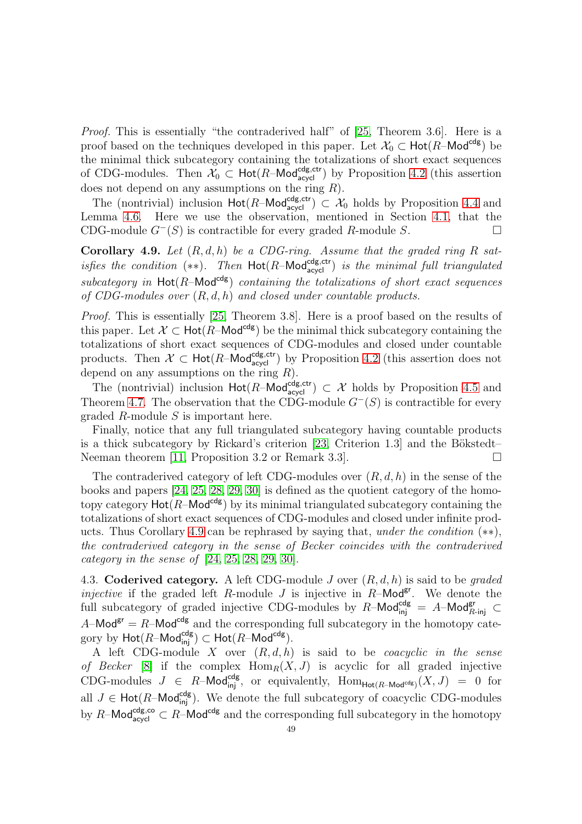*Proof.* This is essentially "the contraderived half" of [\[25,](#page-53-5) Theorem 3.6]. Here is a proof based on the techniques developed in this paper. Let  $\mathcal{X}_0 \subset \text{Hot}(R-\text{Mod}^{cdg})$  be the minimal thick subcategory containing the totalizations of short exact sequences of CDG-modules. Then  $\mathcal{X}_0 \subset \text{Hot}(R-\text{Mod}_{\text{acycl}}^{\text{cdg,ctr}})$  by Proposition [4.2](#page-45-1) (this assertion does not depend on any assumptions on the ring  $R$ ).

The (nontrivial) inclusion  $\text{Hot}(R-\text{Mod}_{\text{acycl}}^{\text{cdg,ctr}}) \subset \mathcal{X}_0$  holds by Proposition [4.4](#page-46-0) and Lemma [4.6.](#page-46-3) Here we use the observation, mentioned in Section [4.1,](#page-43-1) that the CDG-module  $G^{-}(S)$  is contractible for every graded R-module S.

<span id="page-48-1"></span>Corollary 4.9. *Let* (R, d, h) *be a CDG-ring. Assume that the graded ring* R *satisfies the condition*  $(**)$ . Then  $Hot(R-Mod_{acycl}^{cdg,ctr})$  *is the minimal full triangulated*  $subcategory$  in  $Hot(R-Mod<sup>cdg</sup>)$  *containing the totalizations of short exact sequences of CDG-modules over* (R, d, h) *and closed under countable products.*

*Proof.* This is essentially [\[25,](#page-53-5) Theorem 3.8]. Here is a proof based on the results of this paper. Let  $\mathcal{X} \subset$  Hot(R–Mod<sup>cdg</sup>) be the minimal thick subcategory containing the totalizations of short exact sequences of CDG-modules and closed under countable products. Then  $\mathcal{X} \subset \text{Hot}(R-\text{Mod}_{\text{acycl}}^{\text{cdg,ctr}})$  by Proposition [4.2](#page-45-1) (this assertion does not depend on any assumptions on the ring  $R$ ).

The (nontrivial) inclusion  $\text{Hot}(R-\text{Mod}_{\text{acycl}}^{\text{cdg,ctr}}) \subset \mathcal{X}$  holds by Proposition [4.5](#page-46-1) and Theorem [4.7.](#page-47-0) The observation that the CDG-module  $G^{-}(S)$  is contractible for every graded  $R$ -module  $S$  is important here.

Finally, notice that any full triangulated subcategory having countable products is a thick subcategory by Rickard's criterion  $[23,$  Criterion 1.3] and the Bökstedt– Neeman theorem [\[11,](#page-52-22) Proposition 3.2 or Remark 3.3]. □

The contraderived category of left CDG-modules over  $(R, d, h)$  in the sense of the books and papers [\[24,](#page-52-0) [25,](#page-53-5) [28,](#page-53-8) [29,](#page-53-14) [30\]](#page-53-13) is defined as the quotient category of the homotopy category  $Hot(R-Mod^{cdg})$  by its minimal triangulated subcategory containing the totalizations of short exact sequences of CDG-modules and closed under infinite products. Thus Corollary [4.9](#page-48-1) can be rephrased by saying that, *under the condition* (∗∗), *the contraderived category in the sense of Becker coincides with the contraderived category in the sense of* [\[24,](#page-52-0) [25,](#page-53-5) [28,](#page-53-8) [29,](#page-53-14) [30\]](#page-53-13).

<span id="page-48-0"></span>4.3. Coderived category. A left CDG-module J over (R, d, h) is said to be *graded injective* if the graded left R-module J is injective in R-Mod<sup>gr</sup>. We denote the full subcategory of graded injective CDG-modules by  $R-\textsf{Mod}^{\textsf{cdg}}_{\textsf{inj}} = A-\textsf{Mod}^{\textsf{gr}}_{R-\textsf{inj}} \subset$  $A-\text{Mod}^{\text{gr}} = R-\text{Mod}^{\text{cdg}}$  and the corresponding full subcategory in the homotopy category by  $\mathsf{Hot}(R\text{--Mod}^{\mathsf{cdg}}_{\mathsf{inj}}) \subset \mathsf{Hot}(R\text{--Mod}^{\mathsf{cdg}}).$ 

A left CDG-module X over (R, d, h) is said to be *coacyclic in the sense of Becker* [\[8\]](#page-52-9) if the complex  $\text{Hom}_R(X, J)$  is acyclic for all graded injective CDG-modules  $J \in R$ -Mod<sup>cdg</sup>, or equivalently,  $\text{Hom}_{\text{Hot}(R-\text{Mod}^{cdg})}(X, J) = 0$  for all  $J \in \text{Hot}(R-\text{Mod}_{\text{inj}}^{\text{cdg}})$ . We denote the full subcategory of coacyclic CDG-modules by R–Mod<sup>cdg,co</sup>  $\subset R$ –Mod<sup>cdg</sup> and the corresponding full subcategory in the homotopy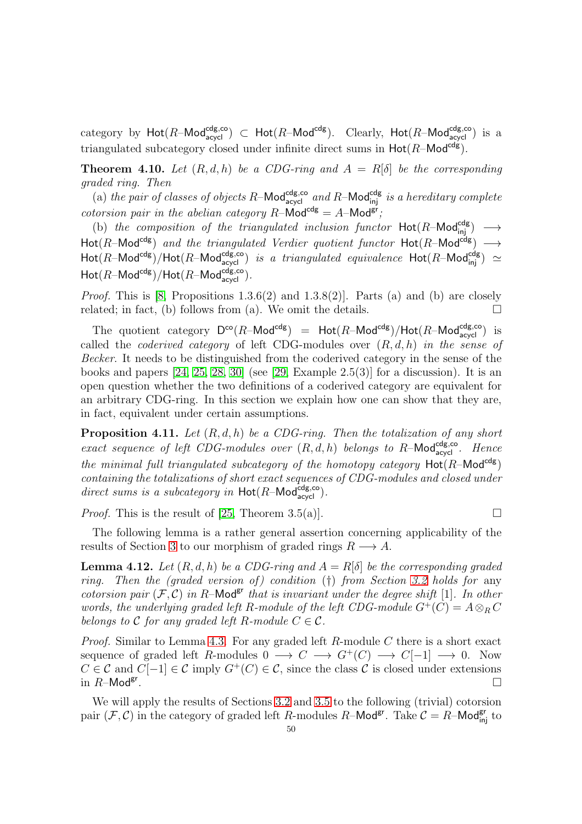category by  $\textsf{Hot}(R\text{-}\textsf{Mod}^{\textsf{cdg},\textsf{co}}_{\textsf{acycI}}) \subset \textsf{Hot}(R\text{-}\textsf{Mod}^{\textsf{cdg}}_{\textsf{ad}}).$  Clearly,  $\textsf{Hot}(R\text{-}\textsf{Mod}^{\textsf{cdg},\textsf{co}}_{\textsf{acycI}})$  is a triangulated subcategory closed under infinite direct sums in  $Hot(R-Mod<sup>cdg</sup>)$ .

<span id="page-49-0"></span>**Theorem 4.10.** Let  $(R, d, h)$  be a CDG-ring and  $A = R[\delta]$  be the corresponding *graded ring. Then*

(a) the pair of classes of objects R-Mod<sup>cdg,co</sup> and R-Mod<sup>cdg</sup> is a hereditary complete *cotorsion pair in the abelian category*  $R$ –Mod<sup>cdg</sup> =  $A$ –Mod<sup>gr</sup>;

(b) *the composition of the triangulated inclusion functor*  $Hot(R-Mod_{\text{inj}}^{\text{cdg}}) \longrightarrow$  $\textsf{Hot}(R\textsf{-Mod}^{\textsf{cdg}})$  *and the triangulated Verdier quotient functor*  $\textsf{Hot}(R\textsf{-Mod}^{\textsf{cdg}}) \longrightarrow$  $\textsf{Hot}(R\textsf{-Mod}^{\textsf{cdg}})/\textsf{Hot}(R\textsf{-Mod}_{\textsf{acycl}}^{\textsf{cdg,co}})$  *is a triangulated equivalence*  $\textsf{Hot}(R\textsf{-Mod}_{\textsf{inj}}^{\textsf{cdg}}) \simeq$  $\operatorname{\mathsf{Hot}}(R\text{\operatorname{\mathsf{-Mod}}}{\operatorname{\mathsf{cd}}}{\mathsf g})/\operatorname{\mathsf{Hot}}(R\text{\operatorname{\mathsf{-Mod}}}{\operatorname{\mathsf{ad}}}_{\operatorname{\mathsf{acycl}}}^{\operatorname{\mathsf{cdg,co}}}).$ 

*Proof.* This is  $[8,$  Propositions 1.3.6(2) and 1.3.8(2)]. Parts (a) and (b) are closely related; in fact, (b) follows from (a). We omit the details.  $\Box$ 

The quotient category  $D^{co}(R-\text{Mod}^{\text{cdg}})$  =  $\text{Hot}(R-\text{Mod}^{\text{cdg}})/\text{Hot}(R-\text{Mod}^{\text{cdg},\text{co}})$  is called the *coderived category* of left CDG-modules over (R, d, h) *in the sense of Becker*. It needs to be distinguished from the coderived category in the sense of the books and papers  $[24, 25, 28, 30]$  $[24, 25, 28, 30]$  $[24, 25, 28, 30]$  $[24, 25, 28, 30]$  (see  $[29, Example 2.5(3)]$  for a discussion). It is an open question whether the two definitions of a coderived category are equivalent for an arbitrary CDG-ring. In this section we explain how one can show that they are, in fact, equivalent under certain assumptions.

<span id="page-49-2"></span>Proposition 4.11. *Let* (R, d, h) *be a CDG-ring. Then the totalization of any short exact sequence of left CDG-modules over*  $(R, d, h)$  *belongs to*  $R$ -Mod<sup>cdg,co</sup>. Hence *the minimal full triangulated subcategory of the homotopy category*  $Hot(R-Mod^{cdg})$ *containing the totalizations of short exact sequences of CDG-modules and closed under*  $direct sums is a subcategory in Hot(R-Mod_{acycl}^{cdg, co}).$ 

*Proof.* This is the result of [\[25,](#page-53-5) Theorem 3.5(a)].

The following lemma is a rather general assertion concerning applicability of the results of Section [3](#page-27-0) to our morphism of graded rings  $R \longrightarrow A$ .

<span id="page-49-1"></span>**Lemma 4.12.** Let  $(R, d, h)$  be a CDG-ring and  $A = R[\delta]$  be the corresponding graded *ring.* Then the (graded version of) condition (†) from Section [3.2](#page-29-0) holds for any *cotorsion pair*  $(F, C)$  *in* R–Mod<sup>gr</sup> *that is invariant under the degree shift* [1]*. In other words, the underlying graded left* R-module of the left CDG-module  $G^+(C) = A \otimes_R C$ *belongs to*  $\mathcal C$  *for any graded left*  $R$ *-module*  $C \in \mathcal C$ *.* 

*Proof.* Similar to Lemma [4.3.](#page-46-2) For any graded left R-module C there is a short exact sequence of graded left R-modules  $0 \longrightarrow C \longrightarrow G^+(C) \longrightarrow C[-1] \longrightarrow 0$ . Now  $C \in \mathcal{C}$  and  $C[-1] \in \mathcal{C}$  imply  $G^+(C) \in \mathcal{C}$ , since the class  $\mathcal{C}$  is closed under extensions in  $R$ –Mod<sup>gr</sup>. .

We will apply the results of Sections [3.2](#page-29-0) and [3.5](#page-41-0) to the following (trivial) cotorsion pair  $(F, C)$  in the category of graded left R-modules R-Mod<sup>gr</sup>. Take  $C = R$ -Mod<sup>gr</sup> to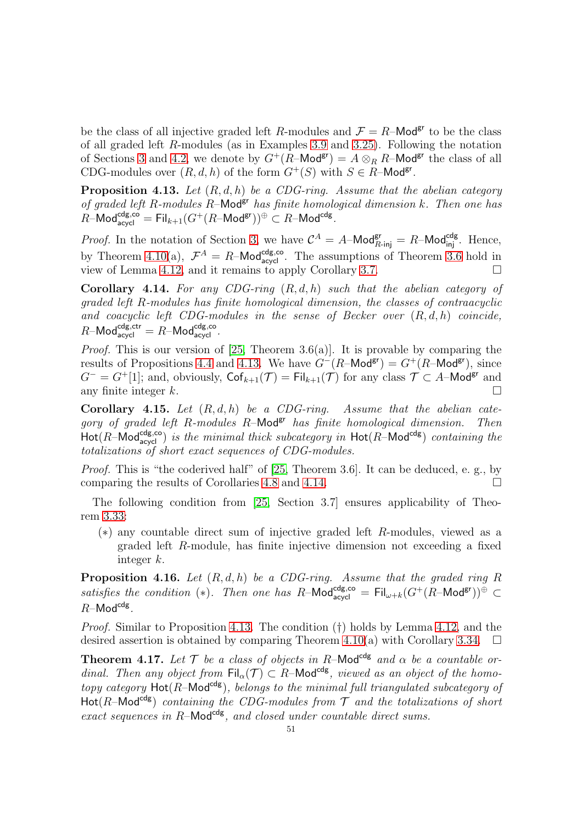be the class of all injective graded left R-modules and  $\mathcal{F} = R$ -Mod<sup>gr</sup> to be the class of all graded left R-modules (as in Examples [3.9](#page-32-0) and [3.25\)](#page-39-1). Following the notation of Sections [3](#page-27-0) and [4.2,](#page-44-0) we denote by  $G^+(R-\text{Mod}^{gr}) = A \otimes_R R-\text{Mod}^{gr}$  the class of all CDG-modules over  $(R, d, h)$  of the form  $G^+(S)$  with  $S \in R$ -Mod<sup>gr</sup>.

<span id="page-50-0"></span>Proposition 4.13. *Let* (R, d, h) *be a CDG-ring. Assume that the abelian category of graded left* R*-modules* R–Modgr *has finite homological dimension* k*. Then one has*  $\hat{R}-\mathsf{Mod}^{\mathsf{cdg},\mathsf{co}}_{\mathsf{acycl}} = \mathsf{Fil}_{k+1}(G^+(R-\mathsf{Mod}^\mathsf{gr}))^\oplus \subset R-\mathsf{Mod}^\mathsf{cdg}.$ 

*Proof.* In the notation of Section [3,](#page-27-0) we have  $C^A = A$ –Mod $_{R\text{-inj}}^{\text{gr}} = R$ –Mod $_{\text{inj}}^{\text{cdg}}$ . Hence, by Theorem [4.10\(](#page-49-0)a),  $\mathcal{F}^A = R$ -Mod<sup>cdg,co</sup>. The assumptions of Theorem [3.6](#page-31-0) hold in view of Lemma [4.12,](#page-49-1) and it remains to apply Corollary [3.7.](#page-31-1)  $\Box$ 

<span id="page-50-3"></span>Corollary 4.14. *For any CDG-ring* (R, d, h) *such that the abelian category of graded left* R*-modules has finite homological dimension, the classes of contraacyclic and coacyclic left CDG-modules in the sense of Becker over* (R, d, h) *coincide,*  $R$ –Mod $_{\text{acycl}}^{\text{cdg,ctr}} = R$ –Mod $_{\text{acycl}}^{\text{cdg,co}}$ .

*Proof.* This is our version of [\[25,](#page-53-5) Theorem 3.6(a)]. It is provable by comparing the results of Propositions [4.4](#page-46-0) and [4.13.](#page-50-0) We have  $G^-(R\text{-Mod}^{gr}) = G^+(R\text{-Mod}^{gr})$ , since  $G^- = G^+[1]$ ; and, obviously,  $\mathsf{Cof}_{k+1}(\mathcal{T}) = \mathsf{Fil}_{k+1}(\mathcal{T})$  for any class  $\mathcal{T} \subset A$ –Mod<sup>gr</sup> and any finite integer k.  $\square$ 

Corollary 4.15. *Let* (R, d, h) *be a CDG-ring. Assume that the abelian cate*gory of graded left R-modules R-Mod<sup>gr</sup> has finite homological dimension. Then  $\textsf{Hot}(R\textsf{-Mod}_{\textsf{acycl}}^{\textsf{cdg},\textsf{co}})$  *is the minimal thick subcategory in*  $\textsf{Hot}(R\textsf{-Mod}^{\textsf{cdg}})$  *containing the totalizations of short exact sequences of CDG-modules.*

*Proof.* This is "the coderived half" of [\[25,](#page-53-5) Theorem 3.6]. It can be deduced, e. g., by comparing the results of Corollaries [4.8](#page-47-2) and [4.14.](#page-50-3)

The following condition from [\[25,](#page-53-5) Section 3.7] ensures applicability of Theorem [3.33:](#page-42-0)

(∗) any countable direct sum of injective graded left R-modules, viewed as a graded left R-module, has finite injective dimension not exceeding a fixed integer k.

<span id="page-50-1"></span>Proposition 4.16. *Let* (R, d, h) *be a CDG-ring. Assume that the graded ring* R satisfies the condition (\*). Then one has  $R-\text{Mod}_{acycl}^{cdg,co} = \text{Fil}_{\omega+k}(G^+(R-\text{Mod}^{gr}))^{\oplus} \subset$  $R$ –Mod $^{cdg}$ .

*Proof.* Similar to Proposition [4.13.](#page-50-0) The condition (†) holds by Lemma [4.12,](#page-49-1) and the desired assertion is obtained by comparing Theorem [4.10\(](#page-49-0)a) with Corollary [3.34.](#page-42-1)  $\Box$ 

<span id="page-50-2"></span>**Theorem 4.17.** Let  $\mathcal{T}$  be a class of objects in R-Mod<sup>cdg</sup> and  $\alpha$  be a countable or*dinal. Then any object from*  $\text{Fil}_{\alpha}(\mathcal{T}) \subset R$ –Mod<sup>cdg</sup>, viewed as an object of the homo*topy category*  $Hot(R-Mod<sup>cds</sup>)$ *, belongs to the minimal full triangulated subcategory of* Hot( $R$ –Mod<sup>cdg</sup>) *containing the CDG-modules from*  $\mathcal T$  *and the totalizations of short exact sequences in R*–Mod<sup>cdg</sup>, and closed under countable direct sums.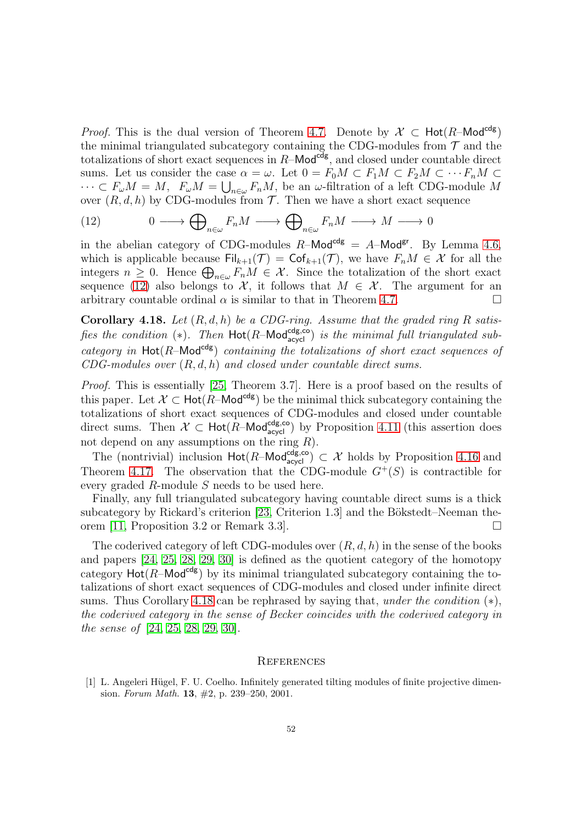*Proof.* This is the dual version of Theorem [4.7.](#page-47-0) Denote by  $\mathcal{X} \subset \text{Hot}(R-\text{Mod}^{cdg})$ the minimal triangulated subcategory containing the CDG-modules from  $\mathcal T$  and the totalizations of short exact sequences in  $R$ –Mod<sup>cdg</sup>, and closed under countable direct sums. Let us consider the case  $\alpha = \omega$ . Let  $0 = F_0M \subset F_1M \subset F_2M \subset \cdots F_nM$  $\cdots \subset F_{\omega}M = M$ ,  $F_{\omega}M = \bigcup_{n \in \omega} F_nM$ , be an  $\omega$ -filtration of a left CDG-module M over  $(R, d, h)$  by CDG-modules from  $\mathcal T$ . Then we have a short exact sequence

<span id="page-51-2"></span>(12) 
$$
0 \longrightarrow \bigoplus_{n \in \omega} F_n M \longrightarrow \bigoplus_{n \in \omega} F_n M \longrightarrow M \longrightarrow 0
$$

in the abelian category of CDG-modules  $R$ –Mod<sup>cdg</sup> = A–Mod<sup>gr</sup>. By Lemma [4.6,](#page-46-3) which is applicable because  $\text{Fil}_{k+1}(\mathcal{T}) = \text{Cof}_{k+1}(\mathcal{T})$ , we have  $F_nM \in \mathcal{X}$  for all the integers  $n \geq 0$ . Hence  $\bigoplus_{n \in \omega} F_n M \in \mathcal{X}$ . Since the totalization of the short exact sequence [\(12\)](#page-51-2) also belongs to  $\mathcal{X}$ , it follows that  $M \in \mathcal{X}$ . The argument for an arbitrary countable ordinal  $\alpha$  is similar to that in Theorem [4.7.](#page-47-0)

<span id="page-51-3"></span>Corollary 4.18. *Let* (R, d, h) *be a CDG-ring. Assume that the graded ring* R *satisfies the condition* (\*). Then  $Hot(R-Mod_{acycl}^{cdg,co})$  *is the minimal full triangulated sub* $category$  in  $Hot(R-Mod<sup>cdg</sup>)$  *containing the totalizations of short exact sequences of CDG-modules over* (R, d, h) *and closed under countable direct sums.*

*Proof.* This is essentially [\[25,](#page-53-5) Theorem 3.7]. Here is a proof based on the results of this paper. Let  $\mathcal{X} \subset \text{Hot}(R-\text{Mod}^{cdg})$  be the minimal thick subcategory containing the totalizations of short exact sequences of CDG-modules and closed under countable direct sums. Then  $\mathcal{X} \subset \text{Hot}(R-\text{Mod}_{\text{acycl}}^{\text{cdg,co}})$  by Proposition [4.11](#page-49-2) (this assertion does not depend on any assumptions on the ring  $R$ ).

The (nontrivial) inclusion  $\text{Hot}(R-\text{Mod}_{\text{acycl}}^{\text{cdg,co}}) \subset \mathcal{X}$  holds by Proposition [4.16](#page-50-1) and Theorem [4.17.](#page-50-2) The observation that the CDG-module  $G^+(S)$  is contractible for every graded R-module S needs to be used here.

Finally, any full triangulated subcategory having countable direct sums is a thick subcategory by Rickard's criterion  $[23,$  Criterion 1.3] and the Bökstedt–Neeman theorem [\[11,](#page-52-22) Proposition 3.2 or Remark 3.3].

The coderived category of left CDG-modules over  $(R, d, h)$  in the sense of the books and papers [\[24,](#page-52-0) [25,](#page-53-5) [28,](#page-53-8) [29,](#page-53-14) [30\]](#page-53-13) is defined as the quotient category of the homotopy category  $Hot(R-Mod^{cdg})$  by its minimal triangulated subcategory containing the totalizations of short exact sequences of CDG-modules and closed under infinite direct sums. Thus Corollary [4.18](#page-51-3) can be rephrased by saying that, *under the condition* (∗), *the coderived category in the sense of Becker coincides with the coderived category in the sense of* [\[24,](#page-52-0) [25,](#page-53-5) [28,](#page-53-8) [29,](#page-53-14) [30\]](#page-53-13).

#### <span id="page-51-0"></span>**REFERENCES**

<span id="page-51-1"></span>[1] L. Angeleri Hügel, F. U. Coelho. Infinitely generated tilting modules of finite projective dimension. Forum Math. 13,  $\#2$ , p. 239–250, 2001.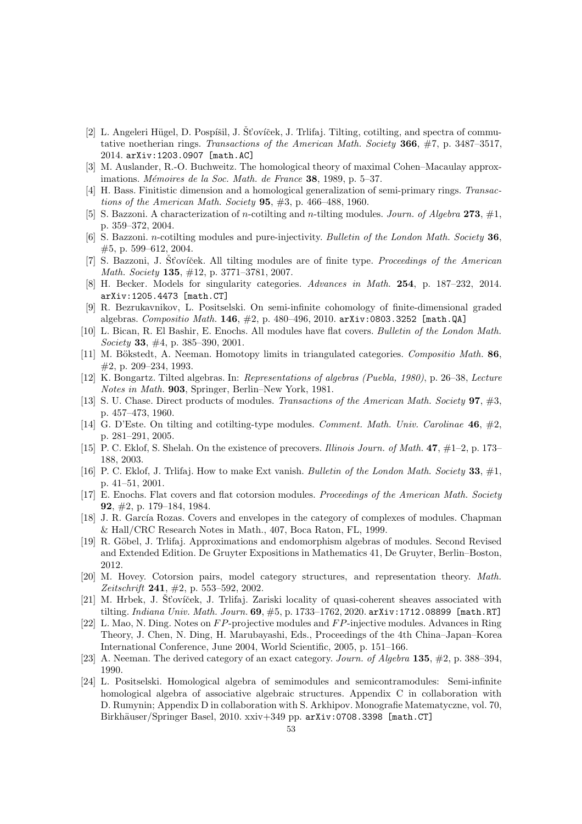- <span id="page-52-14"></span>[2] L. Angeleri Hügel, D. Pospíšil, J. Šťovíček, J. Trlifaj. Tilting, cotilting, and spectra of commutative noetherian rings. Transactions of the American Math. Society 366, #7, p. 3487-3517, 2014. arXiv:1203.0907 [math.AC]
- <span id="page-52-16"></span><span id="page-52-7"></span>[3] M. Auslander, R.-O. Buchweitz. The homological theory of maximal Cohen–Macaulay approximations. Mémoires de la Soc. Math. de France  $38$ , 1989, p. 5–37.
- <span id="page-52-12"></span>[4] H. Bass. Finitistic dimension and a homological generalization of semi-primary rings. Transactions of the American Math. Society **95**,  $\#3$ , p. 466–488, 1960.
- <span id="page-52-15"></span>[5] S. Bazzoni. A characterization of n-cotilting and n-tilting modules. Journ. of Algebra 273,  $\#1$ , p. 359–372, 2004.
- <span id="page-52-19"></span>[6] S. Bazzoni. *n*-cotilting modules and pure-injectivity. Bulletin of the London Math. Society 36, #5, p. 599–612, 2004.
- <span id="page-52-9"></span>[7] S. Bazzoni, J. St'ovíček. All tilting modules are of finite type. *Proceedings of the American* Math. Society 135, #12, p. 3771–3781, 2007.
- <span id="page-52-11"></span>[8] H. Becker. Models for singularity categories. Advances in Math. 254, p. 187–232, 2014. arXiv:1205.4473 [math.CT]
- [9] R. Bezrukavnikov, L. Positselski. On semi-infinite cohomology of finite-dimensional graded algebras. Compositio Math.  $146, #2, p. 480-496, 2010$ . arXiv:0803.3252 [math.QA]
- <span id="page-52-3"></span>[10] L. Bican, R. El Bashir, E. Enochs. All modules have flat covers. Bulletin of the London Math. Society 33,  $\#4$ , p. 385–390, 2001.
- <span id="page-52-22"></span>[11] M. Bökstedt, A. Neeman. Homotopy limits in triangulated categories. Compositio Math. 86, #2, p. 209–234, 1993.
- <span id="page-52-6"></span>[12] K. Bongartz. Tilted algebras. In: Representations of algebras (Puebla, 1980), p. 26–38, Lecture Notes in Math. 903, Springer, Berlin–New York, 1981.
- <span id="page-52-17"></span>[13] S. U. Chase. Direct products of modules. Transactions of the American Math. Society 97, #3, p. 457–473, 1960.
- <span id="page-52-13"></span>[14] G. D'Este. On tilting and cotilting-type modules. *Comment. Math. Univ. Carolinae* 46,  $\#2$ , p. 281–291, 2005.
- <span id="page-52-8"></span><span id="page-52-4"></span>[15] P. C. Eklof, S. Shelah. On the existence of precovers. Illinois Journ. of Math. 47, #1–2, p. 173– 188, 2003.
- [16] P. C. Eklof, J. Triliaj. How to make Ext vanish. Bulletin of the London Math. Society 33,  $\#1$ , p. 41–51, 2001.
- <span id="page-52-2"></span>[17] E. Enochs. Flat covers and flat cotorsion modules. Proceedings of the American Math. Society 92, #2, p. 179–184, 1984.
- <span id="page-52-10"></span>[18] J. R. García Rozas. Covers and envelopes in the category of complexes of modules. Chapman & Hall/CRC Research Notes in Math., 407, Boca Raton, FL, 1999.
- <span id="page-52-1"></span>[19] R. Göbel, J. Trlifaj. Approximations and endomorphism algebras of modules. Second Revised and Extended Edition. De Gruyter Expositions in Mathematics 41, De Gruyter, Berlin–Boston, 2012.
- <span id="page-52-5"></span>[20] M. Hovey. Cotorsion pairs, model category structures, and representation theory. Math. Zeitschrift 241, #2, p. 553-592, 2002.
- <span id="page-52-18"></span>[21] M. Hrbek, J. Šťovíček, J. Trlifaj. Zariski locality of quasi-coherent sheaves associated with tilting. Indiana Univ. Math. Journ.  $69, #5, p. 1733-1762, 2020$ . arXiv: 1712.08899 [math.RT]
- <span id="page-52-20"></span>[22] L. Mao, N. Ding. Notes on  $FP$ -projective modules and  $FP$ -injective modules. Advances in Ring Theory, J. Chen, N. Ding, H. Marubayashi, Eds., Proceedings of the 4th China–Japan–Korea International Conference, June 2004, World Scientific, 2005, p. 151–166.
- <span id="page-52-21"></span><span id="page-52-0"></span>[23] A. Neeman. The derived category of an exact category. Journ. of Algebra 135, #2, p. 388–394, 1990.
- [24] L. Positselski. Homological algebra of semimodules and semicontramodules: Semi-infinite homological algebra of associative algebraic structures. Appendix C in collaboration with D. Rumynin; Appendix D in collaboration with S. Arkhipov. Monografie Matematyczne, vol. 70, Birkhäuser/Springer Basel, 2010. xxiv+349 pp. arXiv:0708.3398 [math.CT]